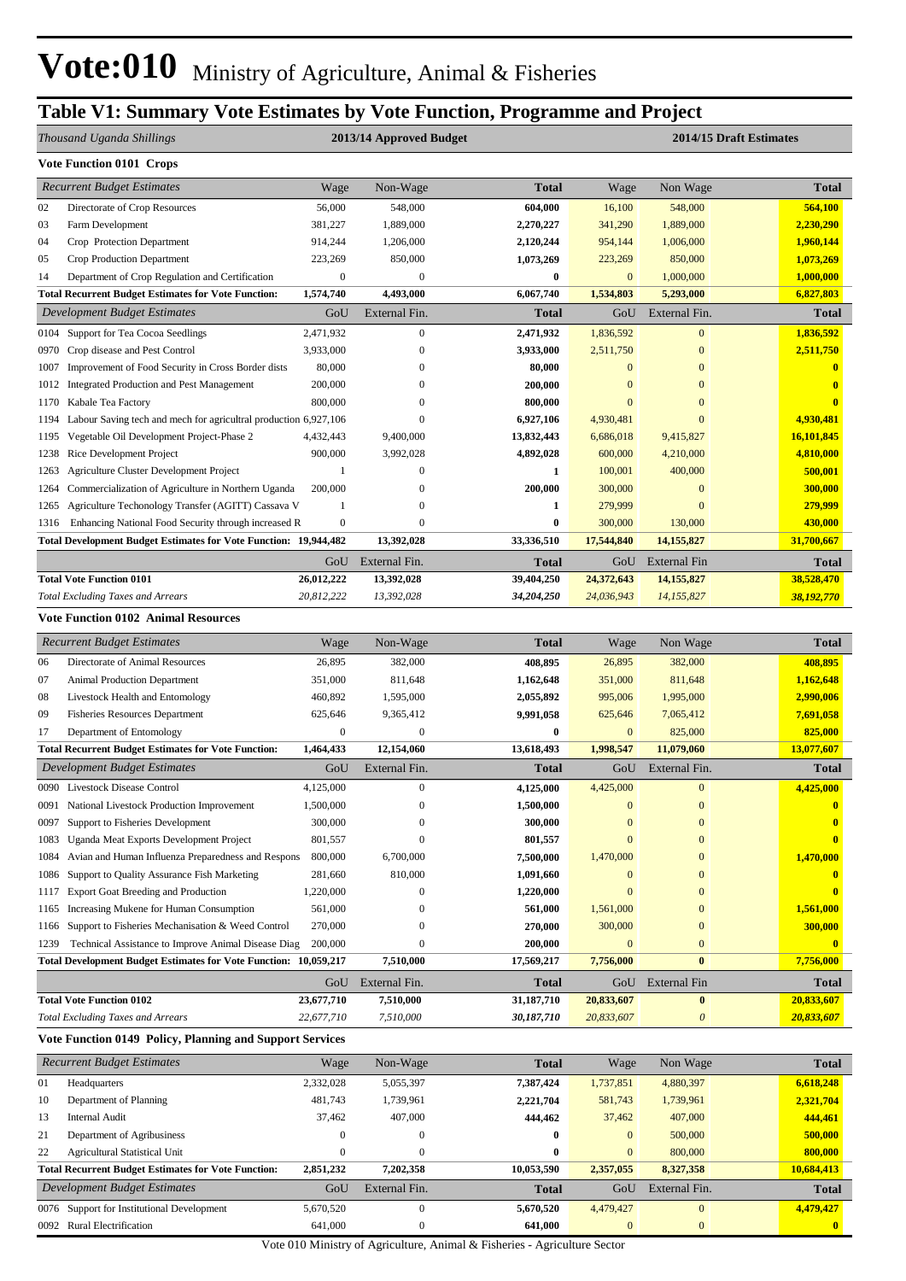#### **Table V1: Summary Vote Estimates by Vote Function, Programme and Project**

|              | Thousand Uganda Shillings                                                                                               |                      | 2013/14 Approved Budget       |                                                                           |                           |                              | 2014/15 Draft Estimates   |  |  |  |  |
|--------------|-------------------------------------------------------------------------------------------------------------------------|----------------------|-------------------------------|---------------------------------------------------------------------------|---------------------------|------------------------------|---------------------------|--|--|--|--|
|              | <b>Vote Function 0101 Crops</b>                                                                                         |                      |                               |                                                                           |                           |                              |                           |  |  |  |  |
|              | <b>Recurrent Budget Estimates</b>                                                                                       | Wage                 | Non-Wage                      | <b>Total</b>                                                              | Wage                      | Non Wage                     | <b>Total</b>              |  |  |  |  |
| 02           | Directorate of Crop Resources                                                                                           | 56,000               | 548,000                       | 604,000                                                                   | 16,100                    | 548,000                      | 564,100                   |  |  |  |  |
| 03           | Farm Development                                                                                                        | 381,227              | 1,889,000                     | 2,270,227                                                                 | 341,290                   | 1,889,000                    | 2,230,290                 |  |  |  |  |
| 04           | Crop Protection Department                                                                                              | 914,244              | 1,206,000                     | 2,120,244                                                                 | 954,144                   | 1,006,000                    | 1,960,144                 |  |  |  |  |
| 05           | Crop Production Department                                                                                              | 223,269              | 850,000                       | 1,073,269                                                                 | 223,269                   | 850,000                      | 1,073,269                 |  |  |  |  |
| 14           | Department of Crop Regulation and Certification                                                                         | $\boldsymbol{0}$     | $\boldsymbol{0}$              | $\bf{0}$                                                                  | $\mathbf{0}$              | 1,000,000                    | 1,000,000                 |  |  |  |  |
|              | <b>Total Recurrent Budget Estimates for Vote Function:</b>                                                              | 1,574,740            | 4,493,000                     | 6,067,740                                                                 | 1,534,803                 | 5,293,000                    | 6,827,803                 |  |  |  |  |
|              | <b>Development Budget Estimates</b>                                                                                     | GoU                  | External Fin.                 | <b>Total</b>                                                              | GoU                       | External Fin.                | <b>Total</b>              |  |  |  |  |
| 0104         | Support for Tea Cocoa Seedlings                                                                                         | 2,471,932            | $\mathbf{0}$                  | 2,471,932                                                                 | 1,836,592                 | $\mathbf{0}$                 | 1,836,592                 |  |  |  |  |
| 0970         | Crop disease and Pest Control                                                                                           | 3,933,000            | $\mathbf{0}$                  | 3,933,000                                                                 | 2,511,750                 | $\boldsymbol{0}$             | 2,511,750                 |  |  |  |  |
| 1007         | Improvement of Food Security in Cross Border dists                                                                      | 80,000               | $\mathbf{0}$                  | 80,000                                                                    | $\mathbf{0}$              | $\bf{0}$                     | $\overline{\mathbf{0}}$   |  |  |  |  |
| 1012         | <b>Integrated Production and Pest Management</b>                                                                        | 200,000              | $\mathbf{0}$                  | 200,000                                                                   | $\mathbf{0}$              | $\mathbf{0}$                 | $\bf{0}$                  |  |  |  |  |
| 1170         | Kabale Tea Factory                                                                                                      | 800,000              | $\theta$<br>$\theta$          | 800,000                                                                   | $\bf{0}$<br>4,930,481     | $\mathbf{0}$<br>$\mathbf{0}$ | $\bf{0}$                  |  |  |  |  |
| 1194<br>1195 | Labour Saving tech and mech for agricultral production 6,927,106<br>Vegetable Oil Development Project-Phase 2           | 4,432,443            | 9,400,000                     | 6,927,106<br>13,832,443                                                   | 6,686,018                 | 9,415,827                    | 4,930,481<br>16,101,845   |  |  |  |  |
| 1238         | Rice Development Project                                                                                                | 900,000              | 3,992,028                     | 4,892,028                                                                 | 600,000                   | 4,210,000                    | 4,810,000                 |  |  |  |  |
| 1263         | Agriculture Cluster Development Project                                                                                 | $\mathbf{1}$         | $\boldsymbol{0}$              | $\mathbf{1}$                                                              | 100,001                   | 400,000                      | 500,001                   |  |  |  |  |
| 1264         | Commercialization of Agriculture in Northern Uganda                                                                     | 200,000              | $\overline{0}$                | 200,000                                                                   | 300,000                   | $\boldsymbol{0}$             | 300,000                   |  |  |  |  |
| 1265         | Agriculture Techonology Transfer (AGITT) Cassava V                                                                      | 1                    | $\theta$                      | 1                                                                         | 279,999                   | $\boldsymbol{0}$             | 279,999                   |  |  |  |  |
| 1316         | Enhancing National Food Security through increased R                                                                    | $\boldsymbol{0}$     | $\mathbf{0}$                  | $\bf{0}$                                                                  | 300,000                   | 130,000                      | 430,000                   |  |  |  |  |
|              | <b>Total Development Budget Estimates for Vote Function: 19,944,482</b>                                                 |                      | 13,392,028                    | 33,336,510                                                                | 17,544,840                | 14,155,827                   | 31,700,667                |  |  |  |  |
|              |                                                                                                                         | GoU                  | External Fin.                 | <b>Total</b>                                                              | GoU                       | <b>External Fin</b>          | <b>Total</b>              |  |  |  |  |
|              | <b>Total Vote Function 0101</b>                                                                                         | 26,012,222           | 13,392,028                    | 39,404,250                                                                | 24,372,643                | 14,155,827                   | 38,528,470                |  |  |  |  |
|              | <b>Total Excluding Taxes and Arrears</b>                                                                                | 20,812,222           | 13,392,028                    | 34,204,250                                                                | 24,036,943                | 14,155,827                   | 38,192,770                |  |  |  |  |
|              | <b>Vote Function 0102 Animal Resources</b>                                                                              |                      |                               |                                                                           |                           |                              |                           |  |  |  |  |
|              | <b>Recurrent Budget Estimates</b>                                                                                       | Wage                 | Non-Wage                      | <b>Total</b>                                                              | Wage                      | Non Wage                     | <b>Total</b>              |  |  |  |  |
| 06           | Directorate of Animal Resources                                                                                         | 26,895               | 382,000                       | 408,895                                                                   | 26,895                    | 382,000                      | 408,895                   |  |  |  |  |
| 07           | Animal Production Department                                                                                            | 351,000              | 811,648                       | 1,162,648                                                                 | 351,000                   | 811,648                      | 1,162,648                 |  |  |  |  |
| 08           | Livestock Health and Entomology                                                                                         | 460,892              | 1,595,000                     | 2,055,892                                                                 | 995,006                   | 1,995,000                    | 2,990,006                 |  |  |  |  |
| 09           | <b>Fisheries Resources Department</b>                                                                                   | 625,646              | 9,365,412                     | 9,991,058                                                                 | 625,646                   | 7,065,412                    | 7,691,058                 |  |  |  |  |
| 17           | Department of Entomology                                                                                                | $\boldsymbol{0}$     | $\mathbf{0}$                  | $\bf{0}$                                                                  | $\mathbf{0}$              | 825,000                      | 825,000                   |  |  |  |  |
|              | <b>Total Recurrent Budget Estimates for Vote Function:</b>                                                              | 1,464,433            | 12,154,060                    | 13,618,493                                                                | 1,998,547                 | 11,079,060                   | 13,077,607                |  |  |  |  |
|              | Development Budget Estimates                                                                                            | GoU                  | External Fin.                 | <b>Total</b>                                                              | GoU                       | External Fin.                | <b>Total</b>              |  |  |  |  |
| 0090         | Livestock Disease Control                                                                                               | 4,125,000            | $\boldsymbol{0}$              | 4,125,000                                                                 | 4,425,000                 | $\boldsymbol{0}$             | 4,425,000                 |  |  |  |  |
|              | 0091 National Livestock Production Improvement                                                                          | 1,500,000            | $\boldsymbol{0}$              | 1,500,000                                                                 | $\boldsymbol{0}$          | $\boldsymbol{0}$             | $\mathbf{0}$              |  |  |  |  |
| 0097         | Support to Fisheries Development                                                                                        | 300,000              | 0                             | 300,000                                                                   | $\boldsymbol{0}$          | $\mathbf{0}$                 | $\bf{0}$                  |  |  |  |  |
| 1083         | Uganda Meat Exports Development Project                                                                                 | 801,557              | $\overline{0}$                | 801,557                                                                   | $\mathbf{0}$              | $\overline{0}$               | $\mathbf{0}$              |  |  |  |  |
| 1084         | Avian and Human Influenza Preparedness and Respons                                                                      | 800,000              | 6,700,000                     | 7,500,000                                                                 | 1,470,000                 | $\mathbf{0}$                 | 1,470,000                 |  |  |  |  |
| 1086         | Support to Quality Assurance Fish Marketing                                                                             | 281,660              | 810,000                       | 1,091,660                                                                 | $\mathbf{0}$              | $\mathbf{0}$                 | $\bf{0}$                  |  |  |  |  |
| 1117         | Export Goat Breeding and Production                                                                                     | 1,220,000            | $\boldsymbol{0}$              | 1,220,000                                                                 | $\mathbf{0}$              | $\boldsymbol{0}$             | A                         |  |  |  |  |
| 1165         | Increasing Mukene for Human Consumption                                                                                 | 561,000              | $\overline{0}$                | 561,000                                                                   | 1,561,000                 | $\mathbf{0}$                 | 1,561,000                 |  |  |  |  |
| 1166         | Support to Fisheries Mechanisation & Weed Control                                                                       | 270,000              | $\theta$                      | 270,000                                                                   | 300,000                   | $\boldsymbol{0}$             | 300,000                   |  |  |  |  |
| 1239         | Technical Assistance to Improve Animal Disease Diag<br>Total Development Budget Estimates for Vote Function: 10,059,217 | 200,000              | $\boldsymbol{0}$<br>7,510,000 | 200,000<br>17,569,217                                                     | $\mathbf{0}$<br>7,756,000 | $\mathbf{0}$<br>$\bf{0}$     | $\mathbf{0}$<br>7,756,000 |  |  |  |  |
|              |                                                                                                                         | GoU                  | External Fin.                 | <b>Total</b>                                                              | GoU                       | <b>External Fin</b>          | Total                     |  |  |  |  |
|              | <b>Total Vote Function 0102</b>                                                                                         | 23,677,710           | 7,510,000                     | 31,187,710                                                                | 20,833,607                | $\bf{0}$                     | 20,833,607                |  |  |  |  |
|              | <b>Total Excluding Taxes and Arrears</b>                                                                                | 22,677,710           | 7,510,000                     | 30,187,710                                                                | 20,833,607                | $\boldsymbol{\theta}$        | 20,833,607                |  |  |  |  |
|              | Vote Function 0149 Policy, Planning and Support Services                                                                |                      |                               |                                                                           |                           |                              |                           |  |  |  |  |
|              | <b>Recurrent Budget Estimates</b>                                                                                       | Wage                 | Non-Wage                      | <b>Total</b>                                                              | Wage                      | Non Wage                     | <b>Total</b>              |  |  |  |  |
|              |                                                                                                                         |                      |                               |                                                                           |                           |                              |                           |  |  |  |  |
| 01<br>10     | Headquarters<br>Department of Planning                                                                                  | 2,332,028<br>481,743 | 5,055,397<br>1,739,961        | 7,387,424<br>2,221,704                                                    | 1,737,851<br>581,743      | 4,880,397<br>1,739,961       | 6,618,248<br>2,321,704    |  |  |  |  |
| 13           | <b>Internal Audit</b>                                                                                                   | 37,462               | 407,000                       | 444,462                                                                   | 37,462                    | 407,000                      | 444,461                   |  |  |  |  |
| 21           | Department of Agribusiness                                                                                              | $\boldsymbol{0}$     | $\mathbf{0}$                  | 0                                                                         | $\boldsymbol{0}$          | 500,000                      | 500,000                   |  |  |  |  |
| 22           | <b>Agricultural Statistical Unit</b>                                                                                    | $\boldsymbol{0}$     | $\mathbf{0}$                  | $\bf{0}$                                                                  | $\mathbf{0}$              | 800,000                      | 800,000                   |  |  |  |  |
|              | <b>Total Recurrent Budget Estimates for Vote Function:</b>                                                              | 2,851,232            | 7,202,358                     | 10,053,590                                                                | 2,357,055                 | 8,327,358                    | 10,684,413                |  |  |  |  |
|              | Development Budget Estimates                                                                                            | $\rm{GoU}$           | External Fin.                 | Total                                                                     | GoU                       | External Fin.                | <b>Total</b>              |  |  |  |  |
| 0076         | Support for Institutional Development                                                                                   | 5,670,520            | $\boldsymbol{0}$              | 5,670,520                                                                 | 4,479,427                 | $\mathbf{0}$                 | 4,479,427                 |  |  |  |  |
|              | 0092 Rural Electrification                                                                                              | 641,000              | $\boldsymbol{0}$              | 641,000                                                                   | $\boldsymbol{0}$          | $\boldsymbol{0}$             | $\overline{\mathbf{0}}$   |  |  |  |  |
|              |                                                                                                                         |                      |                               | Vote 010 Ministry of Agriculture, Animal & Fisheries - Agriculture Sector |                           |                              |                           |  |  |  |  |

Vote 010 Ministry of Agriculture, Animal & Fisheries - Agriculture Sector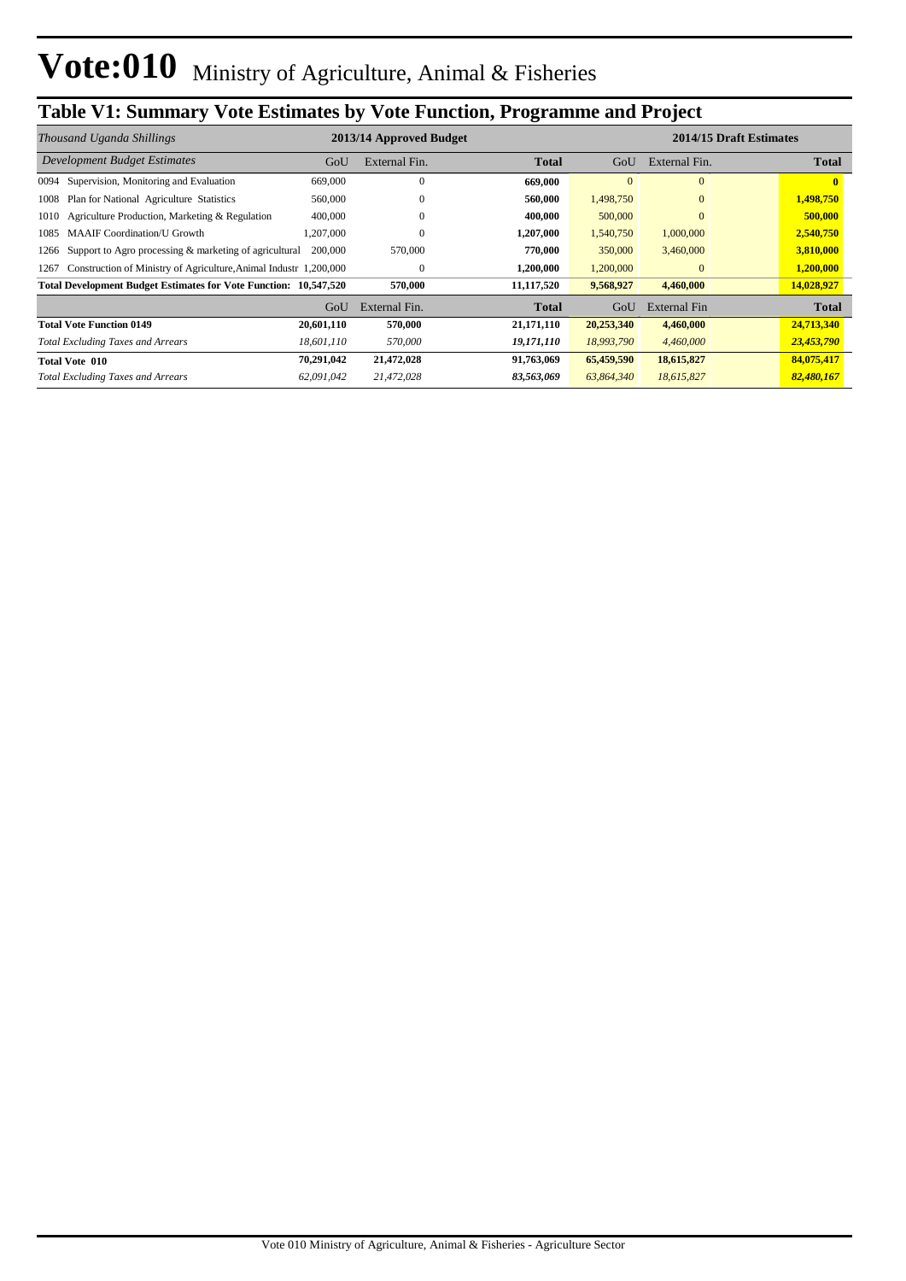## **Table V1: Summary Vote Estimates by Vote Function, Programme and Project**

|                                                                           |            |                         |              | 2014/15 Draft Estimates |               |              |  |  |
|---------------------------------------------------------------------------|------------|-------------------------|--------------|-------------------------|---------------|--------------|--|--|
| Thousand Uganda Shillings                                                 |            | 2013/14 Approved Budget |              |                         |               |              |  |  |
| <b>Development Budget Estimates</b>                                       | GoU        | External Fin.           | Total        | GoU                     | External Fin. | <b>Total</b> |  |  |
| Supervision, Monitoring and Evaluation<br>0094                            | 669,000    | $\mathbf{0}$            | 669,000      | $\Omega$                | $\Omega$      |              |  |  |
| Plan for National Agriculture Statistics<br>1008                          | 560,000    | $\theta$                | 560,000      | 1,498,750               | $\mathbf{0}$  | 1,498,750    |  |  |
| Agriculture Production, Marketing & Regulation<br>1010                    | 400,000    | $\Omega$                | 400,000      | 500,000                 | $\Omega$      | 500,000      |  |  |
| <b>MAAIF</b> Coordination/U Growth<br>1085                                | ,207,000   | $\Omega$                | 1,207,000    | 1,540,750               | 1,000,000     | 2,540,750    |  |  |
| Support to Agro processing & marketing of agricultural<br>1266            | 200,000    | 570,000                 | 770.000      | 350,000                 | 3,460,000     | 3,810,000    |  |  |
| Construction of Ministry of Agriculture, Animal Industr 1,200,000<br>1267 |            | 0                       | 1,200,000    | 1,200,000               | $\mathbf{0}$  | 1,200,000    |  |  |
| Total Development Budget Estimates for Vote Function: 10,547,520          |            | 570,000                 | 11,117,520   | 9,568,927               | 4,460,000     | 14,028,927   |  |  |
|                                                                           | GoU        | External Fin.           | <b>Total</b> | GoU                     | External Fin  | <b>Total</b> |  |  |
| <b>Total Vote Function 0149</b>                                           | 20,601,110 | 570,000                 | 21,171,110   | 20,253,340              | 4,460,000     | 24,713,340   |  |  |
| <b>Total Excluding Taxes and Arrears</b>                                  | 18,601,110 | 570,000                 | 19,171,110   | 18,993,790              | 4,460,000     | 23,453,790   |  |  |
| <b>Total Vote 010</b>                                                     | 70,291,042 | 21,472,028              | 91,763,069   | 65,459,590              | 18,615,827    | 84,075,417   |  |  |
| <b>Total Excluding Taxes and Arrears</b>                                  | 62,091,042 | 21,472,028              | 83,563,069   | 63,864,340              | 18,615,827    | 82,480,167   |  |  |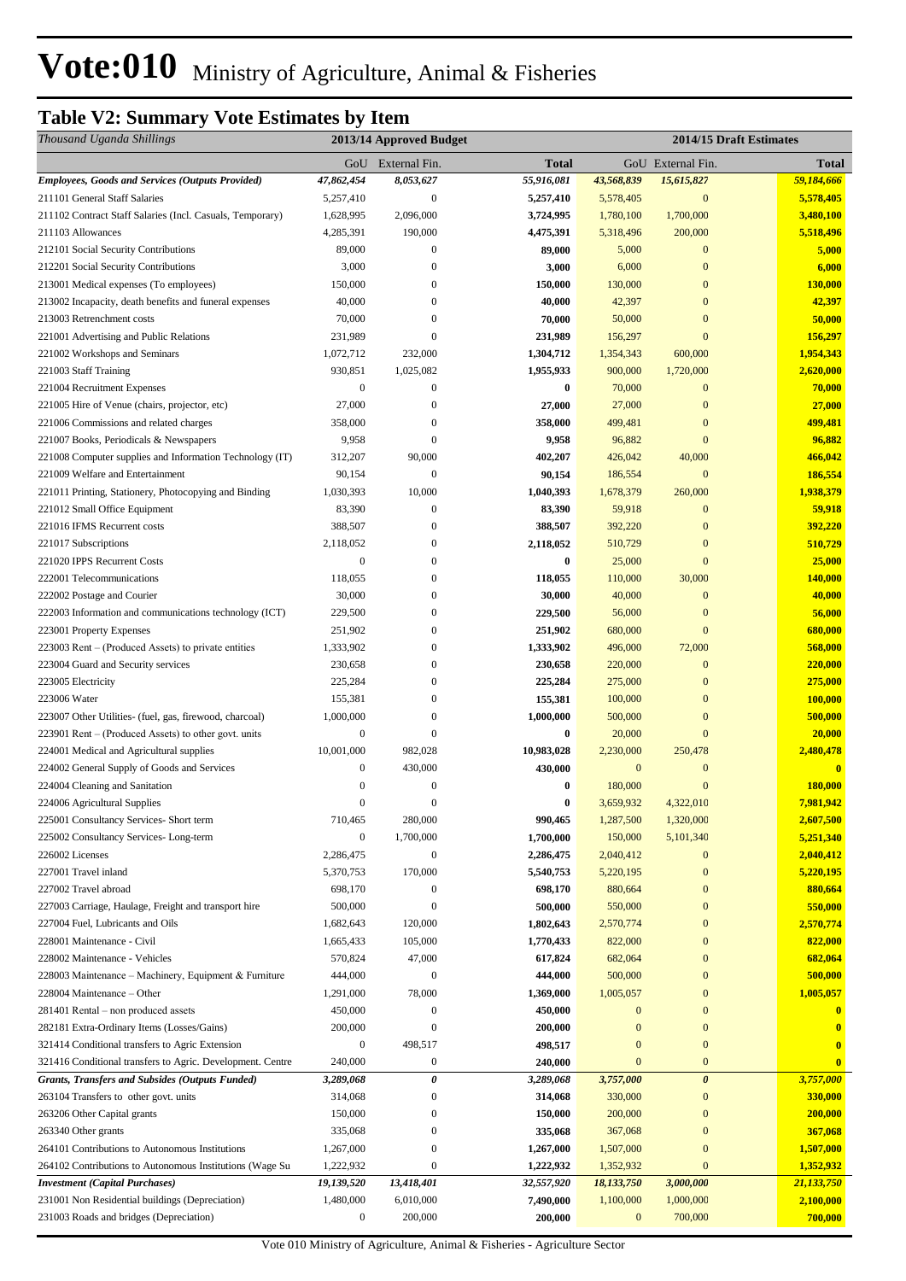## **Table V2: Summary Vote Estimates by Item**

| Thousand Uganda Shillings                                  |                  | 2013/14 Approved Budget |              |                  | 2014/15 Draft Estimates |              |
|------------------------------------------------------------|------------------|-------------------------|--------------|------------------|-------------------------|--------------|
|                                                            |                  | GoU External Fin.       | <b>Total</b> |                  | GoU External Fin.       | <b>Total</b> |
| <b>Employees, Goods and Services (Outputs Provided)</b>    | 47,862,454       | 8,053,627               | 55,916,081   | 43,568,839       | 15,615,827              | 59,184,666   |
| 211101 General Staff Salaries                              | 5,257,410        | $\mathbf{0}$            | 5,257,410    | 5,578,405        | $\mathbf{0}$            | 5,578,405    |
| 211102 Contract Staff Salaries (Incl. Casuals, Temporary)  | 1,628,995        | 2,096,000               | 3,724,995    | 1,780,100        | 1,700,000               | 3,480,100    |
| 211103 Allowances                                          | 4,285,391        | 190,000                 | 4,475,391    | 5,318,496        | 200,000                 | 5,518,496    |
| 212101 Social Security Contributions                       | 89,000           | $\boldsymbol{0}$        | 89,000       | 5,000            | $\mathbf{0}$            | 5,000        |
| 212201 Social Security Contributions                       | 3,000            | $\mathbf{0}$            | 3,000        | 6,000            | $\mathbf{0}$            | 6,000        |
| 213001 Medical expenses (To employees)                     | 150,000          | $\mathbf{0}$            | 150,000      | 130,000          | $\boldsymbol{0}$        | 130,000      |
| 213002 Incapacity, death benefits and funeral expenses     | 40,000           | $\overline{0}$          | 40,000       | 42,397           | $\boldsymbol{0}$        | 42,397       |
| 213003 Retrenchment costs                                  | 70,000           | $\mathbf{0}$            | 70,000       | 50,000           | $\boldsymbol{0}$        | 50,000       |
| 221001 Advertising and Public Relations                    | 231,989          | $\overline{0}$          | 231,989      | 156,297          | $\overline{0}$          | 156,297      |
| 221002 Workshops and Seminars                              | 1,072,712        | 232,000                 | 1,304,712    | 1,354,343        | 600,000                 | 1,954,343    |
| 221003 Staff Training                                      | 930,851          | 1,025,082               | 1,955,933    | 900,000          | 1,720,000               | 2,620,000    |
| 221004 Recruitment Expenses                                | $\boldsymbol{0}$ | $\mathbf{0}$            | $\bf{0}$     | 70,000           | $\mathbf{0}$            | 70,000       |
| 221005 Hire of Venue (chairs, projector, etc)              | 27,000           | $\mathbf{0}$            | 27,000       | 27,000           | $\mathbf{0}$            | 27,000       |
| 221006 Commissions and related charges                     | 358,000          | $\boldsymbol{0}$        | 358,000      | 499,481          | $\boldsymbol{0}$        | 499,481      |
| 221007 Books, Periodicals & Newspapers                     | 9,958            | $\mathbf{0}$            | 9,958        | 96,882           | $\overline{0}$          | 96,882       |
| 221008 Computer supplies and Information Technology (IT)   | 312,207          | 90,000                  | 402,207      | 426,042          | 40,000                  | 466,042      |
| 221009 Welfare and Entertainment                           | 90,154           | $\mathbf{0}$            | 90,154       | 186,554          | $\mathbf{0}$            | 186,554      |
| 221011 Printing, Stationery, Photocopying and Binding      | 1,030,393        | 10,000                  | 1,040,393    | 1,678,379        | 260,000                 | 1,938,379    |
| 221012 Small Office Equipment                              | 83,390           | $\boldsymbol{0}$        | 83,390       | 59,918           | $\mathbf{0}$            | 59,918       |
| 221016 IFMS Recurrent costs                                | 388,507          | $\mathbf{0}$            | 388,507      | 392,220          | $\mathbf{0}$            | 392,220      |
| 221017 Subscriptions                                       | 2,118,052        | $\mathbf{0}$            | 2,118,052    | 510,729          | $\overline{0}$          | 510,729      |
| 221020 IPPS Recurrent Costs                                | $\boldsymbol{0}$ | $\boldsymbol{0}$        | $\bf{0}$     | 25,000           | $\boldsymbol{0}$        | 25,000       |
| 222001 Telecommunications                                  | 118,055          | $\mathbf{0}$            | 118,055      | 110,000          | 30,000                  | 140,000      |
| 222002 Postage and Courier                                 | 30,000           | $\mathbf{0}$            | 30,000       | 40,000           | $\mathbf{0}$            | 40,000       |
| 222003 Information and communications technology (ICT)     | 229,500          | $\overline{0}$          | 229,500      | 56,000           | $\boldsymbol{0}$        | 56,000       |
| 223001 Property Expenses                                   | 251,902          | $\mathbf{0}$            | 251,902      | 680,000          | $\overline{0}$          | 680,000      |
| 223003 Rent – (Produced Assets) to private entities        | 1,333,902        | $\mathbf{0}$            | 1,333,902    | 496,000          | 72,000                  | 568,000      |
| 223004 Guard and Security services                         | 230,658          | $\overline{0}$          | 230,658      | 220,000          | $\mathbf{0}$            | 220,000      |
| 223005 Electricity                                         | 225,284          | $\overline{0}$          | 225,284      | 275,000          | $\boldsymbol{0}$        | 275,000      |
| 223006 Water                                               | 155,381          | $\overline{0}$          | 155,381      | 100,000          | $\boldsymbol{0}$        | 100,000      |
| 223007 Other Utilities- (fuel, gas, firewood, charcoal)    | 1,000,000        | $\boldsymbol{0}$        | 1,000,000    | 500,000          | $\boldsymbol{0}$        | 500,000      |
| 223901 Rent – (Produced Assets) to other govt. units       | $\boldsymbol{0}$ | $\mathbf{0}$            | $\bf{0}$     | 20,000           | $\boldsymbol{0}$        | 20,000       |
| 224001 Medical and Agricultural supplies                   | 10,001,000       | 982,028                 | 10,983,028   | 2,230,000        | 250,478                 | 2,480,478    |
| 224002 General Supply of Goods and Services                | $\boldsymbol{0}$ | 430,000                 | 430,000      | $\boldsymbol{0}$ | $\mathbf{0}$            | $\mathbf{0}$ |
| 224004 Cleaning and Sanitation                             | $\boldsymbol{0}$ | $\boldsymbol{0}$        | 0            | 180,000          | $\overline{0}$          | 180,000      |
| 224006 Agricultural Supplies                               | $\boldsymbol{0}$ | $\boldsymbol{0}$        | $\bf{0}$     | 3,659,932        | 4,322,010               | 7,981,942    |
| 225001 Consultancy Services- Short term                    | 710,465          | 280,000                 | 990,465      | 1,287,500        | 1,320,000               | 2,607,500    |
| 225002 Consultancy Services-Long-term                      | $\boldsymbol{0}$ | 1,700,000               | 1,700,000    | 150,000          | 5,101,340               | 5,251,340    |
| 226002 Licenses                                            | 2,286,475        | $\boldsymbol{0}$        | 2,286,475    | 2,040,412        | $\mathbf{0}$            | 2,040,412    |
| 227001 Travel inland                                       | 5,370,753        | 170,000                 | 5,540,753    | 5,220,195        | $\boldsymbol{0}$        | 5,220,195    |
| 227002 Travel abroad                                       | 698,170          | $\boldsymbol{0}$        | 698,170      | 880,664          | $\boldsymbol{0}$        | 880,664      |
| 227003 Carriage, Haulage, Freight and transport hire       | 500,000          | $\mathbf{0}$            | 500,000      | 550,000          | $\boldsymbol{0}$        | 550,000      |
| 227004 Fuel, Lubricants and Oils                           | 1,682,643        | 120,000                 | 1,802,643    | 2,570,774        | $\boldsymbol{0}$        | 2,570,774    |
| 228001 Maintenance - Civil                                 | 1,665,433        | 105,000                 | 1,770,433    | 822,000          | $\boldsymbol{0}$        | 822,000      |
| 228002 Maintenance - Vehicles                              | 570,824          | 47,000                  | 617,824      | 682,064          | $\boldsymbol{0}$        | 682,064      |
| 228003 Maintenance – Machinery, Equipment & Furniture      | 444,000          | $\mathbf{0}$            | 444,000      | 500,000          | $\boldsymbol{0}$        | 500,000      |
| 228004 Maintenance – Other                                 | 1,291,000        | 78,000                  | 1,369,000    | 1,005,057        | $\boldsymbol{0}$        | 1,005,057    |
| 281401 Rental – non produced assets                        | 450,000          | $\boldsymbol{0}$        | 450,000      | $\mathbf{0}$     | $\boldsymbol{0}$        | $\bf{0}$     |
| 282181 Extra-Ordinary Items (Losses/Gains)                 | 200,000          | $\overline{0}$          | 200,000      | $\boldsymbol{0}$ | $\mathbf{0}$            | $\bf{0}$     |
| 321414 Conditional transfers to Agric Extension            | $\boldsymbol{0}$ | 498,517                 | 498,517      | $\boldsymbol{0}$ | $\boldsymbol{0}$        | $\mathbf{0}$ |
| 321416 Conditional transfers to Agric. Development. Centre | 240,000          | $\boldsymbol{0}$        | 240,000      | $\mathbf{0}$     | $\boldsymbol{0}$        | $\bf{0}$     |
| <b>Grants, Transfers and Subsides (Outputs Funded)</b>     | 3,289,068        | 0                       | 3,289,068    | 3,757,000        | $\boldsymbol{\theta}$   | 3,757,000    |
| 263104 Transfers to other govt. units                      | 314,068          | $\boldsymbol{0}$        | 314,068      | 330,000          | $\boldsymbol{0}$        | 330,000      |
| 263206 Other Capital grants                                | 150,000          | $\overline{0}$          | 150,000      | 200,000          | $\mathbf{0}$            | 200,000      |
| 263340 Other grants                                        | 335,068          | $\mathbf{0}$            | 335,068      | 367,068          | $\mathbf{0}$            | 367,068      |
| 264101 Contributions to Autonomous Institutions            | 1,267,000        | $\overline{0}$          | 1,267,000    | 1,507,000        | $\boldsymbol{0}$        | 1,507,000    |
| 264102 Contributions to Autonomous Institutions (Wage Su   | 1,222,932        | $\overline{0}$          | 1,222,932    | 1,352,932        | $\mathbf{0}$            | 1,352,932    |
| <b>Investment</b> (Capital Purchases)                      | 19,139,520       | 13,418,401              | 32,557,920   | 18,133,750       | 3,000,000               | 21,133,750   |
| 231001 Non Residential buildings (Depreciation)            | 1,480,000        | 6,010,000               | 7,490,000    | 1,100,000        | 1,000,000               | 2,100,000    |
| 231003 Roads and bridges (Depreciation)                    | $\boldsymbol{0}$ | 200,000                 | 200,000      | $\bf{0}$         | 700,000                 | 700,000      |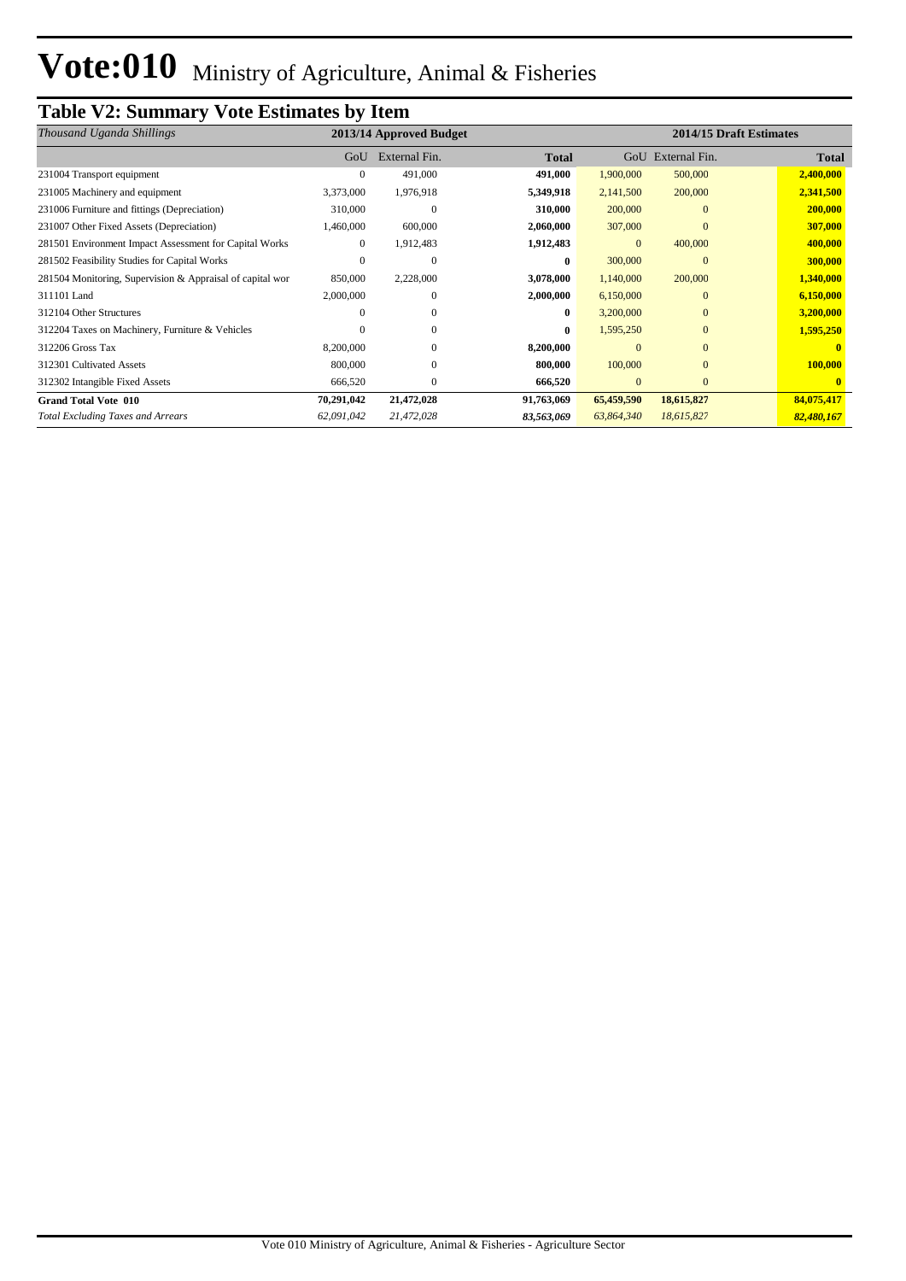## **Table V2: Summary Vote Estimates by Item**

| Thousand Uganda Shillings                                 |            | 2013/14 Approved Budget |              |              |                   | 2014/15 Draft Estimates |
|-----------------------------------------------------------|------------|-------------------------|--------------|--------------|-------------------|-------------------------|
|                                                           | GoU        | External Fin.           | <b>Total</b> |              | GoU External Fin. | Total                   |
| 231004 Transport equipment                                |            | 491,000                 | 491,000      | 1,900,000    | 500,000           | 2,400,000               |
| 231005 Machinery and equipment                            | 3,373,000  | 1,976,918               | 5,349,918    | 2,141,500    | 200,000           | 2,341,500               |
| 231006 Furniture and fittings (Depreciation)              | 310,000    | $\mathbf{0}$            | 310,000      | 200,000      | $\mathbf{0}$      | 200,000                 |
| 231007 Other Fixed Assets (Depreciation)                  | 1,460,000  | 600,000                 | 2,060,000    | 307,000      | $\mathbf{0}$      | 307,000                 |
| 281501 Environment Impact Assessment for Capital Works    | $\Omega$   | 1,912,483               | 1,912,483    | $\mathbf{0}$ | 400,000           | 400,000                 |
| 281502 Feasibility Studies for Capital Works              |            | 0                       | $\bf{0}$     | 300,000      | $\Omega$          | 300,000                 |
| 281504 Monitoring, Supervision & Appraisal of capital wor | 850,000    | 2,228,000               | 3,078,000    | 1,140,000    | 200,000           | 1,340,000               |
| 311101 Land                                               | 2,000,000  | $\Omega$                | 2,000,000    | 6,150,000    | $\mathbf{0}$      | 6,150,000               |
| 312104 Other Structures                                   |            | $\Omega$                | $\bf{0}$     | 3,200,000    | $\mathbf{0}$      | 3,200,000               |
| 312204 Taxes on Machinery, Furniture & Vehicles           |            | $\mathbf{0}$            | $\bf{0}$     | 1,595,250    | $\mathbf{0}$      | 1,595,250               |
| 312206 Gross Tax                                          | 8,200,000  | $\Omega$                | 8,200,000    | $\Omega$     | $\Omega$          |                         |
| 312301 Cultivated Assets                                  | 800,000    | $\mathbf{0}$            | 800,000      | 100,000      | $\mathbf{0}$      | 100,000                 |
| 312302 Intangible Fixed Assets                            | 666,520    | $\mathbf{0}$            | 666,520      | $\mathbf{0}$ | $\mathbf{0}$      |                         |
| <b>Grand Total Vote 010</b>                               | 70,291,042 | 21,472,028              | 91,763,069   | 65,459,590   | 18,615,827        | 84,075,417              |
| <b>Total Excluding Taxes and Arrears</b>                  | 62,091,042 | 21,472,028              | 83,563,069   | 63,864,340   | 18,615,827        | 82,480,167              |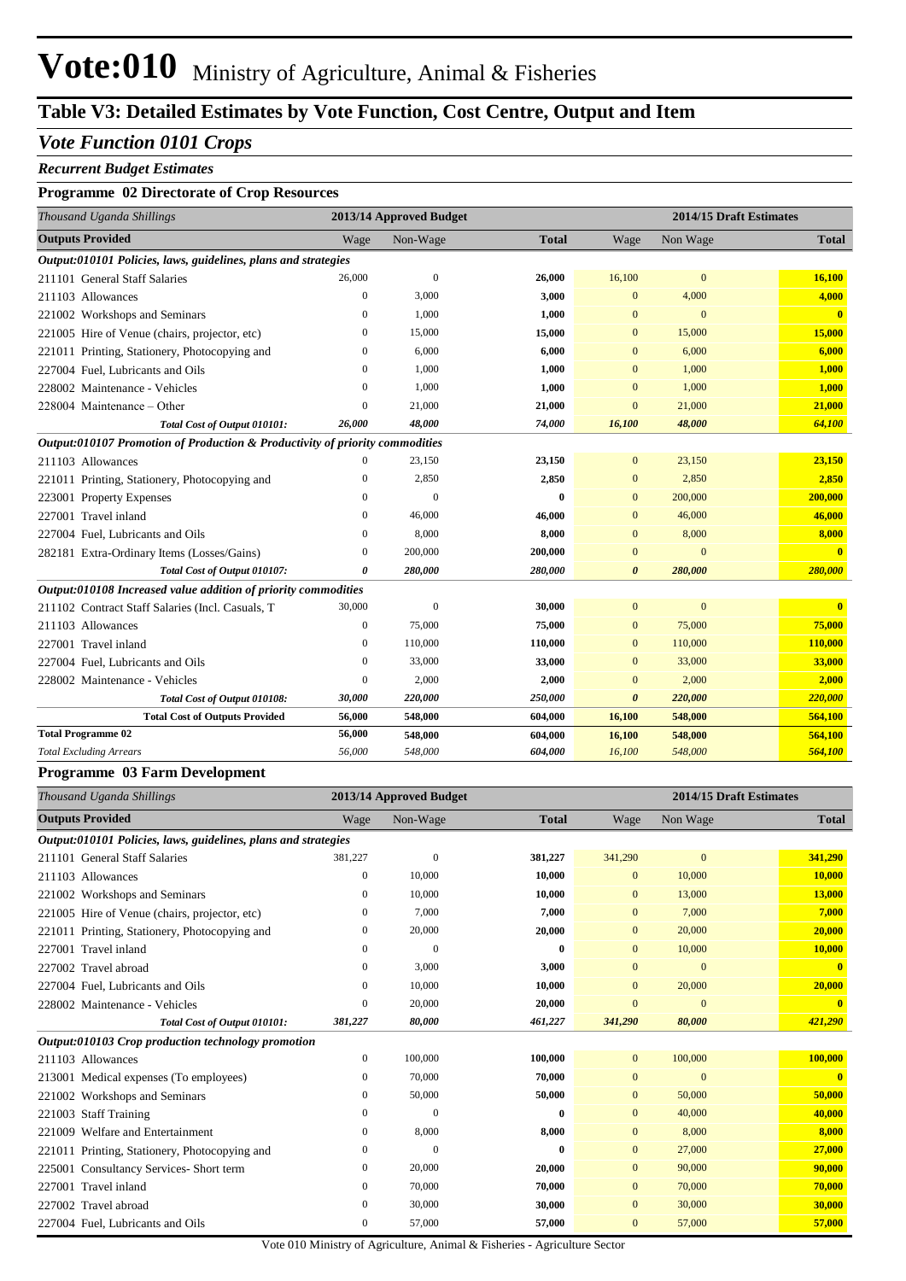## **Table V3: Detailed Estimates by Vote Function, Cost Centre, Output and Item**

#### *Vote Function 0101 Crops*

#### *Recurrent Budget Estimates*

#### **Programme 02 Directorate of Crop Resources**

| Thousand Uganda Shillings                                                    |                  | 2013/14 Approved Budget |              |                       | 2014/15 Draft Estimates |              |
|------------------------------------------------------------------------------|------------------|-------------------------|--------------|-----------------------|-------------------------|--------------|
| <b>Outputs Provided</b>                                                      | Wage             | Non-Wage                | <b>Total</b> | Wage                  | Non Wage                | <b>Total</b> |
| Output:010101 Policies, laws, guidelines, plans and strategies               |                  |                         |              |                       |                         |              |
| 211101 General Staff Salaries                                                | 26,000           | $\theta$                | 26,000       | 16,100                | $\mathbf{0}$            | 16,100       |
| 211103 Allowances                                                            | $\bf{0}$         | 3,000                   | 3,000        | $\mathbf{0}$          | 4,000                   | 4,000        |
| 221002 Workshops and Seminars                                                | $\mathbf{0}$     | 1,000                   | 1,000        | $\mathbf{0}$          | $\Omega$                | $\mathbf{0}$ |
| 221005 Hire of Venue (chairs, projector, etc)                                | $\mathbf{0}$     | 15,000                  | 15,000       | $\mathbf{0}$          | 15,000                  | 15,000       |
| 221011 Printing, Stationery, Photocopying and                                | $\Omega$         | 6.000                   | 6,000        | $\mathbf{0}$          | 6,000                   | 6,000        |
| 227004 Fuel, Lubricants and Oils                                             | $\mathbf{0}$     | 1,000                   | 1,000        | $\mathbf{0}$          | 1,000                   | 1,000        |
| 228002 Maintenance - Vehicles                                                | $\mathbf{0}$     | 1,000                   | 1,000        | $\mathbf{0}$          | 1,000                   | 1,000        |
| 228004 Maintenance - Other                                                   | $\mathbf{0}$     | 21,000                  | 21,000       | $\mathbf{0}$          | 21,000                  | 21,000       |
| Total Cost of Output 010101:                                                 | 26,000           | 48,000                  | 74,000       | 16,100                | 48,000                  | 64,100       |
| Output:010107 Promotion of Production & Productivity of priority commodities |                  |                         |              |                       |                         |              |
| 211103 Allowances                                                            | $\mathbf{0}$     | 23,150                  | 23,150       | $\mathbf{0}$          | 23,150                  | 23,150       |
| 221011 Printing, Stationery, Photocopying and                                | $\mathbf{0}$     | 2,850                   | 2,850        | $\mathbf{0}$          | 2,850                   | 2,850        |
| 223001 Property Expenses                                                     | $\mathbf{0}$     | $\theta$                | $\bf{0}$     | $\mathbf{0}$          | 200,000                 | 200,000      |
| 227001 Travel inland                                                         | $\Omega$         | 46,000                  | 46,000       | $\mathbf{0}$          | 46,000                  | 46,000       |
| 227004 Fuel, Lubricants and Oils                                             | $\mathbf{0}$     | 8.000                   | 8,000        | $\mathbf{0}$          | 8,000                   | 8,000        |
| 282181 Extra-Ordinary Items (Losses/Gains)                                   | $\bf{0}$         | 200,000                 | 200,000      | $\overline{0}$        | $\mathbf{0}$            | $\mathbf{0}$ |
| Total Cost of Output 010107:                                                 | 0                | 280,000                 | 280,000      | $\boldsymbol{\theta}$ | 280,000                 | 280,000      |
| Output:010108 Increased value addition of priority commodities               |                  |                         |              |                       |                         |              |
| 211102 Contract Staff Salaries (Incl. Casuals, T                             | 30,000           | $\boldsymbol{0}$        | 30,000       | $\mathbf{0}$          | $\mathbf{0}$            | $\mathbf{0}$ |
| 211103 Allowances                                                            | $\mathbf{0}$     | 75,000                  | 75,000       | $\mathbf{0}$          | 75,000                  | 75,000       |
| 227001 Travel inland                                                         | $\boldsymbol{0}$ | 110,000                 | 110,000      | $\mathbf{0}$          | 110,000                 | 110,000      |
| 227004 Fuel, Lubricants and Oils                                             | $\mathbf{0}$     | 33,000                  | 33,000       | $\mathbf{0}$          | 33,000                  | 33,000       |
| 228002 Maintenance - Vehicles                                                | $\mathbf{0}$     | 2,000                   | 2,000        | $\mathbf{0}$          | 2,000                   | 2,000        |
| Total Cost of Output 010108:                                                 | 30,000           | 220,000                 | 250,000      | $\boldsymbol{\theta}$ | 220,000                 | 220,000      |
| <b>Total Cost of Outputs Provided</b>                                        | 56,000           | 548,000                 | 604,000      | 16,100                | 548,000                 | 564,100      |
| <b>Total Programme 02</b>                                                    | 56,000           | 548,000                 | 604,000      | 16,100                | 548,000                 | 564,100      |
| <b>Total Excluding Arrears</b>                                               | 56,000           | 548,000                 | 604,000      | 16,100                | 548,000                 | 564,100      |

#### **Programme 03 Farm Development**

| Thousand Uganda Shillings                                      |                  | 2013/14 Approved Budget |              |                | 2014/15 Draft Estimates |              |
|----------------------------------------------------------------|------------------|-------------------------|--------------|----------------|-------------------------|--------------|
| <b>Outputs Provided</b>                                        | Wage             | Non-Wage                | <b>Total</b> | Wage           | Non Wage                | <b>Total</b> |
| Output:010101 Policies, laws, guidelines, plans and strategies |                  |                         |              |                |                         |              |
| 211101 General Staff Salaries                                  | 381,227          | $\theta$                | 381,227      | 341,290        | $\mathbf{0}$            | 341,290      |
| 211103 Allowances                                              | $\mathbf{0}$     | 10,000                  | 10,000       | $\overline{0}$ | 10,000                  | 10,000       |
| 221002 Workshops and Seminars                                  | $\mathbf{0}$     | 10,000                  | 10,000       | $\overline{0}$ | 13,000                  | 13,000       |
| 221005 Hire of Venue (chairs, projector, etc)                  | $\mathbf{0}$     | 7,000                   | 7,000        | $\overline{0}$ | 7,000                   | 7,000        |
| 221011 Printing, Stationery, Photocopying and                  | $\mathbf{0}$     | 20,000                  | 20,000       | $\mathbf{0}$   | 20,000                  | 20,000       |
| 227001 Travel inland                                           | $\mathbf{0}$     | $\theta$                | $\bf{0}$     | $\mathbf{0}$   | 10,000                  | 10,000       |
| 227002 Travel abroad                                           | $\mathbf{0}$     | 3,000                   | 3,000        | $\overline{0}$ | $\overline{0}$          | $\mathbf{0}$ |
| 227004 Fuel, Lubricants and Oils                               | $\boldsymbol{0}$ | 10,000                  | 10,000       | $\overline{0}$ | 20,000                  | 20,000       |
| 228002 Maintenance - Vehicles                                  | $\mathbf{0}$     | 20,000                  | 20,000       | $\overline{0}$ | $\overline{0}$          | $\mathbf{0}$ |
| Total Cost of Output 010101:                                   | 381,227          | 80,000                  | 461,227      | 341,290        | 80,000                  | 421,290      |
| Output:010103 Crop production technology promotion             |                  |                         |              |                |                         |              |
| 211103 Allowances                                              | $\boldsymbol{0}$ | 100,000                 | 100,000      | $\overline{0}$ | 100,000                 | 100,000      |
| 213001 Medical expenses (To employees)                         | $\mathbf{0}$     | 70,000                  | 70,000       | 0              | $\overline{0}$          | $\mathbf{0}$ |
| 221002 Workshops and Seminars                                  | $\boldsymbol{0}$ | 50,000                  | 50,000       | $\overline{0}$ | 50,000                  | 50,000       |
| 221003 Staff Training                                          | $\mathbf{0}$     | $\theta$                | $\mathbf{0}$ | $\overline{0}$ | 40,000                  | 40,000       |
| 221009 Welfare and Entertainment                               | $\boldsymbol{0}$ | 8,000                   | 8,000        | $\mathbf{0}$   | 8,000                   | 8,000        |
| 221011 Printing, Stationery, Photocopying and                  | $\mathbf{0}$     | $\overline{0}$          | $\bf{0}$     | $\mathbf{0}$   | 27,000                  | 27,000       |
| 225001 Consultancy Services- Short term                        | $\boldsymbol{0}$ | 20,000                  | 20,000       | $\mathbf{0}$   | 90,000                  | 90,000       |
| 227001 Travel inland                                           | $\mathbf{0}$     | 70,000                  | 70,000       | $\mathbf{0}$   | 70,000                  | 70,000       |
| 227002 Travel abroad                                           | $\mathbf{0}$     | 30,000                  | 30,000       | $\mathbf{0}$   | 30,000                  | 30,000       |
| 227004 Fuel, Lubricants and Oils                               | $\boldsymbol{0}$ | 57,000                  | 57,000       | $\overline{0}$ | 57,000                  | 57,000       |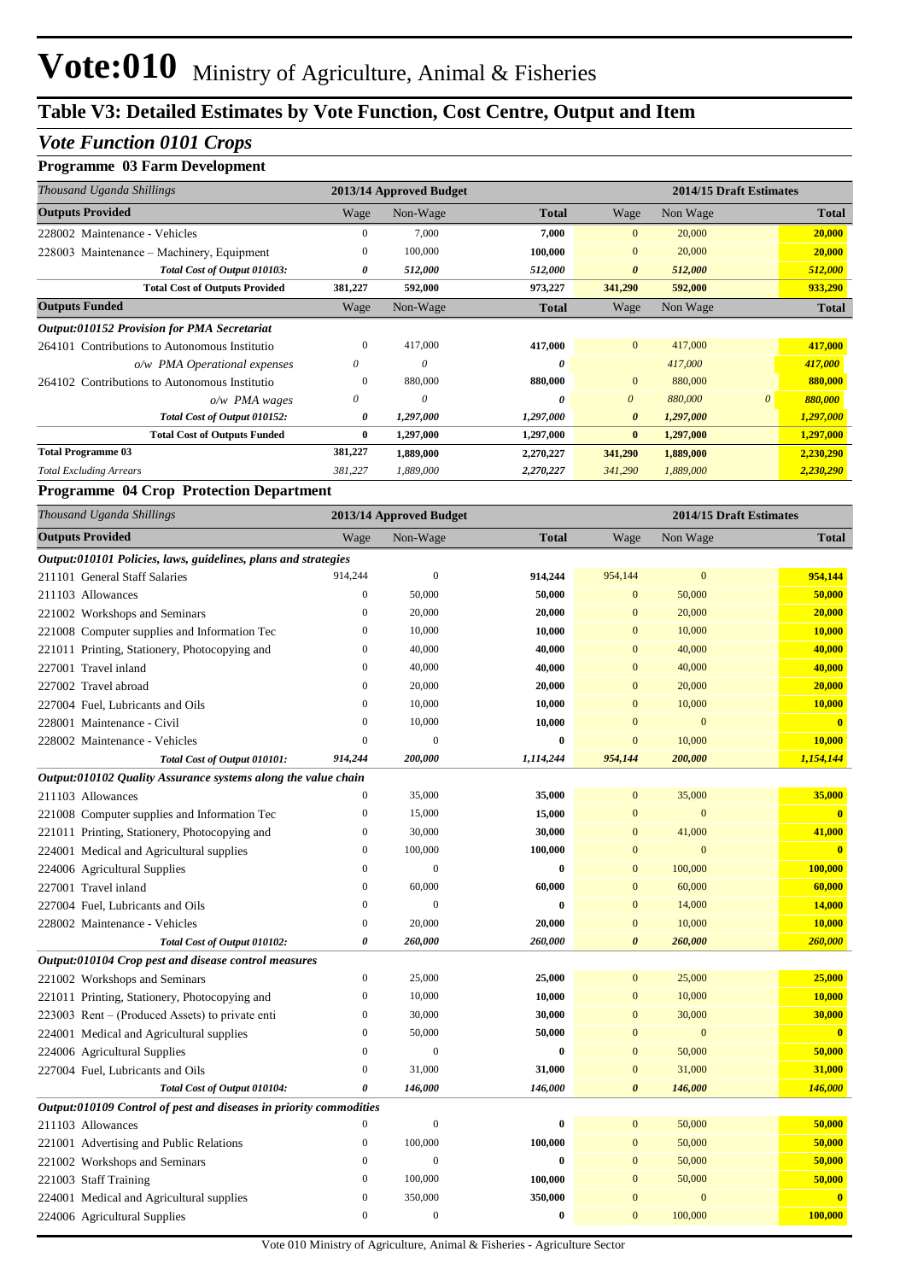#### *Vote Function 0101 Crops*

#### **Programme 03 Farm Development**

| Thousand Uganda Shillings                          |              | 2013/14 Approved Budget |              |                       | 2014/15 Draft Estimates |          |              |
|----------------------------------------------------|--------------|-------------------------|--------------|-----------------------|-------------------------|----------|--------------|
| <b>Outputs Provided</b>                            | Wage         | Non-Wage                | <b>Total</b> | Wage                  | Non Wage                |          | <b>Total</b> |
| 228002 Maintenance - Vehicles                      | 0            | 7,000                   | 7,000        | $\overline{0}$        | 20,000                  |          | 20,000       |
| 228003 Maintenance – Machinery, Equipment          | $\mathbf{0}$ | 100,000                 | 100,000      | $\overline{0}$        | 20,000                  |          | 20,000       |
| Total Cost of Output 010103:                       | 0            | 512,000                 | 512,000      | $\theta$              | 512,000                 |          | 512,000      |
| <b>Total Cost of Outputs Provided</b>              | 381,227      | 592,000                 | 973,227      | 341,290               | 592,000                 |          | 933,290      |
| <b>Outputs Funded</b>                              | Wage         | Non-Wage                | <b>Total</b> | Wage                  | Non Wage                |          | <b>Total</b> |
| <b>Output:010152 Provision for PMA Secretariat</b> |              |                         |              |                       |                         |          |              |
| 264101 Contributions to Autonomous Institutio      | $\Omega$     | 417,000                 | 417,000      | $\overline{0}$        | 417,000                 |          | 417,000      |
| o/w PMA Operational expenses                       | 0            | $\theta$                | 0            |                       | 417,000                 |          | 417,000      |
| 264102 Contributions to Autonomous Institutio      | $\bf{0}$     | 880,000                 | 880,000      | $\overline{0}$        | 880,000                 |          | 880,000      |
| $o/w$ PMA wages                                    | $\theta$     | $\theta$                | 0            | $\theta$              | 880,000                 | $\theta$ | 880,000      |
| Total Cost of Output 010152:                       | 0            | 1,297,000               | 1,297,000    | $\boldsymbol{\theta}$ | 1,297,000               |          | 1,297,000    |
| <b>Total Cost of Outputs Funded</b>                | $\bf{0}$     | 1,297,000               | 1,297,000    | $\bf{0}$              | 1,297,000               |          | 1,297,000    |
| <b>Total Programme 03</b>                          | 381,227      | 1,889,000               | 2,270,227    | 341,290               | 1,889,000               |          | 2,230,290    |
| <b>Total Excluding Arrears</b>                     | 381,227      | 1,889,000               | 2,270,227    | 341,290               | 1,889,000               |          | 2,230,290    |

#### **Programme 04 Crop Protection Department**

| Thousand Uganda Shillings                                          |                  | 2013/14 Approved Budget |           |                       | 2014/15 Draft Estimates |                         |
|--------------------------------------------------------------------|------------------|-------------------------|-----------|-----------------------|-------------------------|-------------------------|
| <b>Outputs Provided</b>                                            | Wage             | Non-Wage                | Total     | Wage                  | Non Wage                | <b>Total</b>            |
| Output:010101 Policies, laws, guidelines, plans and strategies     |                  |                         |           |                       |                         |                         |
| 211101 General Staff Salaries                                      | 914,244          | $\boldsymbol{0}$        | 914,244   | 954,144               | $\mathbf{0}$            | 954,144                 |
| 211103 Allowances                                                  | $\overline{0}$   | 50,000                  | 50,000    | $\mathbf{0}$          | 50,000                  | 50,000                  |
| 221002 Workshops and Seminars                                      | $\boldsymbol{0}$ | 20,000                  | 20,000    | $\mathbf{0}$          | 20,000                  | 20,000                  |
| 221008 Computer supplies and Information Tec                       | $\overline{0}$   | 10,000                  | 10,000    | $\mathbf{0}$          | 10,000                  | 10,000                  |
| 221011 Printing, Stationery, Photocopying and                      | $\mathbf{0}$     | 40,000                  | 40,000    | $\mathbf{0}$          | 40,000                  | 40,000                  |
| 227001 Travel inland                                               | $\mathbf{0}$     | 40,000                  | 40,000    | $\overline{0}$        | 40,000                  | 40,000                  |
| 227002 Travel abroad                                               | $\overline{0}$   | 20,000                  | 20,000    | $\mathbf{0}$          | 20,000                  | 20,000                  |
| 227004 Fuel, Lubricants and Oils                                   | $\boldsymbol{0}$ | 10,000                  | 10,000    | $\mathbf{0}$          | 10,000                  | 10,000                  |
| 228001 Maintenance - Civil                                         | $\overline{0}$   | 10,000                  | 10,000    | $\overline{0}$        | $\mathbf{0}$            | $\mathbf{0}$            |
| 228002 Maintenance - Vehicles                                      | $\overline{0}$   | $\mathbf{0}$            | $\bf{0}$  | $\overline{0}$        | 10,000                  | 10,000                  |
| Total Cost of Output 010101:                                       | 914,244          | 200,000                 | 1,114,244 | 954,144               | 200,000                 | 1,154,144               |
| Output:010102 Quality Assurance systems along the value chain      |                  |                         |           |                       |                         |                         |
| 211103 Allowances                                                  | $\overline{0}$   | 35,000                  | 35,000    | $\mathbf{0}$          | 35,000                  | 35,000                  |
| 221008 Computer supplies and Information Tec                       | $\mathbf{0}$     | 15,000                  | 15,000    | $\overline{0}$        | $\mathbf{0}$            | $\overline{\mathbf{0}}$ |
| 221011 Printing, Stationery, Photocopying and                      | $\boldsymbol{0}$ | 30,000                  | 30,000    | $\mathbf{0}$          | 41,000                  | 41,000                  |
| 224001 Medical and Agricultural supplies                           | $\boldsymbol{0}$ | 100,000                 | 100,000   | $\mathbf{0}$          | $\mathbf{0}$            | $\overline{\mathbf{0}}$ |
| 224006 Agricultural Supplies                                       | $\mathbf{0}$     | $\overline{0}$          | $\bf{0}$  | $\mathbf{0}$          | 100,000                 | 100,000                 |
| 227001 Travel inland                                               | $\overline{0}$   | 60,000                  | 60,000    | $\overline{0}$        | 60,000                  | 60,000                  |
| 227004 Fuel, Lubricants and Oils                                   | $\mathbf{0}$     | $\mathbf{0}$            | $\bf{0}$  | $\overline{0}$        | 14,000                  | 14,000                  |
| 228002 Maintenance - Vehicles                                      | $\boldsymbol{0}$ | 20,000                  | 20,000    | $\mathbf{0}$          | 10,000                  | 10,000                  |
| Total Cost of Output 010102:                                       | 0                | 260,000                 | 260,000   | $\boldsymbol{\theta}$ | 260,000                 | 260,000                 |
| Output:010104 Crop pest and disease control measures               |                  |                         |           |                       |                         |                         |
| 221002 Workshops and Seminars                                      | $\boldsymbol{0}$ | 25,000                  | 25,000    | $\mathbf{0}$          | 25,000                  | 25,000                  |
| 221011 Printing, Stationery, Photocopying and                      | $\boldsymbol{0}$ | 10,000                  | 10,000    | $\mathbf{0}$          | 10,000                  | 10,000                  |
| 223003 Rent – (Produced Assets) to private enti                    | 0                | 30,000                  | 30,000    | $\boldsymbol{0}$      | 30,000                  | 30,000                  |
| 224001 Medical and Agricultural supplies                           | $\mathbf{0}$     | 50,000                  | 50,000    | $\mathbf{0}$          | $\mathbf{0}$            | $\mathbf{0}$            |
| 224006 Agricultural Supplies                                       | $\overline{0}$   | $\boldsymbol{0}$        | $\bf{0}$  | $\overline{0}$        | 50,000                  | 50,000                  |
| 227004 Fuel, Lubricants and Oils                                   | $\boldsymbol{0}$ | 31,000                  | 31,000    | $\mathbf{0}$          | 31,000                  | 31,000                  |
| Total Cost of Output 010104:                                       | 0                | 146,000                 | 146,000   | $\boldsymbol{\theta}$ | 146,000                 | 146,000                 |
| Output:010109 Control of pest and diseases in priority commodities |                  |                         |           |                       |                         |                         |
| 211103 Allowances                                                  | $\overline{0}$   | $\mathbf{0}$            | $\bf{0}$  | $\overline{0}$        | 50,000                  | 50,000                  |
| 221001 Advertising and Public Relations                            | $\mathbf{0}$     | 100,000                 | 100,000   | $\mathbf{0}$          | 50,000                  | 50,000                  |
| 221002 Workshops and Seminars                                      | $\boldsymbol{0}$ | $\mathbf{0}$            | $\bf{0}$  | $\mathbf{0}$          | 50,000                  | 50,000                  |
| 221003 Staff Training                                              | $\boldsymbol{0}$ | 100,000                 | 100,000   | $\mathbf{0}$          | 50,000                  | 50,000                  |
| 224001 Medical and Agricultural supplies                           | 0                | 350,000                 | 350,000   | $\mathbf{0}$          | $\mathbf{0}$            | $\overline{\mathbf{0}}$ |
| 224006 Agricultural Supplies                                       | $\overline{0}$   | $\mathbf{0}$            | $\bf{0}$  | $\overline{0}$        | 100,000                 | 100,000                 |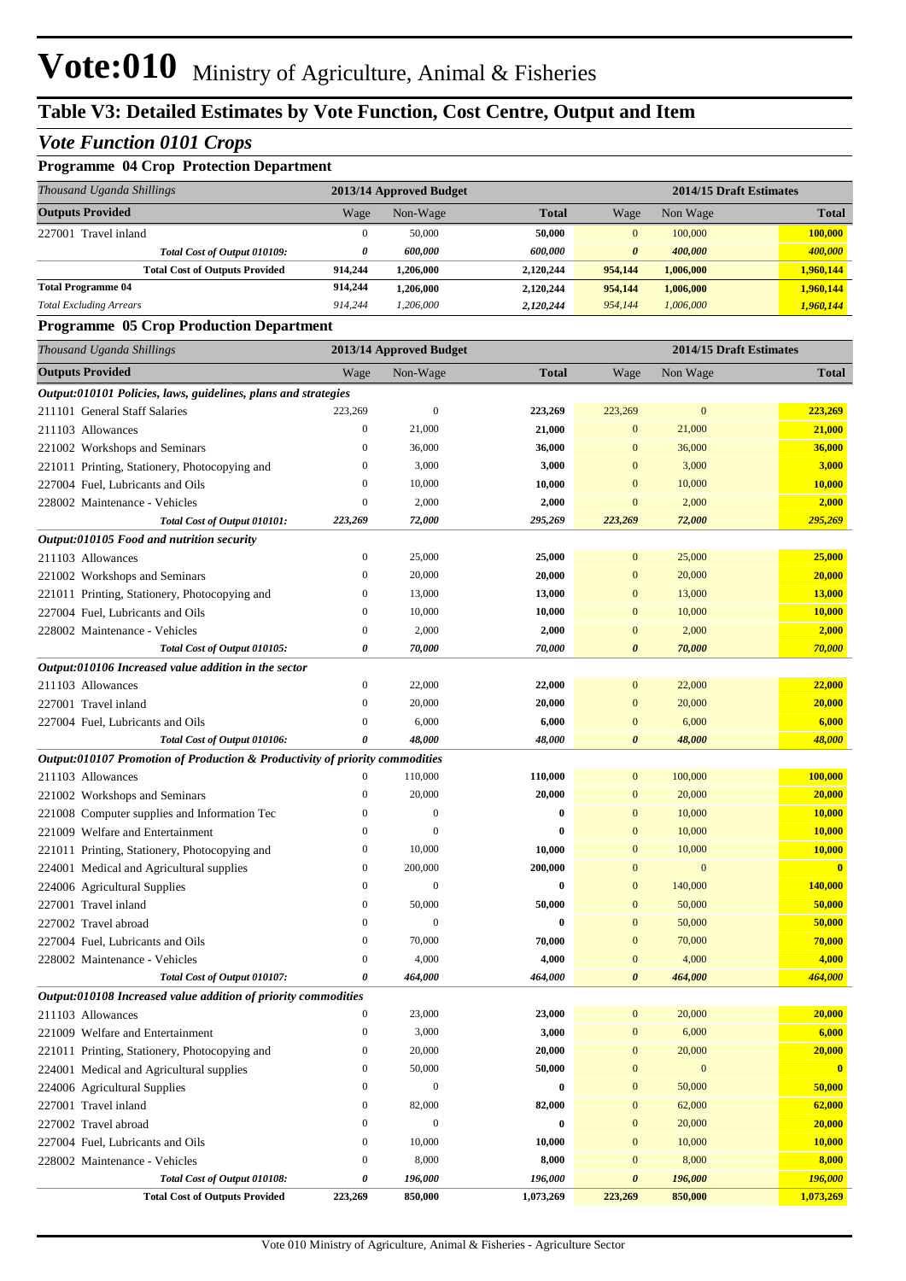#### *Vote Function 0101 Crops*

### **Programme 04 Crop Protection Department**

| Thousand Uganda Shillings             | 2013/14 Approved Budget |           |              | 2014/15 Draft Estimates |           |              |
|---------------------------------------|-------------------------|-----------|--------------|-------------------------|-----------|--------------|
| <b>Outputs Provided</b>               | Wage                    | Non-Wage  | <b>Total</b> | Wage                    | Non Wage  | <b>Total</b> |
| Travel inland<br>227001               | 0                       | 50,000    | 50,000       | 0                       | 100,000   | 100,000      |
| Total Cost of Output 010109:          | 0                       | 600.000   | 600.000      | $\boldsymbol{\theta}$   | 400.000   | 400,000      |
| <b>Total Cost of Outputs Provided</b> | 914.244                 | 1,206,000 | 2,120,244    | 954,144                 | 1.006.000 | 1,960,144    |
| <b>Total Programme 04</b>             | 914,244                 | 1,206,000 | 2,120,244    | 954,144                 | 1,006,000 | 1,960,144    |
| <b>Total Excluding Arrears</b>        | 914.244                 | 1,206,000 | 2,120,244    | 954,144                 | 1.006.000 | 1,960,144    |

#### **Programme 05 Crop Production Department**

| Thousand Uganda Shillings                                                    |                  | 2013/14 Approved Budget |              |                       |                  | 2014/15 Draft Estimates |
|------------------------------------------------------------------------------|------------------|-------------------------|--------------|-----------------------|------------------|-------------------------|
| <b>Outputs Provided</b>                                                      | Wage             | Non-Wage                | <b>Total</b> | Wage                  | Non Wage         | <b>Total</b>            |
| Output:010101 Policies, laws, guidelines, plans and strategies               |                  |                         |              |                       |                  |                         |
| 211101 General Staff Salaries                                                | 223,269          | $\mathbf{0}$            | 223,269      | 223,269               | $\mathbf{0}$     | 223,269                 |
| 211103 Allowances                                                            | $\boldsymbol{0}$ | 21,000                  | 21,000       | $\mathbf{0}$          | 21,000           | 21,000                  |
| 221002 Workshops and Seminars                                                | $\boldsymbol{0}$ | 36,000                  | 36,000       | $\bf{0}$              | 36,000           | 36,000                  |
| 221011 Printing, Stationery, Photocopying and                                | $\boldsymbol{0}$ | 3,000                   | 3,000        | $\bf{0}$              | 3,000            | 3,000                   |
| 227004 Fuel, Lubricants and Oils                                             | $\boldsymbol{0}$ | 10,000                  | 10,000       | $\bf{0}$              | 10,000           | 10,000                  |
| 228002 Maintenance - Vehicles                                                | $\boldsymbol{0}$ | 2,000                   | 2,000        | $\bf{0}$              | 2,000            | 2,000                   |
| Total Cost of Output 010101:                                                 | 223,269          | 72,000                  | 295,269      | 223,269               | 72,000           | 295,269                 |
| Output:010105 Food and nutrition security                                    |                  |                         |              |                       |                  |                         |
| 211103 Allowances                                                            | $\boldsymbol{0}$ | 25,000                  | 25,000       | $\mathbf{0}$          | 25,000           | 25,000                  |
| 221002 Workshops and Seminars                                                | $\boldsymbol{0}$ | 20,000                  | 20,000       | $\mathbf{0}$          | 20,000           | 20,000                  |
| 221011 Printing, Stationery, Photocopying and                                | $\boldsymbol{0}$ | 13,000                  | 13,000       | $\bf{0}$              | 13,000           | 13,000                  |
| 227004 Fuel, Lubricants and Oils                                             | $\boldsymbol{0}$ | 10,000                  | 10,000       | $\bf{0}$              | 10,000           | 10,000                  |
| 228002 Maintenance - Vehicles                                                | $\boldsymbol{0}$ | 2,000                   | 2,000        | $\bf{0}$              | 2,000            | 2,000                   |
| Total Cost of Output 010105:                                                 | 0                | 70,000                  | 70,000       | $\boldsymbol{\theta}$ | 70,000           | 70,000                  |
| Output:010106 Increased value addition in the sector                         |                  |                         |              |                       |                  |                         |
| 211103 Allowances                                                            | $\boldsymbol{0}$ | 22,000                  | 22,000       | $\boldsymbol{0}$      | 22,000           | 22,000                  |
| 227001 Travel inland                                                         | $\mathbf{0}$     | 20,000                  | 20,000       | $\boldsymbol{0}$      | 20,000           | 20,000                  |
| 227004 Fuel, Lubricants and Oils                                             | $\boldsymbol{0}$ | 6,000                   | 6,000        | $\bf{0}$              | 6,000            | 6,000                   |
| Total Cost of Output 010106:                                                 | 0                | 48,000                  | 48,000       | 0                     | 48,000           | 48,000                  |
| Output:010107 Promotion of Production & Productivity of priority commodities |                  |                         |              |                       |                  |                         |
| 211103 Allowances                                                            | $\boldsymbol{0}$ | 110,000                 | 110,000      | $\mathbf{0}$          | 100,000          | 100,000                 |
| 221002 Workshops and Seminars                                                | $\boldsymbol{0}$ | 20,000                  | 20,000       | $\boldsymbol{0}$      | 20,000           | 20,000                  |
| 221008 Computer supplies and Information Tec                                 | $\boldsymbol{0}$ | $\mathbf{0}$            | $\bf{0}$     | $\mathbf{0}$          | 10,000           | 10,000                  |
| 221009 Welfare and Entertainment                                             | $\mathbf{0}$     | $\mathbf{0}$            | 0            | $\mathbf{0}$          | 10,000           | 10,000                  |
| 221011 Printing, Stationery, Photocopying and                                | $\boldsymbol{0}$ | 10,000                  | 10,000       | $\mathbf{0}$          | 10,000           | 10,000                  |
| 224001 Medical and Agricultural supplies                                     | $\boldsymbol{0}$ | 200,000                 | 200,000      | $\mathbf{0}$          | $\mathbf{0}$     | $\overline{\mathbf{0}}$ |
| 224006 Agricultural Supplies                                                 | $\mathbf{0}$     | $\mathbf{0}$            | $\bf{0}$     | $\mathbf{0}$          | 140,000          | 140,000                 |
| 227001 Travel inland                                                         | $\boldsymbol{0}$ | 50,000                  | 50,000       | $\mathbf{0}$          | 50,000           | 50,000                  |
| 227002 Travel abroad                                                         | $\boldsymbol{0}$ | $\mathbf{0}$            | $\bf{0}$     | $\mathbf{0}$          | 50,000           | 50,000                  |
| 227004 Fuel, Lubricants and Oils                                             | $\mathbf{0}$     | 70,000                  | 70,000       | $\mathbf{0}$          | 70,000           | 70,000                  |
| 228002 Maintenance - Vehicles                                                | $\boldsymbol{0}$ | 4,000                   | 4,000        | $\mathbf{0}$          | 4,000            | 4,000                   |
| Total Cost of Output 010107:                                                 | 0                | 464,000                 | 464,000      | $\boldsymbol{\theta}$ | 464,000          | 464,000                 |
| Output:010108 Increased value addition of priority commodities               |                  |                         |              |                       |                  |                         |
| 211103 Allowances                                                            | $\boldsymbol{0}$ | 23,000                  | 23,000       | $\boldsymbol{0}$      | 20,000           | 20,000                  |
| 221009 Welfare and Entertainment                                             | $\boldsymbol{0}$ | 3,000                   | 3,000        | $\boldsymbol{0}$      | 6,000            | 6,000                   |
| 221011 Printing, Stationery, Photocopying and                                | $\boldsymbol{0}$ | 20,000                  | 20,000       | $\boldsymbol{0}$      | 20,000           | 20,000                  |
| 224001 Medical and Agricultural supplies                                     | $\boldsymbol{0}$ | 50,000                  | 50,000       | $\boldsymbol{0}$      | $\boldsymbol{0}$ | $\mathbf{0}$            |
| 224006 Agricultural Supplies                                                 | $\boldsymbol{0}$ | $\boldsymbol{0}$        | $\pmb{0}$    | $\boldsymbol{0}$      | 50,000           | 50,000                  |
| 227001 Travel inland                                                         | $\boldsymbol{0}$ | 82,000                  | 82,000       | $\boldsymbol{0}$      | 62,000           | 62,000                  |
| 227002 Travel abroad                                                         | $\boldsymbol{0}$ | $\mathbf{0}$            | $\bf{0}$     | $\boldsymbol{0}$      | 20,000           | 20,000                  |
| 227004 Fuel, Lubricants and Oils                                             | $\boldsymbol{0}$ | 10,000                  | 10,000       | $\boldsymbol{0}$      | 10,000           | 10,000                  |
| 228002 Maintenance - Vehicles                                                | $\boldsymbol{0}$ | 8,000                   | 8,000        | $\boldsymbol{0}$      | 8,000            | 8,000                   |
| Total Cost of Output 010108:                                                 | 0                | 196,000                 | 196,000      | 0                     | 196,000          | 196,000                 |
| <b>Total Cost of Outputs Provided</b>                                        | 223,269          | 850,000                 | 1,073,269    | 223,269               | 850,000          | 1,073,269               |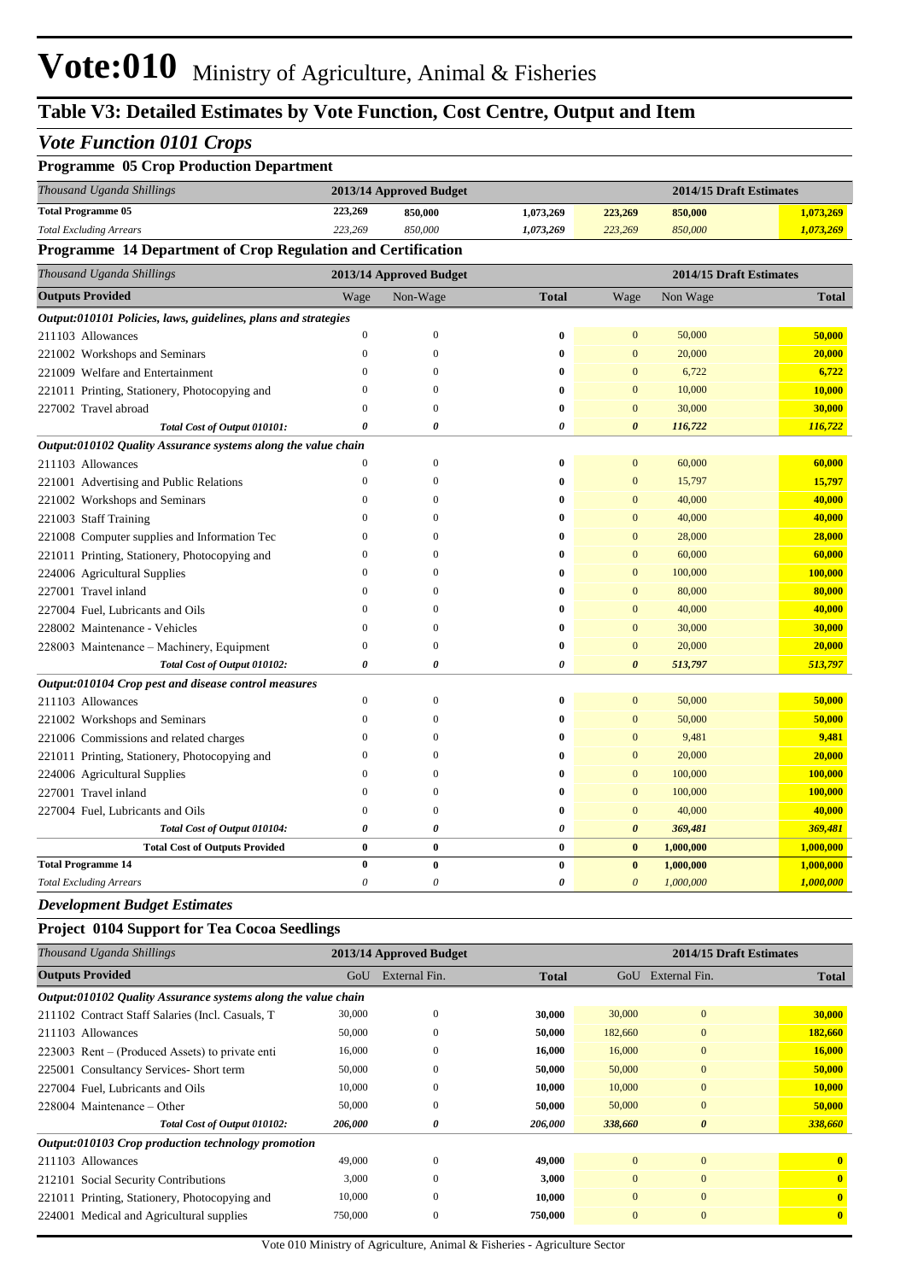## **Table V3: Detailed Estimates by Vote Function, Cost Centre, Output and Item**

#### *Vote Function 0101 Crops*

| <b>Programme 05 Crop Production Department</b>                 |                  |                         |                       |                       |                         |              |
|----------------------------------------------------------------|------------------|-------------------------|-----------------------|-----------------------|-------------------------|--------------|
| Thousand Uganda Shillings                                      |                  | 2013/14 Approved Budget |                       |                       | 2014/15 Draft Estimates |              |
| <b>Total Programme 05</b>                                      | 223,269          | 850,000                 | 1,073,269             | 223,269               | 850,000                 | 1,073,269    |
| <b>Total Excluding Arrears</b>                                 | 223,269          | 850,000                 | 1,073,269             | 223,269               | 850,000                 | 1,073,269    |
| Programme 14 Department of Crop Regulation and Certification   |                  |                         |                       |                       |                         |              |
| Thousand Uganda Shillings                                      |                  | 2013/14 Approved Budget |                       |                       | 2014/15 Draft Estimates |              |
| <b>Outputs Provided</b>                                        | Wage             | Non-Wage                | <b>Total</b>          | Wage                  | Non Wage                | <b>Total</b> |
| Output:010101 Policies, laws, guidelines, plans and strategies |                  |                         |                       |                       |                         |              |
| 211103 Allowances                                              | $\mathbf{0}$     | $\overline{0}$          | $\bf{0}$              | $\mathbf{0}$          | 50,000                  | 50,000       |
| 221002 Workshops and Seminars                                  | $\mathbf{0}$     | $\mathbf{0}$            | $\bf{0}$              | $\mathbf{0}$          | 20,000                  | 20,000       |
| 221009 Welfare and Entertainment                               | $\overline{0}$   | $\overline{0}$          | $\bf{0}$              | $\mathbf{0}$          | 6,722                   | 6,722        |
| 221011 Printing, Stationery, Photocopying and                  | $\Omega$         | $\Omega$                | $\bf{0}$              | $\overline{0}$        | 10,000                  | 10,000       |
| 227002 Travel abroad                                           | $\mathbf{0}$     | $\overline{0}$          | $\bf{0}$              | $\mathbf{0}$          | 30,000                  | 30,000       |
| Total Cost of Output 010101:                                   | 0                | 0                       | $\theta$              | $\boldsymbol{\theta}$ | 116,722                 | 116,722      |
| Output:010102 Quality Assurance systems along the value chain  |                  |                         |                       |                       |                         |              |
| 211103 Allowances                                              | $\theta$         | $\mathbf{0}$            | $\bf{0}$              | $\mathbf{0}$          | 60,000                  | 60,000       |
| 221001 Advertising and Public Relations                        | $\mathbf{0}$     | $\overline{0}$          | $\bf{0}$              | $\mathbf{0}$          | 15,797                  | 15,797       |
| 221002 Workshops and Seminars                                  | $\mathbf{0}$     | $\Omega$                | $\bf{0}$              | $\overline{0}$        | 40,000                  | 40,000       |
| 221003 Staff Training                                          | $\mathbf{0}$     | $\Omega$                | $\bf{0}$              | $\mathbf{0}$          | 40,000                  | 40,000       |
| 221008 Computer supplies and Information Tec                   | $\Omega$         | $\Omega$                | $\bf{0}$              | $\mathbf{0}$          | 28,000                  | 28,000       |
| 221011 Printing, Stationery, Photocopying and                  | $\Omega$         | $\Omega$                | $\bf{0}$              | $\mathbf{0}$          | 60,000                  | 60,000       |
| 224006 Agricultural Supplies                                   | $\mathbf{0}$     | $\Omega$                | $\bf{0}$              | $\mathbf{0}$          | 100,000                 | 100,000      |
| 227001 Travel inland                                           | $\theta$         | $\Omega$                | $\bf{0}$              | $\mathbf{0}$          | 80,000                  | 80,000       |
| 227004 Fuel, Lubricants and Oils                               | $\theta$         | $\Omega$                | $\bf{0}$              | $\mathbf{0}$          | 40,000                  | 40,000       |
| 228002 Maintenance - Vehicles                                  | $\overline{0}$   | $\Omega$                | $\bf{0}$              | $\mathbf{0}$          | 30,000                  | 30,000       |
| 228003 Maintenance – Machinery, Equipment                      | $\boldsymbol{0}$ | $\mathbf{0}$            | $\bf{0}$              | $\mathbf{0}$          | 20,000                  | 20,000       |
| Total Cost of Output 010102:                                   | 0                | 0                       | $\pmb{\theta}$        | $\boldsymbol{\theta}$ | 513,797                 | 513,797      |
| Output:010104 Crop pest and disease control measures           |                  |                         |                       |                       |                         |              |
| 211103 Allowances                                              | $\mathbf{0}$     | $\overline{0}$          | $\bf{0}$              | $\mathbf{0}$          | 50,000                  | 50,000       |
| 221002 Workshops and Seminars                                  | $\mathbf{0}$     | $\overline{0}$          | $\bf{0}$              | $\mathbf{0}$          | 50,000                  | 50,000       |
| 221006 Commissions and related charges                         | $\theta$         | $\Omega$                | $\bf{0}$              | $\mathbf{0}$          | 9,481                   | 9,481        |
| 221011 Printing, Stationery, Photocopying and                  | $\mathbf{0}$     | $\Omega$                | $\bf{0}$              | $\mathbf{0}$          | 20,000                  | 20,000       |
| 224006 Agricultural Supplies                                   | $\theta$         | $\Omega$                | $\bf{0}$              | $\mathbf{0}$          | 100,000                 | 100,000      |
| 227001 Travel inland                                           | $\mathbf{0}$     | $\overline{0}$          | $\bf{0}$              | $\overline{0}$        | 100,000                 | 100,000      |
| 227004 Fuel, Lubricants and Oils                               | $\mathbf{0}$     | $\overline{0}$          | $\bf{0}$              | $\mathbf{0}$          | 40,000                  | 40,000       |
| Total Cost of Output 010104:                                   | 0                | 0                       | $\pmb{\theta}$        | $\boldsymbol{\theta}$ | 369,481                 | 369,481      |
| <b>Total Cost of Outputs Provided</b>                          | $\bf{0}$         | $\bf{0}$                | $\bf{0}$              | $\bf{0}$              | 1,000,000               | 1,000,000    |
| <b>Total Programme 14</b>                                      | $\bf{0}$         | $\bf{0}$                | $\bf{0}$              | $\bf{0}$              | 1,000,000               | 1,000,000    |
| <b>Total Excluding Arrears</b>                                 | $\theta$         | $\theta$                | $\boldsymbol{\theta}$ | $\theta$              | 1,000,000               | 1,000,000    |

#### *Development Budget Estimates*

#### **Project 0104 Support for Tea Cocoa Seedlings**

| Thousand Uganda Shillings                                     |         | 2013/14 Approved Budget |              |              | 2014/15 Draft Estimates |                         |
|---------------------------------------------------------------|---------|-------------------------|--------------|--------------|-------------------------|-------------------------|
| <b>Outputs Provided</b>                                       | GoU     | External Fin.           | <b>Total</b> | GoU          | External Fin.           | <b>Total</b>            |
| Output:010102 Quality Assurance systems along the value chain |         |                         |              |              |                         |                         |
| 211102 Contract Staff Salaries (Incl. Casuals, T.             | 30,000  | $\Omega$                | 30,000       | 30,000       | $\mathbf{0}$            | 30,000                  |
| 211103 Allowances                                             | 50,000  | 0                       | 50,000       | 182,660      | $\mathbf{0}$            | 182,660                 |
| 223003 Rent – (Produced Assets) to private enti               | 16,000  | $\Omega$                | 16,000       | 16,000       | $\mathbf{0}$            | 16,000                  |
| 225001 Consultancy Services- Short term                       | 50,000  | $\Omega$                | 50,000       | 50,000       | $\mathbf{0}$            | 50,000                  |
| 227004 Fuel, Lubricants and Oils                              | 10,000  | $\mathbf{0}$            | 10,000       | 10,000       | $\mathbf{0}$            | <b>10,000</b>           |
| 228004 Maintenance – Other                                    | 50,000  | $\Omega$                | 50,000       | 50,000       | $\mathbf{0}$            | 50,000                  |
| Total Cost of Output 010102:                                  | 206,000 | 0                       | 206,000      | 338,660      | $\boldsymbol{\theta}$   | 338,660                 |
| Output:010103 Crop production technology promotion            |         |                         |              |              |                         |                         |
| 211103 Allowances                                             | 49,000  | $\Omega$                | 49,000       | $\mathbf{0}$ | $\mathbf{0}$            | $\mathbf{0}$            |
| 212101 Social Security Contributions                          | 3,000   | $\mathbf{0}$            | 3,000        | $\mathbf{0}$ | $\mathbf{0}$            | $\overline{\mathbf{0}}$ |
| 221011 Printing, Stationery, Photocopying and                 | 10,000  | $\Omega$                | 10,000       | $\mathbf{0}$ | $\mathbf{0}$            | $\overline{\mathbf{0}}$ |
| 224001 Medical and Agricultural supplies                      | 750,000 | $\mathbf{0}$            | 750,000      | $\mathbf{0}$ | $\mathbf{0}$            | $\overline{\mathbf{0}}$ |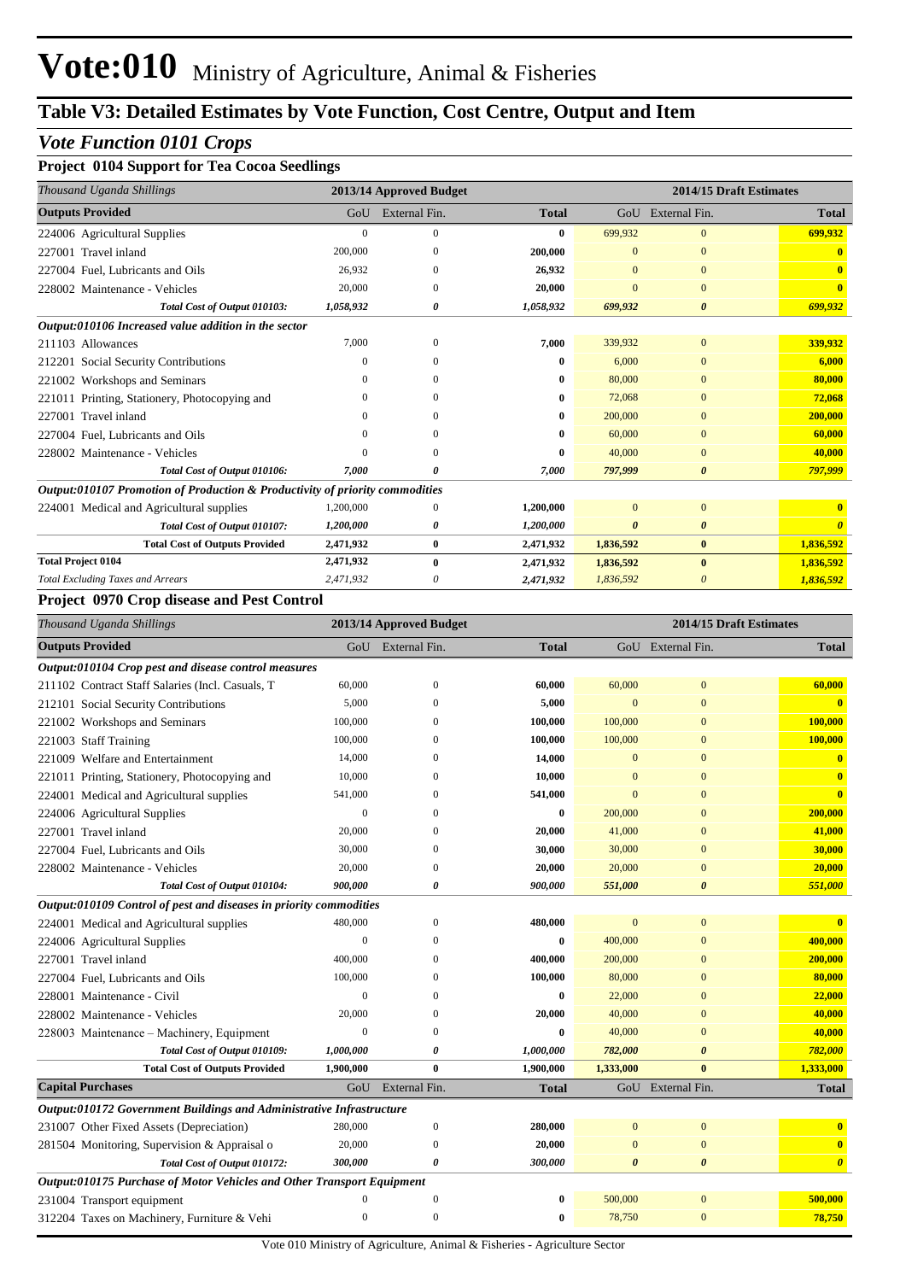### *Vote Function 0101 Crops*

#### **Project 0104 Support for Tea Cocoa Seedlings**

| Thousand Uganda Shillings                                                    | 2013/14 Approved Budget |               |              | 2014/15 Draft Estimates |                       |              |  |
|------------------------------------------------------------------------------|-------------------------|---------------|--------------|-------------------------|-----------------------|--------------|--|
| <b>Outputs Provided</b>                                                      | GoU                     | External Fin. | <b>Total</b> | GoU                     | External Fin.         | <b>Total</b> |  |
| 224006 Agricultural Supplies                                                 | $\Omega$                | $\mathbf{0}$  | 0            | 699,932                 | $\mathbf{0}$          | 699,932      |  |
| 227001 Travel inland                                                         | 200,000                 |               | 200,000      | $\Omega$                | $\mathbf{0}$          |              |  |
| 227004 Fuel, Lubricants and Oils                                             | 26,932                  | 0             | 26,932       | $\Omega$                | $\Omega$              |              |  |
| 228002 Maintenance - Vehicles                                                | 20,000                  | $\Omega$      | 20,000       | $\Omega$                | $\mathbf{0}$          | $\mathbf{0}$ |  |
| Total Cost of Output 010103:                                                 | 1,058,932               | 0             | 1,058,932    | 699,932                 | 0                     | 699,932      |  |
| Output:010106 Increased value addition in the sector                         |                         |               |              |                         |                       |              |  |
| 211103 Allowances                                                            | 7,000                   | $\Omega$      | 7,000        | 339,932                 | $\mathbf{0}$          | 339,932      |  |
| 212201 Social Security Contributions                                         | $\Omega$                | ∩             | 0            | 6,000                   | $\Omega$              | 6,000        |  |
| 221002 Workshops and Seminars                                                | $\Omega$                |               | 0            | 80,000                  | $\Omega$              | 80,000       |  |
| 221011 Printing, Stationery, Photocopying and                                |                         | 0             | 0            | 72,068                  | $\mathbf{0}$          | 72,068       |  |
| 227001 Travel inland                                                         |                         | 0             | 0            | 200,000                 | $\Omega$              | 200,000      |  |
| 227004 Fuel, Lubricants and Oils                                             |                         |               | 0            | 60,000                  | $\Omega$              | 60,000       |  |
| 228002 Maintenance - Vehicles                                                |                         | 0             | 0            | 40,000                  | $\mathbf{0}$          | 40,000       |  |
| Total Cost of Output 010106:                                                 | 7,000                   | 0             | 7,000        | 797,999                 | $\boldsymbol{\theta}$ | 797,999      |  |
| Output:010107 Promotion of Production & Productivity of priority commodities |                         |               |              |                         |                       |              |  |
| 224001 Medical and Agricultural supplies                                     | 1,200,000               | 0             | 1,200,000    | $\overline{0}$          | $\mathbf{0}$          |              |  |
| Total Cost of Output 010107:                                                 | 1,200,000               | 0             | 1,200,000    | $\boldsymbol{\theta}$   | $\boldsymbol{\theta}$ |              |  |
| <b>Total Cost of Outputs Provided</b>                                        | 2,471,932               | $\bf{0}$      | 2,471,932    | 1,836,592               | $\bf{0}$              | 1,836,592    |  |
| <b>Total Project 0104</b>                                                    | 2,471,932               | $\mathbf{0}$  | 2,471,932    | 1,836,592               | $\mathbf{0}$          | 1,836,592    |  |
| <b>Total Excluding Taxes and Arrears</b>                                     | 2,471,932               | 0             | 2,471,932    | 1,836,592               | 0                     | 1,836,592    |  |

#### **Project 0970 Crop disease and Pest Control**

| Thousand Uganda Shillings                                                     |              | 2013/14 Approved Budget |              | 2014/15 Draft Estimates |                       |                         |  |
|-------------------------------------------------------------------------------|--------------|-------------------------|--------------|-------------------------|-----------------------|-------------------------|--|
| <b>Outputs Provided</b>                                                       |              | GoU External Fin.       | <b>Total</b> |                         | GoU External Fin.     | <b>Total</b>            |  |
| Output:010104 Crop pest and disease control measures                          |              |                         |              |                         |                       |                         |  |
| 211102 Contract Staff Salaries (Incl. Casuals, T                              | 60,000       | $\boldsymbol{0}$        | 60,000       | 60,000                  | $\mathbf{0}$          | 60,000                  |  |
| 212101 Social Security Contributions                                          | 5,000        | $\Omega$                | 5,000        | $\overline{0}$          | $\overline{0}$        | $\mathbf{0}$            |  |
| 221002 Workshops and Seminars                                                 | 100,000      | $\theta$                | 100,000      | 100,000                 | $\overline{0}$        | 100,000                 |  |
| 221003 Staff Training                                                         | 100,000      | $\Omega$                | 100,000      | 100,000                 | $\overline{0}$        | 100,000                 |  |
| 221009 Welfare and Entertainment                                              | 14,000       | $\Omega$                | 14,000       | $\overline{0}$          | $\overline{0}$        | $\bf{0}$                |  |
| 221011 Printing, Stationery, Photocopying and                                 | 10,000       | $\theta$                | 10,000       | $\overline{0}$          | $\overline{0}$        | $\overline{\mathbf{0}}$ |  |
| 224001 Medical and Agricultural supplies                                      | 541,000      | $\theta$                | 541,000      | $\overline{0}$          | $\overline{0}$        | $\mathbf{0}$            |  |
| 224006 Agricultural Supplies                                                  | $\mathbf{0}$ | $\theta$                | $\bf{0}$     | 200,000                 | $\overline{0}$        | 200,000                 |  |
| 227001 Travel inland                                                          | 20,000       | $\Omega$                | 20,000       | 41,000                  | $\overline{0}$        | 41,000                  |  |
| 227004 Fuel. Lubricants and Oils                                              | 30,000       | $\Omega$                | 30,000       | 30,000                  | $\overline{0}$        | 30,000                  |  |
| 228002 Maintenance - Vehicles                                                 | 20,000       | $\theta$                | 20,000       | 20,000                  | $\overline{0}$        | 20,000                  |  |
| Total Cost of Output 010104:                                                  | 900,000      | 0                       | 900,000      | 551,000                 | $\boldsymbol{\theta}$ | 551,000                 |  |
| Output:010109 Control of pest and diseases in priority commodities            |              |                         |              |                         |                       |                         |  |
| 224001 Medical and Agricultural supplies                                      | 480,000      | $\mathbf{0}$            | 480,000      | $\mathbf{0}$            | $\boldsymbol{0}$      | $\mathbf{0}$            |  |
| 224006 Agricultural Supplies                                                  | $\mathbf{0}$ | $\theta$                | $\bf{0}$     | 400,000                 | $\overline{0}$        | 400,000                 |  |
| 227001 Travel inland                                                          | 400,000      | $\theta$                | 400,000      | 200,000                 | $\overline{0}$        | 200,000                 |  |
| 227004 Fuel. Lubricants and Oils                                              | 100,000      | $\Omega$                | 100,000      | 80,000                  | $\overline{0}$        | 80,000                  |  |
| 228001 Maintenance - Civil                                                    | $\Omega$     | $\theta$                | $\bf{0}$     | 22,000                  | $\overline{0}$        | 22,000                  |  |
| 228002 Maintenance - Vehicles                                                 | 20,000       | $\Omega$                | 20,000       | 40,000                  | $\overline{0}$        | 40,000                  |  |
| 228003 Maintenance – Machinery, Equipment                                     | $\Omega$     | $\Omega$                | $\bf{0}$     | 40,000                  | $\overline{0}$        | 40,000                  |  |
| Total Cost of Output 010109:                                                  | 1,000,000    | $\boldsymbol{\theta}$   | 1,000,000    | 782,000                 | $\boldsymbol{\theta}$ | 782,000                 |  |
| <b>Total Cost of Outputs Provided</b>                                         | 1,900,000    | $\bf{0}$                | 1,900,000    | 1,333,000               | $\mathbf{0}$          | 1,333,000               |  |
| <b>Capital Purchases</b>                                                      | GoU          | External Fin.           | <b>Total</b> |                         | GoU External Fin.     | <b>Total</b>            |  |
| Output:010172 Government Buildings and Administrative Infrastructure          |              |                         |              |                         |                       |                         |  |
| 231007 Other Fixed Assets (Depreciation)                                      | 280,000      | $\boldsymbol{0}$        | 280,000      | $\overline{0}$          | $\overline{0}$        | $\bf{0}$                |  |
| 281504 Monitoring, Supervision & Appraisal o                                  | 20,000       | $\Omega$                | 20,000       | $\overline{0}$          | $\overline{0}$        | $\mathbf{0}$            |  |
| Total Cost of Output 010172:                                                  | 300,000      | $\boldsymbol{\theta}$   | 300,000      | $\theta$                | $\boldsymbol{\theta}$ | $\boldsymbol{\theta}$   |  |
| <b>Output:010175 Purchase of Motor Vehicles and Other Transport Equipment</b> |              |                         |              |                         |                       |                         |  |
| 231004 Transport equipment                                                    | $\Omega$     | $\mathbf{0}$            | $\bf{0}$     | 500,000                 | $\overline{0}$        | 500,000                 |  |
| 312204 Taxes on Machinery, Furniture & Vehi                                   | $\mathbf{0}$ | $\mathbf{0}$            | $\bf{0}$     | 78,750                  | $\mathbf{0}$          | 78,750                  |  |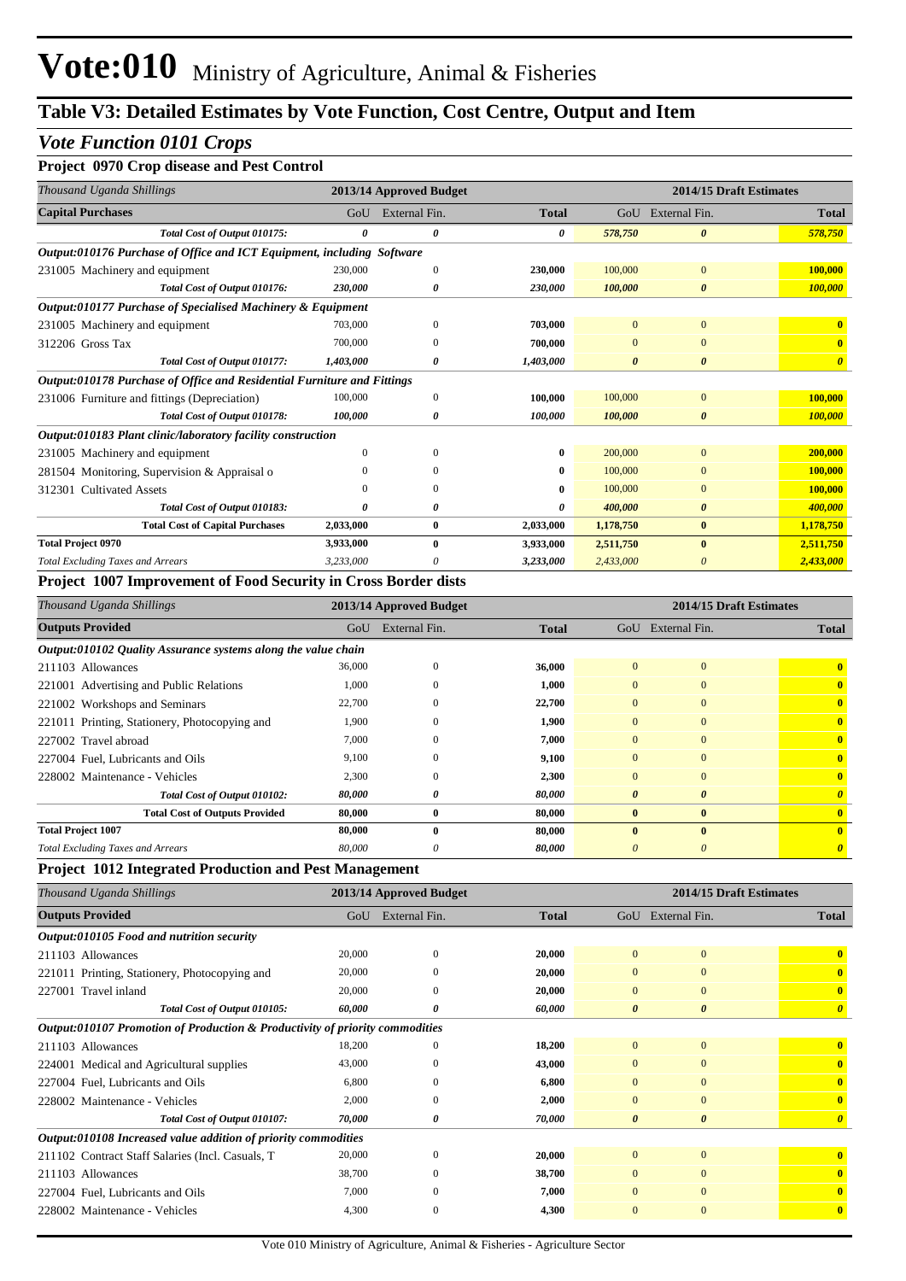#### *Vote Function 0101 Crops*

#### **Project 0970 Crop disease and Pest Control**

| Thousand Uganda Shillings                                               |              | 2013/14 Approved Budget |              | 2014/15 Draft Estimates |                       |                       |  |
|-------------------------------------------------------------------------|--------------|-------------------------|--------------|-------------------------|-----------------------|-----------------------|--|
| <b>Capital Purchases</b>                                                | GoU          | External Fin.           | <b>Total</b> |                         | GoU External Fin.     | <b>Total</b>          |  |
| Total Cost of Output 010175:                                            | 0            | 0                       | 0            | 578,750                 | $\boldsymbol{\theta}$ | 578,750               |  |
| Output:010176 Purchase of Office and ICT Equipment, including Software  |              |                         |              |                         |                       |                       |  |
| 231005 Machinery and equipment                                          | 230,000      | $\Omega$                | 230,000      | 100,000                 | $\mathbf{0}$          | 100,000               |  |
| Total Cost of Output 010176:                                            | 230,000      | 0                       | 230,000      | 100,000                 | $\boldsymbol{\theta}$ | 100,000               |  |
| Output:010177 Purchase of Specialised Machinery & Equipment             |              |                         |              |                         |                       |                       |  |
| 231005 Machinery and equipment                                          | 703,000      | $\mathbf{0}$            | 703,000      | $\mathbf{0}$            | $\mathbf{0}$          | $\mathbf{0}$          |  |
| 312206 Gross Tax                                                        | 700,000      | $\Omega$                | 700,000      |                         | $\Omega$              | $\mathbf{0}$          |  |
| Total Cost of Output 010177:                                            | 1,403,000    | 0                       | 1,403,000    | $\boldsymbol{\theta}$   | $\boldsymbol{\theta}$ | $\boldsymbol{\theta}$ |  |
| Output:010178 Purchase of Office and Residential Furniture and Fittings |              |                         |              |                         |                       |                       |  |
| 231006 Furniture and fittings (Depreciation)                            | 100,000      | 0                       | 100,000      | 100,000                 | $\mathbf{0}$          | 100,000               |  |
| Total Cost of Output 010178:                                            | 100,000      | 0                       | 100,000      | 100,000                 | $\boldsymbol{\theta}$ | 100,000               |  |
| Output:010183 Plant clinic/laboratory facility construction             |              |                         |              |                         |                       |                       |  |
| 231005 Machinery and equipment                                          | $\mathbf{0}$ | $\Omega$                | $\bf{0}$     | 200,000                 | $\mathbf{0}$          | 200,000               |  |
| 281504 Monitoring, Supervision & Appraisal o                            |              |                         | 0            | 100,000                 | $\Omega$              | 100,000               |  |
| 312301 Cultivated Assets                                                | $\Omega$     | $\Omega$                | $\bf{0}$     | 100,000                 | $\Omega$              | 100,000               |  |
| Total Cost of Output 010183:                                            | 0            | 0                       | 0            | 400,000                 | 0                     | 400,000               |  |
| <b>Total Cost of Capital Purchases</b>                                  | 2,033,000    | $\bf{0}$                | 2,033,000    | 1,178,750               | $\bf{0}$              | 1,178,750             |  |
| <b>Total Project 0970</b>                                               | 3,933,000    | $\bf{0}$                | 3,933,000    | 2,511,750               | $\mathbf{0}$          | 2,511,750             |  |
| <b>Total Excluding Taxes and Arrears</b>                                | 3,233,000    |                         | 3,233,000    | 2,433,000               | 0                     | 2,433,000             |  |

#### **Project 1007 Improvement of Food Security in Cross Border dists**

| Thousand Uganda Shillings                                     |        | 2013/14 Approved Budget |              | 2014/15 Draft Estimates |                       |                       |  |  |  |
|---------------------------------------------------------------|--------|-------------------------|--------------|-------------------------|-----------------------|-----------------------|--|--|--|
| <b>Outputs Provided</b>                                       | GoU    | External Fin.           | <b>Total</b> | GoU                     | External Fin.         | <b>Total</b>          |  |  |  |
| Output:010102 Quality Assurance systems along the value chain |        |                         |              |                         |                       |                       |  |  |  |
| 211103 Allowances                                             | 36,000 | $\Omega$                | 36,000       | $\Omega$                | $\mathbf{0}$          | $\mathbf{0}$          |  |  |  |
| 221001 Advertising and Public Relations                       | 1,000  | $\theta$                | 1,000        | $\overline{0}$          | $\mathbf{0}$          | $\mathbf{0}$          |  |  |  |
| 221002 Workshops and Seminars                                 | 22,700 | $\Omega$                | 22,700       | $\mathbf{0}$            | $\Omega$              | $\mathbf{0}$          |  |  |  |
| 221011 Printing, Stationery, Photocopying and                 | 1,900  | $\theta$                | 1,900        | $\overline{0}$          | $\mathbf{0}$          | $\mathbf{0}$          |  |  |  |
| 227002 Travel abroad                                          | 7,000  | $\Omega$                | 7,000        | $\mathbf{0}$            | $\mathbf{0}$          | $\mathbf{0}$          |  |  |  |
| 227004 Fuel, Lubricants and Oils                              | 9,100  | $\Omega$                | 9,100        | $\overline{0}$          | $\Omega$              | $\mathbf{0}$          |  |  |  |
| 228002 Maintenance - Vehicles                                 | 2,300  | $\Omega$                | 2,300        | $\Omega$                | $\Omega$              | $\mathbf{0}$          |  |  |  |
| Total Cost of Output 010102:                                  | 80,000 | 0                       | 80,000       | $\boldsymbol{\theta}$   | $\boldsymbol{\theta}$ | $\boldsymbol{\theta}$ |  |  |  |
| <b>Total Cost of Outputs Provided</b>                         | 80,000 | $\bf{0}$                | 80,000       | $\mathbf{0}$            | $\mathbf{0}$          | $\mathbf{0}$          |  |  |  |
| <b>Total Project 1007</b>                                     | 80,000 | $\mathbf{0}$            | 80,000       | $\mathbf{0}$            | $\mathbf{0}$          | $\mathbf{0}$          |  |  |  |
| <b>Total Excluding Taxes and Arrears</b>                      | 80,000 | 0                       | 80,000       | $\theta$                | $\theta$              | 0                     |  |  |  |

#### **Project 1012 Integrated Production and Pest Management**

| Thousand Uganda Shillings                                                    |        | 2013/14 Approved Budget |              | 2014/15 Draft Estimates |                       |                         |  |
|------------------------------------------------------------------------------|--------|-------------------------|--------------|-------------------------|-----------------------|-------------------------|--|
| <b>Outputs Provided</b>                                                      | GoU    | External Fin.           | <b>Total</b> | GoU                     | External Fin.         | <b>Total</b>            |  |
| Output:010105 Food and nutrition security                                    |        |                         |              |                         |                       |                         |  |
| 211103 Allowances                                                            | 20,000 | $\mathbf{0}$            | 20,000       | $\mathbf{0}$            | $\overline{0}$        | $\mathbf{0}$            |  |
| 221011 Printing, Stationery, Photocopying and                                | 20,000 | $\mathbf{0}$            | 20,000       | $\mathbf{0}$            | $\mathbf{0}$          | $\mathbf{0}$            |  |
| 227001 Travel inland                                                         | 20,000 | $\theta$                | 20,000       | $\mathbf{0}$            | $\mathbf{0}$          | $\overline{\mathbf{0}}$ |  |
| Total Cost of Output 010105:                                                 | 60,000 | 0                       | 60,000       | $\boldsymbol{\theta}$   | $\boldsymbol{\theta}$ | $\boldsymbol{\theta}$   |  |
| Output:010107 Promotion of Production & Productivity of priority commodities |        |                         |              |                         |                       |                         |  |
| 211103 Allowances                                                            | 18,200 | $\mathbf{0}$            | 18,200       | $\mathbf{0}$            | $\mathbf{0}$          | $\mathbf{0}$            |  |
| 224001 Medical and Agricultural supplies                                     | 43,000 | $\Omega$                | 43,000       | $\overline{0}$          | $\overline{0}$        | $\mathbf{0}$            |  |
| 227004 Fuel, Lubricants and Oils                                             | 6,800  | $\Omega$                | 6,800        | $\mathbf{0}$            | $\overline{0}$        | $\mathbf{0}$            |  |
| 228002 Maintenance - Vehicles                                                | 2,000  | $\mathbf{0}$            | 2,000        | $\mathbf{0}$            | $\mathbf{0}$          | $\mathbf{0}$            |  |
| Total Cost of Output 010107:                                                 | 70,000 | 0                       | 70,000       | $\boldsymbol{\theta}$   | $\boldsymbol{\theta}$ | $\theta$                |  |
| Output:010108 Increased value addition of priority commodities               |        |                         |              |                         |                       |                         |  |
| 211102 Contract Staff Salaries (Incl. Casuals, T                             | 20,000 | $\mathbf{0}$            | 20,000       | $\overline{0}$          | $\overline{0}$        | $\mathbf{0}$            |  |
| 211103 Allowances                                                            | 38,700 | $\Omega$                | 38,700       | $\Omega$                | $\mathbf{0}$          | $\mathbf{0}$            |  |
| 227004 Fuel, Lubricants and Oils                                             | 7,000  | $\Omega$                | 7,000        | $\Omega$                | $\mathbf{0}$          | $\mathbf{0}$            |  |
| 228002 Maintenance - Vehicles                                                | 4,300  | $\mathbf{0}$            | 4,300        | $\mathbf{0}$            | $\mathbf{0}$          | $\mathbf{0}$            |  |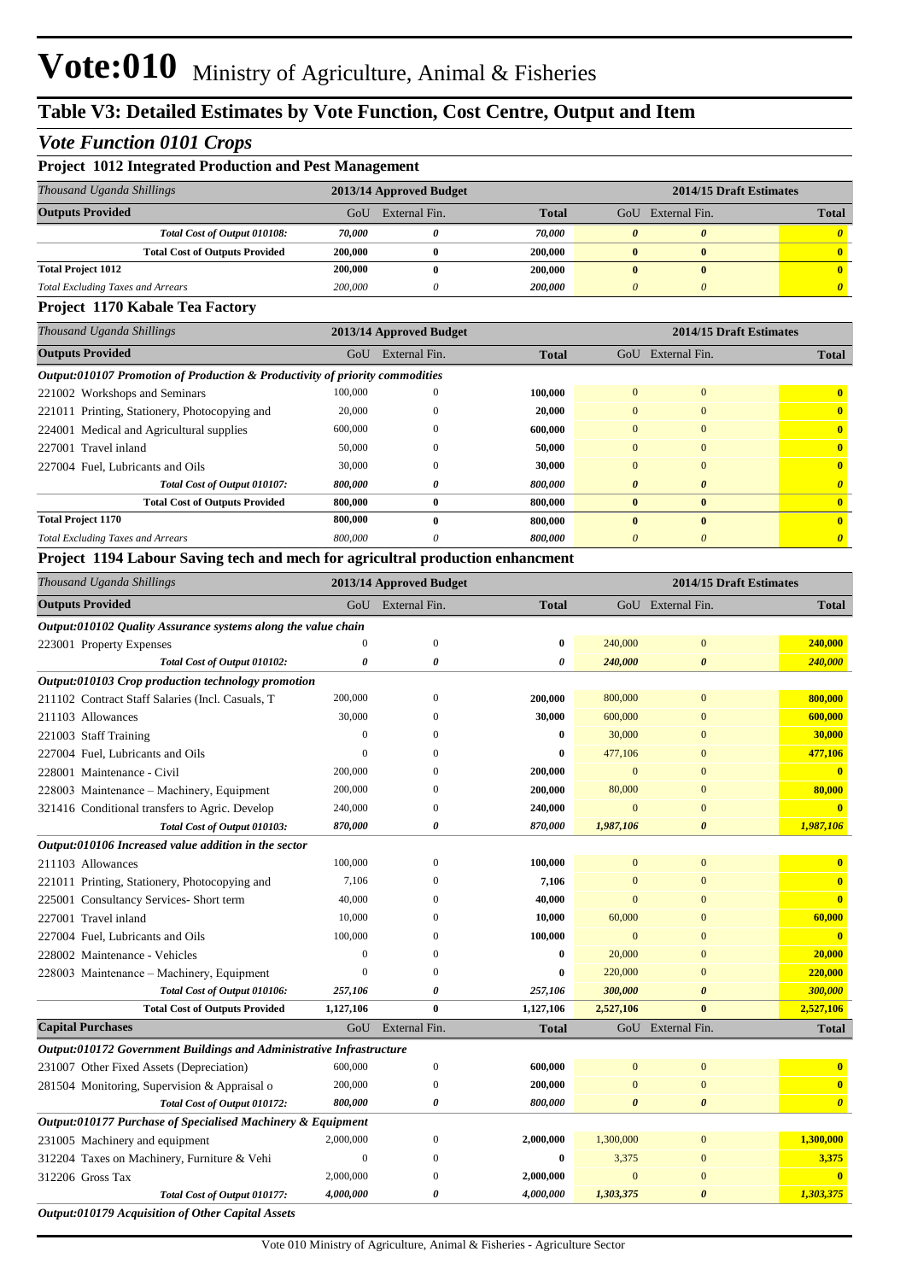#### *Vote Function 0101 Crops*

| <b>Project 1012 Integrated Production and Pest Management</b> |                         |               |                |                         |               |              |  |  |  |
|---------------------------------------------------------------|-------------------------|---------------|----------------|-------------------------|---------------|--------------|--|--|--|
| Thousand Uganda Shillings                                     | 2013/14 Approved Budget |               |                | 2014/15 Draft Estimates |               |              |  |  |  |
| <b>Outputs Provided</b>                                       | GoU                     | External Fin. | <b>Total</b>   | GoU                     | External Fin. | <b>Total</b> |  |  |  |
| Total Cost of Output 010108:                                  | 70.000                  |               | 70.000         |                         |               |              |  |  |  |
| <b>Total Cost of Outputs Provided</b>                         | 200,000                 |               | 200.000        |                         |               |              |  |  |  |
| <b>Total Project 1012</b>                                     | 200,000                 |               | 200,000        |                         |               |              |  |  |  |
| <b>Total Excluding Taxes and Arrears</b>                      | 200,000                 |               | <b>200,000</b> |                         |               |              |  |  |  |

#### **Project 1170 Kabale Tea Factory**

| Thousand Uganda Shillings                                                    |              | 2013/14 Approved Budget |              | 2014/15 Draft Estimates |                       |              |  |  |  |
|------------------------------------------------------------------------------|--------------|-------------------------|--------------|-------------------------|-----------------------|--------------|--|--|--|
| <b>Outputs Provided</b>                                                      | GoU          | External Fin.           | <b>Total</b> | GoU                     | External Fin.         | <b>Total</b> |  |  |  |
| Output:010107 Promotion of Production & Productivity of priority commodities |              |                         |              |                         |                       |              |  |  |  |
| 221002 Workshops and Seminars                                                | 100,000      |                         | 100,000      | $\Omega$                | $\mathbf{0}$          | $\mathbf{0}$ |  |  |  |
| 221011 Printing, Stationery, Photocopying and                                | 20,000       |                         | 20,000       | $\Omega$                | $\mathbf{0}$          | $\mathbf{0}$ |  |  |  |
| 224001 Medical and Agricultural supplies                                     | 600,000      |                         | 600,000      | $\Omega$                | $\mathbf{0}$          | $\mathbf{0}$ |  |  |  |
| 227001 Travel inland                                                         | 50,000       |                         | 50,000       | $\Omega$                | $\mathbf{0}$          | $\mathbf{0}$ |  |  |  |
| 227004 Fuel. Lubricants and Oils                                             | 30,000       | $\Omega$                | 30,000       | $\Omega$                | $\mathbf{0}$          | $\mathbf{0}$ |  |  |  |
| Total Cost of Output 010107:                                                 | 800,000      | 0                       | 800,000      | $\theta$                | $\boldsymbol{\theta}$ | 0            |  |  |  |
| <b>Total Cost of Outputs Provided</b>                                        | 800,000      | 0                       | 800,000      | $\mathbf{0}$            | $\bf{0}$              | $\mathbf{0}$ |  |  |  |
| <b>Total Project 1170</b>                                                    | 800,000      | 0                       | 800,000      | $\mathbf{0}$            | $\mathbf{0}$          | $\mathbf{0}$ |  |  |  |
| <b>Total Excluding Taxes and Arrears</b>                                     | 800,000      | 0                       | 800,000      |                         | $\theta$              |              |  |  |  |
| $\mathbf{r}$<br>$\sim$<br>.                                                  | $\mathbf{r}$ |                         |              |                         |                       |              |  |  |  |

#### **Project 1194 Labour Saving tech and mech for agricultral production enhancment**

| Thousand Uganda Shillings                                            | 2013/14 Approved Budget |                  |              |              |                       | 2014/15 Draft Estimates |  |
|----------------------------------------------------------------------|-------------------------|------------------|--------------|--------------|-----------------------|-------------------------|--|
| <b>Outputs Provided</b>                                              | GoU                     | External Fin.    | <b>Total</b> |              | GoU External Fin.     | <b>Total</b>            |  |
| Output:010102 Quality Assurance systems along the value chain        |                         |                  |              |              |                       |                         |  |
| 223001 Property Expenses                                             | $\mathbf{0}$            | $\mathbf{0}$     | $\bf{0}$     | 240,000      | $\mathbf{0}$          | 240,000                 |  |
| Total Cost of Output 010102:                                         | 0                       | 0                | 0            | 240,000      | $\boldsymbol{\theta}$ | 240,000                 |  |
| Output:010103 Crop production technology promotion                   |                         |                  |              |              |                       |                         |  |
| 211102 Contract Staff Salaries (Incl. Casuals, T                     | 200,000                 | $\boldsymbol{0}$ | 200,000      | 800,000      | $\mathbf{0}$          | 800,000                 |  |
| 211103 Allowances                                                    | 30,000                  | $\Omega$         | 30,000       | 600,000      | $\mathbf{0}$          | 600,000                 |  |
| 221003 Staff Training                                                | $\mathbf{0}$            | $\Omega$         | $\bf{0}$     | 30,000       | $\mathbf{0}$          | 30,000                  |  |
| 227004 Fuel, Lubricants and Oils                                     | $\mathbf{0}$            | $\mathbf{0}$     | 0            | 477,106      | $\mathbf{0}$          | 477,106                 |  |
| 228001 Maintenance - Civil                                           | 200,000                 | $\Omega$         | 200,000      | $\mathbf{0}$ | $\mathbf{0}$          | $\overline{\mathbf{0}}$ |  |
| 228003 Maintenance - Machinery, Equipment                            | 200,000                 | $\theta$         | 200,000      | 80,000       | $\mathbf{0}$          | 80,000                  |  |
| 321416 Conditional transfers to Agric. Develop                       | 240,000                 | $\theta$         | 240,000      | $\mathbf{0}$ | $\mathbf{0}$          |                         |  |
| Total Cost of Output 010103:                                         | 870,000                 | 0                | 870,000      | 1,987,106    | $\boldsymbol{\theta}$ | 1,987,106               |  |
| Output:010106 Increased value addition in the sector                 |                         |                  |              |              |                       |                         |  |
| 211103 Allowances                                                    | 100,000                 | $\theta$         | 100,000      | $\mathbf{0}$ | $\mathbf{0}$          | $\mathbf{0}$            |  |
| 221011 Printing, Stationery, Photocopying and                        | 7,106                   | $\Omega$         | 7,106        | $\mathbf{0}$ | $\mathbf{0}$          | $\bf{0}$                |  |
| 225001 Consultancy Services- Short term                              | 40,000                  | $\Omega$         | 40,000       | $\Omega$     | $\mathbf{0}$          | $\mathbf{0}$            |  |
| 227001 Travel inland                                                 | 10,000                  | $\Omega$         | 10,000       | 60,000       | $\mathbf{0}$          | 60,000                  |  |
| 227004 Fuel, Lubricants and Oils                                     | 100,000                 | $\Omega$         | 100,000      | $\mathbf{0}$ | $\mathbf{0}$          | $\bf{0}$                |  |
| 228002 Maintenance - Vehicles                                        | $\boldsymbol{0}$        | $\Omega$         | $\bf{0}$     | 20,000       | $\mathbf{0}$          | 20,000                  |  |
| 228003 Maintenance - Machinery, Equipment                            | $\boldsymbol{0}$        | $\theta$         | $\bf{0}$     | 220,000      | $\mathbf{0}$          | 220,000                 |  |
| Total Cost of Output 010106:                                         | 257,106                 | 0                | 257,106      | 300,000      | $\boldsymbol{\theta}$ | 300,000                 |  |
| <b>Total Cost of Outputs Provided</b>                                | 1,127,106               | $\mathbf{0}$     | 1,127,106    | 2,527,106    | $\mathbf{0}$          | 2,527,106               |  |
| <b>Capital Purchases</b>                                             | GoU                     | External Fin.    | <b>Total</b> |              | GoU External Fin.     | <b>Total</b>            |  |
| Output:010172 Government Buildings and Administrative Infrastructure |                         |                  |              |              |                       |                         |  |
| 231007 Other Fixed Assets (Depreciation)                             | 600,000                 | $\boldsymbol{0}$ | 600,000      | $\mathbf{0}$ | $\mathbf{0}$          | $\mathbf{0}$            |  |
| 281504 Monitoring, Supervision & Appraisal o                         | 200,000                 | $\boldsymbol{0}$ | 200,000      | $\mathbf{0}$ | $\mathbf{0}$          | $\bf{0}$                |  |
| Total Cost of Output 010172:                                         | 800,000                 | 0                | 800,000      | 0            | $\boldsymbol{\theta}$ | $\boldsymbol{\theta}$   |  |
| Output:010177 Purchase of Specialised Machinery & Equipment          |                         |                  |              |              |                       |                         |  |
| 231005 Machinery and equipment                                       | 2,000,000               | $\mathbf{0}$     | 2,000,000    | 1,300,000    | $\mathbf{0}$          | 1,300,000               |  |
| 312204 Taxes on Machinery, Furniture & Vehi                          | $\boldsymbol{0}$        | $\mathbf{0}$     | $\bf{0}$     | 3,375        | $\mathbf{0}$          | 3,375                   |  |
| 312206 Gross Tax                                                     | 2,000,000               | $\Omega$         | 2,000,000    | $\mathbf{0}$ | $\mathbf{0}$          | $\bf{0}$                |  |
| Total Cost of Output 010177:                                         | 4,000,000               | 0                | 4,000,000    | 1,303,375    | $\boldsymbol{\theta}$ | 1,303,375               |  |
| Output:010179 Acquisition of Other Capital Assets                    |                         |                  |              |              |                       |                         |  |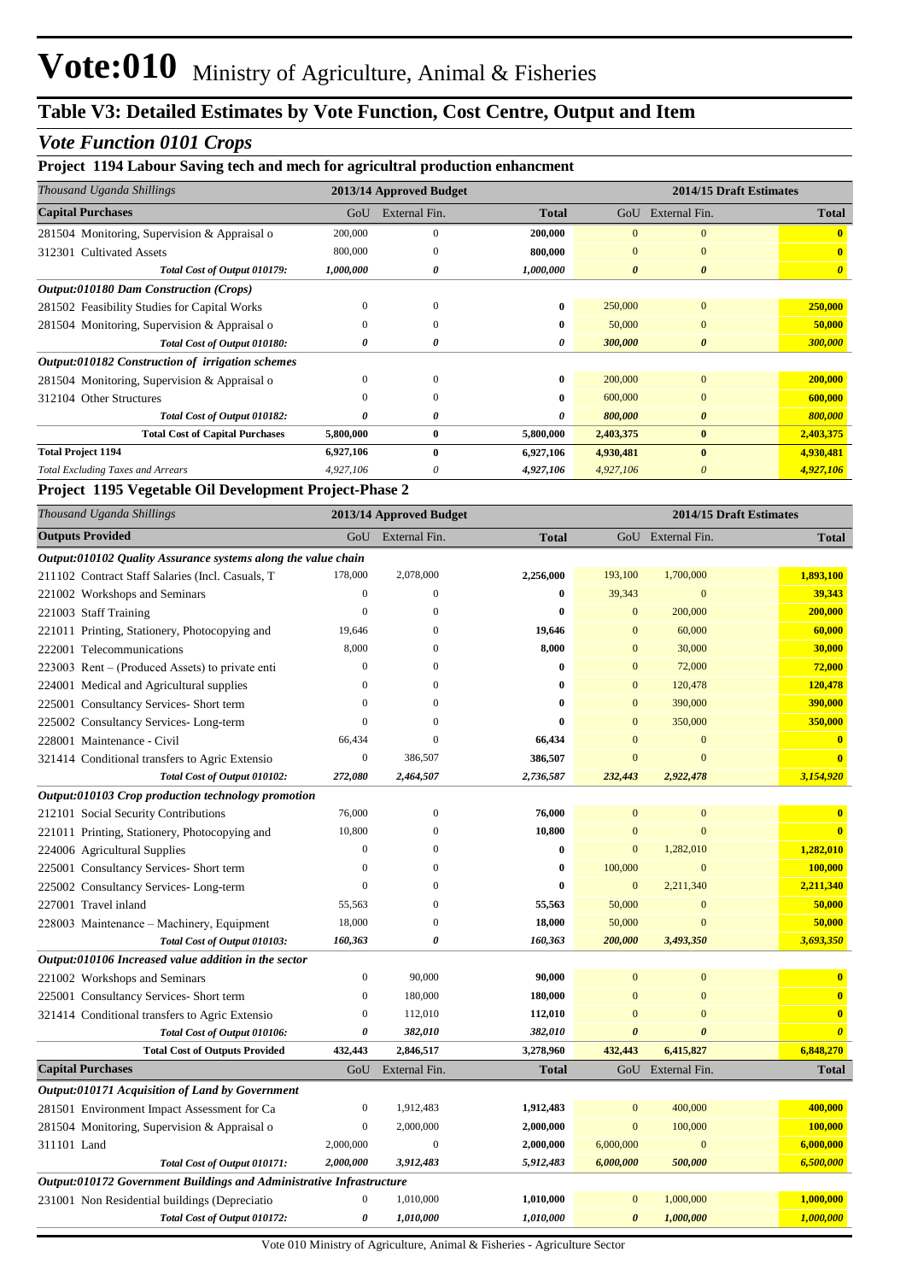#### *Vote Function 0101 Crops*

#### **Project 1194 Labour Saving tech and mech for agricultral production enhancment**

| Thousand Uganda Shillings                        | 2013/14 Approved Budget |               |              | 2014/15 Draft Estimates |                       |                       |
|--------------------------------------------------|-------------------------|---------------|--------------|-------------------------|-----------------------|-----------------------|
| <b>Capital Purchases</b>                         | GoU                     | External Fin. | <b>Total</b> | GoU                     | External Fin.         | <b>Total</b>          |
| 281504 Monitoring, Supervision & Appraisal o     | 200,000                 | $\mathbf{0}$  | 200,000      |                         | $\mathbf{0}$          |                       |
| <b>Cultivated Assets</b><br>312301               | 800,000                 | $\Omega$      | 800,000      | $\overline{0}$          | $\mathbf{0}$          | $\mathbf{0}$          |
| Total Cost of Output 010179:                     | 1,000,000               | 0             | 1,000,000    | $\boldsymbol{\theta}$   | $\boldsymbol{\theta}$ | $\boldsymbol{\theta}$ |
| <b>Output:010180 Dam Construction (Crops)</b>    |                         |               |              |                         |                       |                       |
| 281502 Feasibility Studies for Capital Works     |                         | $\Omega$      | $\bf{0}$     | 250,000                 | $\mathbf{0}$          | 250,000               |
| 281504 Monitoring, Supervision & Appraisal o     | $\Omega$                | $\Omega$      | $\bf{0}$     | 50,000                  | $\mathbf{0}$          | 50,000                |
| Total Cost of Output 010180:                     | 0                       | 0             | 0            | 300,000                 | $\boldsymbol{\theta}$ | 300,000               |
| Output:010182 Construction of irrigation schemes |                         |               |              |                         |                       |                       |
| 281504 Monitoring, Supervision & Appraisal o     | $\Omega$                | $\Omega$      | $\bf{0}$     | 200,000                 | $\mathbf{0}$          | 200,000               |
| 312104 Other Structures                          |                         | $\Omega$      | 0            | 600,000                 | $\mathbf{0}$          | 600,000               |
| Total Cost of Output 010182:                     | 0                       | 0             | 0            | 800,000                 | $\boldsymbol{\theta}$ | 800,000               |
| <b>Total Cost of Capital Purchases</b>           | 5,800,000               | $\bf{0}$      | 5,800,000    | 2,403,375               | $\bf{0}$              | 2,403,375             |
| <b>Total Project 1194</b>                        | 6,927,106               | $\mathbf{0}$  | 6,927,106    | 4,930,481               | $\mathbf{0}$          | 4,930,481             |
| <b>Total Excluding Taxes and Arrears</b>         | 4,927,106               | 0             | 4,927,106    | 4,927,106               | 0                     | 4,927,106             |

#### **Project 1195 Vegetable Oil Development Project-Phase 2**

| Thousand Uganda Shillings                                            |                  | 2014/15 Draft Estimates<br>2013/14 Approved Budget |              |                  |                       |                         |
|----------------------------------------------------------------------|------------------|----------------------------------------------------|--------------|------------------|-----------------------|-------------------------|
| <b>Outputs Provided</b>                                              | GoU              | External Fin.                                      | <b>Total</b> |                  | GoU External Fin.     | <b>Total</b>            |
| Output:010102 Quality Assurance systems along the value chain        |                  |                                                    |              |                  |                       |                         |
| 211102 Contract Staff Salaries (Incl. Casuals, T                     | 178,000          | 2,078,000                                          | 2,256,000    | 193,100          | 1,700,000             | 1,893,100               |
| 221002 Workshops and Seminars                                        | $\mathbf{0}$     | $\overline{0}$                                     | $\bf{0}$     | 39,343           | $\mathbf{0}$          | 39,343                  |
| 221003 Staff Training                                                | $\boldsymbol{0}$ | $\mathbf{0}$                                       | $\bf{0}$     | $\mathbf{0}$     | 200,000               | 200,000                 |
| 221011 Printing, Stationery, Photocopying and                        | 19,646           | $\Omega$                                           | 19,646       | $\boldsymbol{0}$ | 60,000                | 60,000                  |
| 222001 Telecommunications                                            | 8,000            | 0                                                  | 8,000        | $\overline{0}$   | 30,000                | 30,000                  |
| 223003 Rent – (Produced Assets) to private enti                      | $\boldsymbol{0}$ | $\Omega$                                           | $\bf{0}$     | $\overline{0}$   | 72,000                | 72,000                  |
| 224001 Medical and Agricultural supplies                             | $\theta$         | $\Omega$                                           | 0            | $\mathbf{0}$     | 120,478               | 120,478                 |
| 225001 Consultancy Services- Short term                              | $\overline{0}$   | $\Omega$                                           | $\bf{0}$     | $\overline{0}$   | 390,000               | 390,000                 |
| 225002 Consultancy Services-Long-term                                | $\overline{0}$   | $\overline{0}$                                     | $\bf{0}$     | $\overline{0}$   | 350,000               | 350,000                 |
| 228001 Maintenance - Civil                                           | 66,434           | $\mathbf{0}$                                       | 66,434       | $\overline{0}$   | $\mathbf{0}$          | $\mathbf{0}$            |
| 321414 Conditional transfers to Agric Extensio                       | $\boldsymbol{0}$ | 386,507                                            | 386,507      | $\overline{0}$   | $\overline{0}$        | $\mathbf{0}$            |
| Total Cost of Output 010102:                                         | 272,080          | 2,464,507                                          | 2,736,587    | 232,443          | 2,922,478             | 3,154,920               |
| Output:010103 Crop production technology promotion                   |                  |                                                    |              |                  |                       |                         |
| 212101 Social Security Contributions                                 | 76,000           | $\mathbf{0}$                                       | 76,000       | $\boldsymbol{0}$ | $\mathbf{0}$          | $\bf{0}$                |
| 221011 Printing, Stationery, Photocopying and                        | 10,800           | $\overline{0}$                                     | 10,800       | $\mathbf{0}$     | $\overline{0}$        | $\bf{0}$                |
| 224006 Agricultural Supplies                                         | $\boldsymbol{0}$ | $\theta$                                           | $\bf{0}$     | $\mathbf{0}$     | 1,282,010             | 1,282,010               |
| 225001 Consultancy Services-Short term                               | $\overline{0}$   | $\Omega$                                           | $\bf{0}$     | 100,000          | $\mathbf{0}$          | 100,000                 |
| 225002 Consultancy Services-Long-term                                | $\boldsymbol{0}$ | $\overline{0}$                                     | $\bf{0}$     | $\mathbf{0}$     | 2,211,340             | 2,211,340               |
| 227001 Travel inland                                                 | 55,563           | $\overline{0}$                                     | 55,563       | 50,000           | $\mathbf{0}$          | 50,000                  |
| 228003 Maintenance – Machinery, Equipment                            | 18,000           | $\overline{0}$                                     | 18,000       | 50,000           | $\overline{0}$        | 50,000                  |
| Total Cost of Output 010103:                                         | 160,363          | 0                                                  | 160,363      | 200,000          | 3,493,350             | 3,693,350               |
| Output:010106 Increased value addition in the sector                 |                  |                                                    |              |                  |                       |                         |
| 221002 Workshops and Seminars                                        | $\boldsymbol{0}$ | 90,000                                             | 90,000       | $\bf{0}$         | $\mathbf{0}$          | $\bf{0}$                |
| 225001 Consultancy Services- Short term                              | $\boldsymbol{0}$ | 180,000                                            | 180,000      | $\mathbf{0}$     | $\mathbf{0}$          | $\overline{\mathbf{0}}$ |
| 321414 Conditional transfers to Agric Extensio                       | $\boldsymbol{0}$ | 112,010                                            | 112,010      | $\bf{0}$         | $\mathbf{0}$          | $\mathbf{0}$            |
| Total Cost of Output 010106:                                         | 0                | 382,010                                            | 382,010      | $\theta$         | $\boldsymbol{\theta}$ | $\boldsymbol{\theta}$   |
| <b>Total Cost of Outputs Provided</b>                                | 432,443          | 2,846,517                                          | 3,278,960    | 432,443          | 6,415,827             | 6,848,270               |
| <b>Capital Purchases</b>                                             | GoU              | External Fin.                                      | <b>Total</b> | GoU              | External Fin.         | <b>Total</b>            |
| Output:010171 Acquisition of Land by Government                      |                  |                                                    |              |                  |                       |                         |
| 281501 Environment Impact Assessment for Ca                          | $\boldsymbol{0}$ | 1,912,483                                          | 1,912,483    | $\mathbf{0}$     | 400,000               | 400,000                 |
| 281504 Monitoring, Supervision & Appraisal o                         | $\boldsymbol{0}$ | 2,000,000                                          | 2,000,000    | $\mathbf{0}$     | 100,000               | 100,000                 |
| 311101 Land                                                          | 2,000,000        | $\mathbf{0}$                                       | 2,000,000    | 6,000,000        | $\mathbf{0}$          | 6,000,000               |
| Total Cost of Output 010171:                                         | 2,000,000        | 3,912,483                                          | 5,912,483    | 6,000,000        | 500,000               | 6,500,000               |
| Output:010172 Government Buildings and Administrative Infrastructure |                  |                                                    |              |                  |                       |                         |
| 231001 Non Residential buildings (Depreciatio                        | $\boldsymbol{0}$ | 1,010,000                                          | 1,010,000    | $\bf{0}$         | 1,000,000             | 1,000,000               |
| Total Cost of Output 010172:                                         | 0                | 1,010,000                                          | 1,010,000    | 0                | 1,000,000             | 1,000,000               |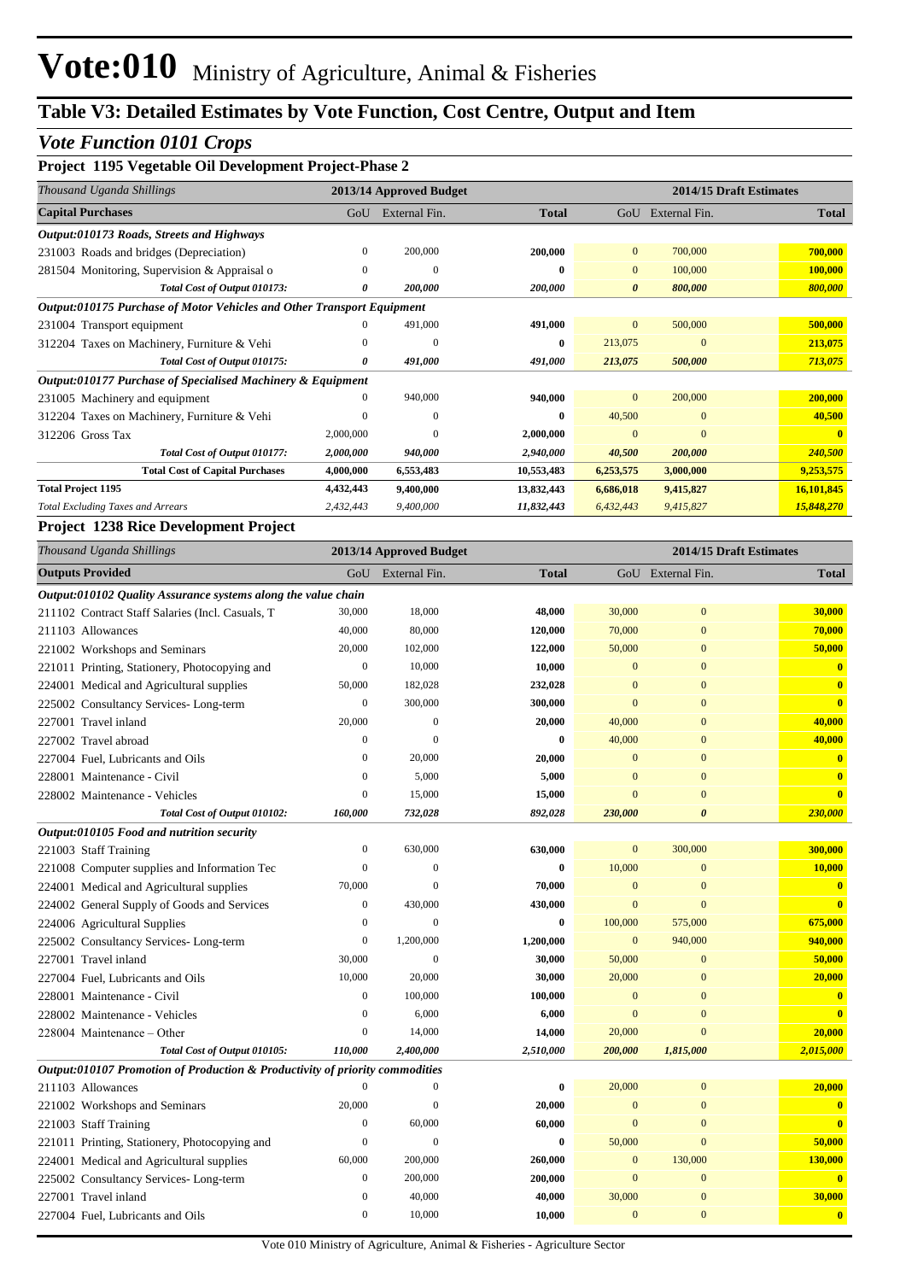### *Vote Function 0101 Crops*

| Project 1195 Vegetable Oil Development Project-Phase 2                 |           |                         |              |                       |                         |              |  |  |
|------------------------------------------------------------------------|-----------|-------------------------|--------------|-----------------------|-------------------------|--------------|--|--|
| Thousand Uganda Shillings                                              |           | 2013/14 Approved Budget |              |                       | 2014/15 Draft Estimates |              |  |  |
| <b>Capital Purchases</b>                                               | GoU       | External Fin.           | <b>Total</b> | GoU                   | External Fin.           | <b>Total</b> |  |  |
| Output:010173 Roads, Streets and Highways                              |           |                         |              |                       |                         |              |  |  |
| 231003 Roads and bridges (Depreciation)                                | 0         | 200,000                 | 200,000      | $\overline{0}$        | 700,000                 | 700,000      |  |  |
| 281504 Monitoring, Supervision & Appraisal o                           | $\Omega$  | $\Omega$                | 0            | $\overline{0}$        | 100,000                 | 100,000      |  |  |
| Total Cost of Output 010173:                                           | 0         | 200,000                 | 200,000      | $\boldsymbol{\theta}$ | 800,000                 | 800,000      |  |  |
| Output:010175 Purchase of Motor Vehicles and Other Transport Equipment |           |                         |              |                       |                         |              |  |  |
| 231004 Transport equipment                                             | 0         | 491,000                 | 491,000      | $\Omega$              | 500,000                 | 500,000      |  |  |
| 312204 Taxes on Machinery, Furniture & Vehi                            | $\Omega$  | $\left($                | 0            | 213,075               | $\mathbf{0}$            | 213,075      |  |  |
| Total Cost of Output 010175:                                           | 0         | 491,000                 | 491,000      | 213,075               | 500,000                 | 713,075      |  |  |
| Output:010177 Purchase of Specialised Machinery & Equipment            |           |                         |              |                       |                         |              |  |  |
| 231005 Machinery and equipment                                         | 0         | 940,000                 | 940,000      | $\overline{0}$        | 200,000                 | 200,000      |  |  |
| 312204 Taxes on Machinery, Furniture & Vehi                            | 0         | $\left($                | 0            | 40,500                | $\mathbf{0}$            | 40,500       |  |  |
| 312206 Gross Tax                                                       | 2,000,000 | $\Omega$                | 2,000,000    | $\Omega$              | $\Omega$                |              |  |  |
| Total Cost of Output 010177:                                           | 2,000,000 | 940,000                 | 2,940,000    | 40,500                | 200,000                 | 240,500      |  |  |
| <b>Total Cost of Capital Purchases</b>                                 | 4,000,000 | 6,553,483               | 10,553,483   | 6,253,575             | 3,000,000               | 9,253,575    |  |  |
| <b>Total Project 1195</b>                                              | 4,432,443 | 9,400,000               | 13,832,443   | 6,686,018             | 9,415,827               | 16,101,845   |  |  |
| <b>Total Excluding Taxes and Arrears</b>                               | 2,432,443 | 9,400,000               | 11,832,443   | 6,432,443             | 9,415,827               | 15,848,270   |  |  |

#### **Project 1238 Rice Development Project**

| Thousand Uganda Shillings                                                    |                  | 2013/14 Approved Budget | 2014/15 Draft Estimates |                |                       |              |
|------------------------------------------------------------------------------|------------------|-------------------------|-------------------------|----------------|-----------------------|--------------|
| <b>Outputs Provided</b>                                                      | GoU              | External Fin.           | <b>Total</b>            |                | GoU External Fin.     | <b>Total</b> |
| Output:010102 Quality Assurance systems along the value chain                |                  |                         |                         |                |                       |              |
| 211102 Contract Staff Salaries (Incl. Casuals, T                             | 30,000           | 18,000                  | 48,000                  | 30,000         | $\mathbf{0}$          | 30,000       |
| 211103 Allowances                                                            | 40,000           | 80,000                  | 120,000                 | 70,000         | $\mathbf{0}$          | 70,000       |
| 221002 Workshops and Seminars                                                | 20,000           | 102,000                 | 122,000                 | 50,000         | $\overline{0}$        | 50,000       |
| 221011 Printing, Stationery, Photocopying and                                | $\boldsymbol{0}$ | 10,000                  | 10,000                  | $\mathbf{0}$   | $\mathbf{0}$          | $\bf{0}$     |
| 224001 Medical and Agricultural supplies                                     | 50,000           | 182,028                 | 232,028                 | $\mathbf{0}$   | $\overline{0}$        | $\bf{0}$     |
| 225002 Consultancy Services-Long-term                                        | $\boldsymbol{0}$ | 300,000                 | 300,000                 | $\overline{0}$ | $\overline{0}$        | $\mathbf{0}$ |
| 227001 Travel inland                                                         | 20,000           | $\boldsymbol{0}$        | 20,000                  | 40,000         | $\overline{0}$        | 40,000       |
| 227002 Travel abroad                                                         | $\boldsymbol{0}$ | $\overline{0}$          | $\bf{0}$                | 40,000         | $\mathbf{0}$          | 40,000       |
| 227004 Fuel, Lubricants and Oils                                             | $\mathbf{0}$     | 20,000                  | 20,000                  | $\overline{0}$ | $\overline{0}$        | $\bf{0}$     |
| 228001 Maintenance - Civil                                                   | $\overline{0}$   | 5,000                   | 5,000                   | $\overline{0}$ | $\overline{0}$        | $\bf{0}$     |
| 228002 Maintenance - Vehicles                                                | $\boldsymbol{0}$ | 15,000                  | 15,000                  | $\mathbf{0}$   | $\overline{0}$        | $\bf{0}$     |
| Total Cost of Output 010102:                                                 | 160,000          | 732,028                 | 892,028                 | 230,000        | $\boldsymbol{\theta}$ | 230,000      |
| Output:010105 Food and nutrition security                                    |                  |                         |                         |                |                       |              |
| 221003 Staff Training                                                        | $\boldsymbol{0}$ | 630,000                 | 630,000                 | $\mathbf{0}$   | 300,000               | 300,000      |
| 221008 Computer supplies and Information Tec                                 | $\mathbf{0}$     | $\mathbf{0}$            | $\bf{0}$                | 10,000         | $\mathbf{0}$          | 10,000       |
| 224001 Medical and Agricultural supplies                                     | 70,000           | $\overline{0}$          | 70,000                  | $\mathbf{0}$   | $\overline{0}$        | $\bf{0}$     |
| 224002 General Supply of Goods and Services                                  | $\mathbf{0}$     | 430,000                 | 430,000                 | $\overline{0}$ | $\overline{0}$        | $\mathbf{0}$ |
| 224006 Agricultural Supplies                                                 | $\mathbf{0}$     | $\mathbf{0}$            | $\bf{0}$                | 100,000        | 575,000               | 675,000      |
| 225002 Consultancy Services-Long-term                                        | $\boldsymbol{0}$ | 1,200,000               | 1,200,000               | $\mathbf{0}$   | 940,000               | 940,000      |
| 227001 Travel inland                                                         | 30,000           | $\mathbf{0}$            | 30,000                  | 50,000         | $\overline{0}$        | 50,000       |
| 227004 Fuel, Lubricants and Oils                                             | 10,000           | 20,000                  | 30,000                  | 20,000         | $\mathbf{0}$          | 20,000       |
| 228001 Maintenance - Civil                                                   | $\boldsymbol{0}$ | 100,000                 | 100,000                 | $\mathbf{0}$   | $\overline{0}$        | $\bf{0}$     |
| 228002 Maintenance - Vehicles                                                | $\overline{0}$   | 6,000                   | 6,000                   | $\mathbf{0}$   | $\overline{0}$        | $\mathbf{0}$ |
| 228004 Maintenance – Other                                                   | $\mathbf{0}$     | 14,000                  | 14,000                  | 20,000         | $\Omega$              | 20,000       |
| Total Cost of Output 010105:                                                 | 110,000          | 2,400,000               | 2,510,000               | 200,000        | 1,815,000             | 2,015,000    |
| Output:010107 Promotion of Production & Productivity of priority commodities |                  |                         |                         |                |                       |              |
| 211103 Allowances                                                            | $\overline{0}$   | $\boldsymbol{0}$        | $\bf{0}$                | 20,000         | $\overline{0}$        | 20,000       |
| 221002 Workshops and Seminars                                                | 20,000           | $\mathbf{0}$            | 20,000                  | $\mathbf{0}$   | $\mathbf{0}$          | $\bf{0}$     |
| 221003 Staff Training                                                        | $\mathbf{0}$     | 60,000                  | 60,000                  | $\overline{0}$ | $\overline{0}$        | $\mathbf{0}$ |
| 221011 Printing, Stationery, Photocopying and                                | $\mathbf{0}$     | $\theta$                | $\bf{0}$                | 50,000         | $\overline{0}$        | 50,000       |
| 224001 Medical and Agricultural supplies                                     | 60,000           | 200,000                 | 260,000                 | $\mathbf{0}$   | 130,000               | 130,000      |
| 225002 Consultancy Services-Long-term                                        | $\mathbf{0}$     | 200,000                 | 200,000                 | $\mathbf{0}$   | $\mathbf{0}$          | $\bf{0}$     |
| 227001 Travel inland                                                         | $\mathbf{0}$     | 40,000                  | 40,000                  | 30,000         | $\mathbf{0}$          | 30,000       |
| 227004 Fuel, Lubricants and Oils                                             | $\overline{0}$   | 10,000                  | 10,000                  | $\overline{0}$ | $\overline{0}$        | $\bf{0}$     |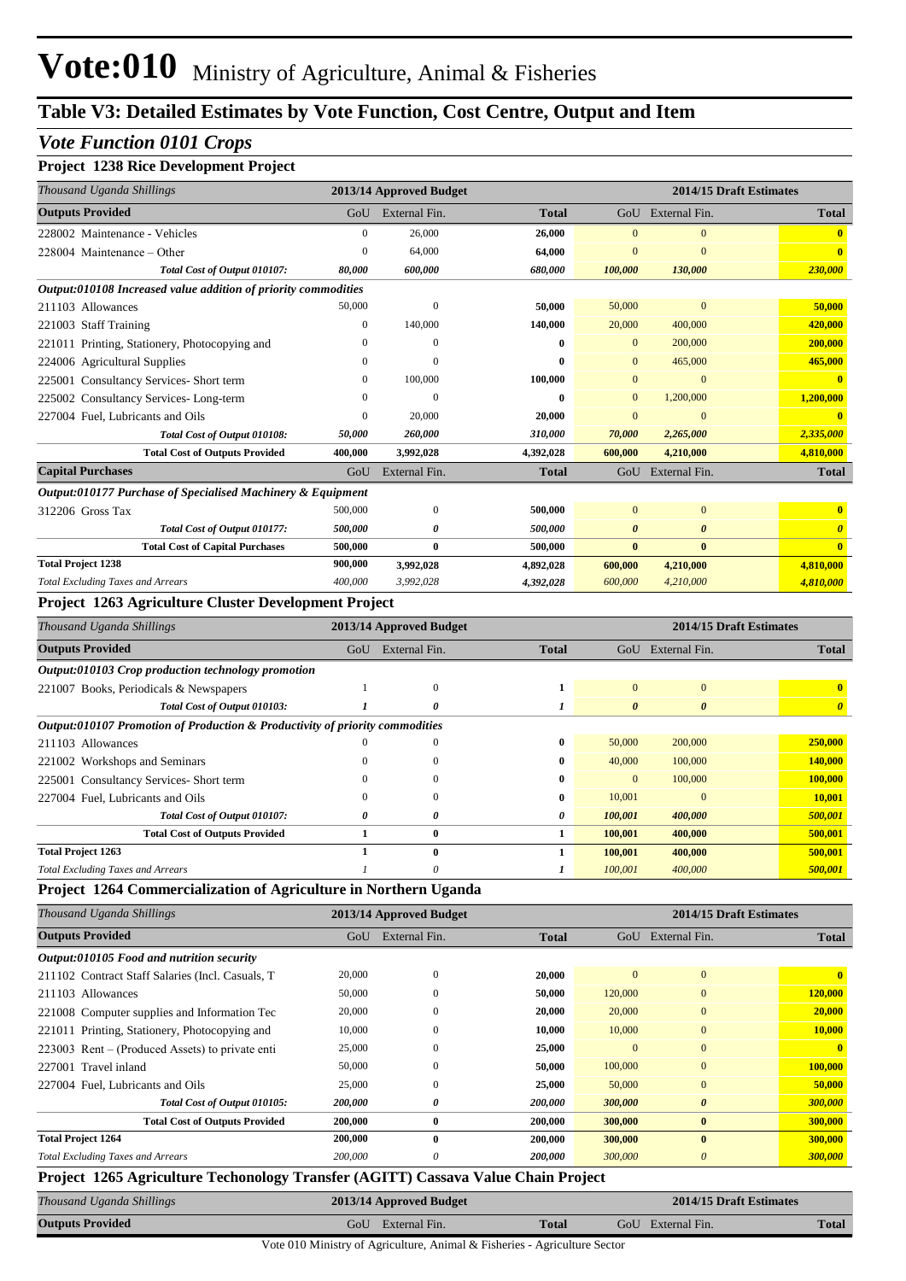#### *Vote Function 0101 Crops*

#### **Project 1238 Rice Development Project**

| Thousand Uganda Shillings                                                         |                  | 2013/14 Approved Budget |              |                       |                           | 2014/15 Draft Estimates |
|-----------------------------------------------------------------------------------|------------------|-------------------------|--------------|-----------------------|---------------------------|-------------------------|
| <b>Outputs Provided</b>                                                           | GoU              | External Fin.           | <b>Total</b> |                       | GoU External Fin.         | <b>Total</b>            |
| 228002 Maintenance - Vehicles                                                     | $\boldsymbol{0}$ | 26,000                  | 26,000       | $\mathbf{0}$          | $\mathbf{0}$              | $\bf{0}$                |
| 228004 Maintenance – Other                                                        | $\boldsymbol{0}$ | 64,000                  | 64,000       | $\mathbf{0}$          | $\mathbf{0}$              | $\overline{\mathbf{0}}$ |
| Total Cost of Output 010107:                                                      | 80,000           | 600,000                 | 680,000      | 100,000               | 130,000                   | 230,000                 |
| Output:010108 Increased value addition of priority commodities                    |                  |                         |              |                       |                           |                         |
| 211103 Allowances                                                                 | 50,000           | $\mathbf{0}$            | 50,000       | 50,000                | $\bf{0}$                  | 50,000                  |
| 221003 Staff Training                                                             | $\boldsymbol{0}$ | 140,000                 | 140,000      | 20,000                | 400,000                   | 420,000                 |
| 221011 Printing, Stationery, Photocopying and                                     | $\overline{0}$   | $\mathbf{0}$            | 0            | $\mathbf{0}$          | 200,000                   | 200,000                 |
| 224006 Agricultural Supplies                                                      | $\theta$         | $\mathbf{0}$            | 0            | $\mathbf{0}$          | 465,000                   | 465,000                 |
| 225001 Consultancy Services- Short term                                           | $\boldsymbol{0}$ | 100,000                 | 100,000      | $\mathbf{0}$          | $\bf{0}$                  | $\mathbf{0}$            |
| 225002 Consultancy Services-Long-term                                             | $\theta$         | $\mathbf{0}$            | 0            | $\mathbf{0}$          | 1,200,000                 | 1,200,000               |
| 227004 Fuel, Lubricants and Oils                                                  | $\overline{0}$   | 20,000                  | 20,000       | $\mathbf{0}$          | $\mathbf{0}$              | $\mathbf{0}$            |
| Total Cost of Output 010108:                                                      | 50,000           | 260,000                 | 310,000      | 70,000                | 2,265,000                 | 2,335,000               |
| <b>Total Cost of Outputs Provided</b>                                             | 400,000          | 3,992,028               | 4,392,028    | 600,000               | 4,210,000                 | 4,810,000               |
| <b>Capital Purchases</b>                                                          | GoU              | External Fin.           | <b>Total</b> |                       | GoU External Fin.         | <b>Total</b>            |
| Output:010177 Purchase of Specialised Machinery & Equipment                       |                  |                         |              |                       |                           |                         |
| 312206 Gross Tax                                                                  | 500,000          | $\mathbf{0}$            | 500,000      | $\mathbf{0}$          | $\mathbf{0}$              | $\bf{0}$                |
| Total Cost of Output 010177:                                                      | 500,000          | 0                       | 500,000      | 0                     | $\boldsymbol{\theta}$     | $\boldsymbol{\theta}$   |
| <b>Total Cost of Capital Purchases</b>                                            | 500,000          | $\bf{0}$                | 500,000      | $\bf{0}$              | $\bf{0}$                  | $\mathbf{0}$            |
| <b>Total Project 1238</b>                                                         | 900,000          | 3,992,028               | 4,892,028    | 600,000               | 4,210,000                 | 4,810,000               |
| <b>Total Excluding Taxes and Arrears</b>                                          | 400,000          | 3,992,028               | 4,392,028    | 600,000               | 4,210,000                 | 4,810,000               |
| Project 1263 Agriculture Cluster Development Project                              |                  |                         |              |                       |                           |                         |
| Thousand Uganda Shillings                                                         |                  | 2013/14 Approved Budget |              |                       |                           | 2014/15 Draft Estimates |
| <b>Outputs Provided</b>                                                           | GoU              | External Fin.           | <b>Total</b> |                       | GoU External Fin.         | <b>Total</b>            |
| <i>Output:010103 Crop production technology promotion</i>                         |                  |                         |              |                       |                           |                         |
| 221007 Books, Periodicals & Newspapers                                            | 1                | $\mathbf{0}$            | 1            | $\mathbf{0}$          | $\bf{0}$                  | $\bf{0}$                |
| Total Cost of Output 010103:                                                      | 1                | 0                       | 1            | $\boldsymbol{\theta}$ | $\boldsymbol{\theta}$     | $\boldsymbol{\theta}$   |
| Output:010107 Promotion of Production & Productivity of priority commodities      |                  |                         |              |                       |                           |                         |
| 211103 Allowances                                                                 | $\theta$         | $\Omega$                | 0            | 50,000                | 200,000                   | 250,000                 |
| 221002 Workshops and Seminars                                                     | $\theta$         | 0                       | 0            | 40,000                | 100,000                   | <b>140,000</b>          |
| 225001 Consultancy Services- Short term                                           | $\theta$         | 0                       | 0            | $\mathbf{0}$          | 100,000                   | 100,000                 |
| 227004 Fuel, Lubricants and Oils                                                  | $\theta$         | $\Omega$                | 0            | 10,001                | $\overline{0}$            | 10,001                  |
| Total Cost of Output 010107:                                                      | 0                | 0                       | 0            | 100,001               | 400,000                   | 500,001                 |
| <b>Total Cost of Outputs Provided</b>                                             | 1                | $\boldsymbol{0}$        | 1            | 100,001               | 400,000                   | 500,001                 |
| <b>Total Project 1263</b>                                                         | 1                | $\bf{0}$                | 1            | 100,001               | 400,000                   | 500,001                 |
| <b>Total Excluding Taxes and Arrears</b>                                          | $\boldsymbol{l}$ | $\boldsymbol{\theta}$   | 1            | 100,001               | 400,000                   | 500,001                 |
| Project 1264 Commercialization of Agriculture in Northern Uganda                  |                  |                         |              |                       |                           |                         |
| Thousand Uganda Shillings                                                         |                  | 2013/14 Approved Budget |              |                       |                           | 2014/15 Draft Estimates |
| <b>Outputs Provided</b>                                                           | GoU              | External Fin.           | <b>Total</b> |                       | GoU External Fin.         | <b>Total</b>            |
| Output:010105 Food and nutrition security                                         |                  |                         |              |                       |                           |                         |
| 211102 Contract Staff Salaries (Incl. Casuals, T                                  | 20,000           | $\mathbf{0}$            | 20,000       | $\mathbf{0}$          | $\boldsymbol{0}$          | $\overline{\mathbf{0}}$ |
| 211103 Allowances                                                                 | 50,000           | $\Omega$                | 50,000       | 120,000               | $\bf{0}$                  | 120,000                 |
| 221008 Computer supplies and Information Tec                                      | 20,000           | $\Omega$                | 20,000       | 20,000                | $\mathbf{0}$              | 20,000                  |
| 221011 Printing, Stationery, Photocopying and                                     | 10,000           | 0                       | 10,000       | 10,000                | $\mathbf{0}$              | 10,000                  |
| 223003 Rent – (Produced Assets) to private enti                                   | 25,000           | 0                       | 25,000       | $\mathbf{0}$          | $\bf{0}$                  | $\mathbf{0}$            |
| 227001 Travel inland                                                              | 50,000           | $\Omega$                | 50,000       | 100,000               | $\mathbf{0}$              | 100,000                 |
| 227004 Fuel, Lubricants and Oils                                                  | 25,000           | $\boldsymbol{0}$        | 25,000       | 50,000                | $\bf{0}$                  | 50,000                  |
| Total Cost of Output 010105:                                                      | 200,000          | 0                       | 200,000      | 300,000               | $\pmb{\theta}$            | 300,000                 |
| <b>Total Cost of Outputs Provided</b>                                             | 200,000          | $\bf{0}$                | 200,000      | 300,000               | $\boldsymbol{0}$          | 300,000                 |
| <b>Total Project 1264</b>                                                         | 200,000          | $\bf{0}$                | 200,000      | 300,000               | $\boldsymbol{0}$          | 300,000                 |
| <b>Total Excluding Taxes and Arrears</b>                                          | 200,000          | 0                       | 200,000      | 300,000               | $\boldsymbol{\mathit{0}}$ | 300,000                 |
| Project 1265 Agriculture Techonology Transfer (AGITT) Cassava Value Chain Project |                  |                         |              |                       |                           |                         |

| Thousand Uganda Shillings | 2013/14 Approved Budget |              | 2014/15 Draft Estimates |              |
|---------------------------|-------------------------|--------------|-------------------------|--------------|
| <b>Outputs Provided</b>   | GoU External Fin.       | <b>Total</b> | GoU External Fin.       | <b>Total</b> |

Vote 010 Ministry of Agriculture, Animal & Fisheries - Agriculture Sector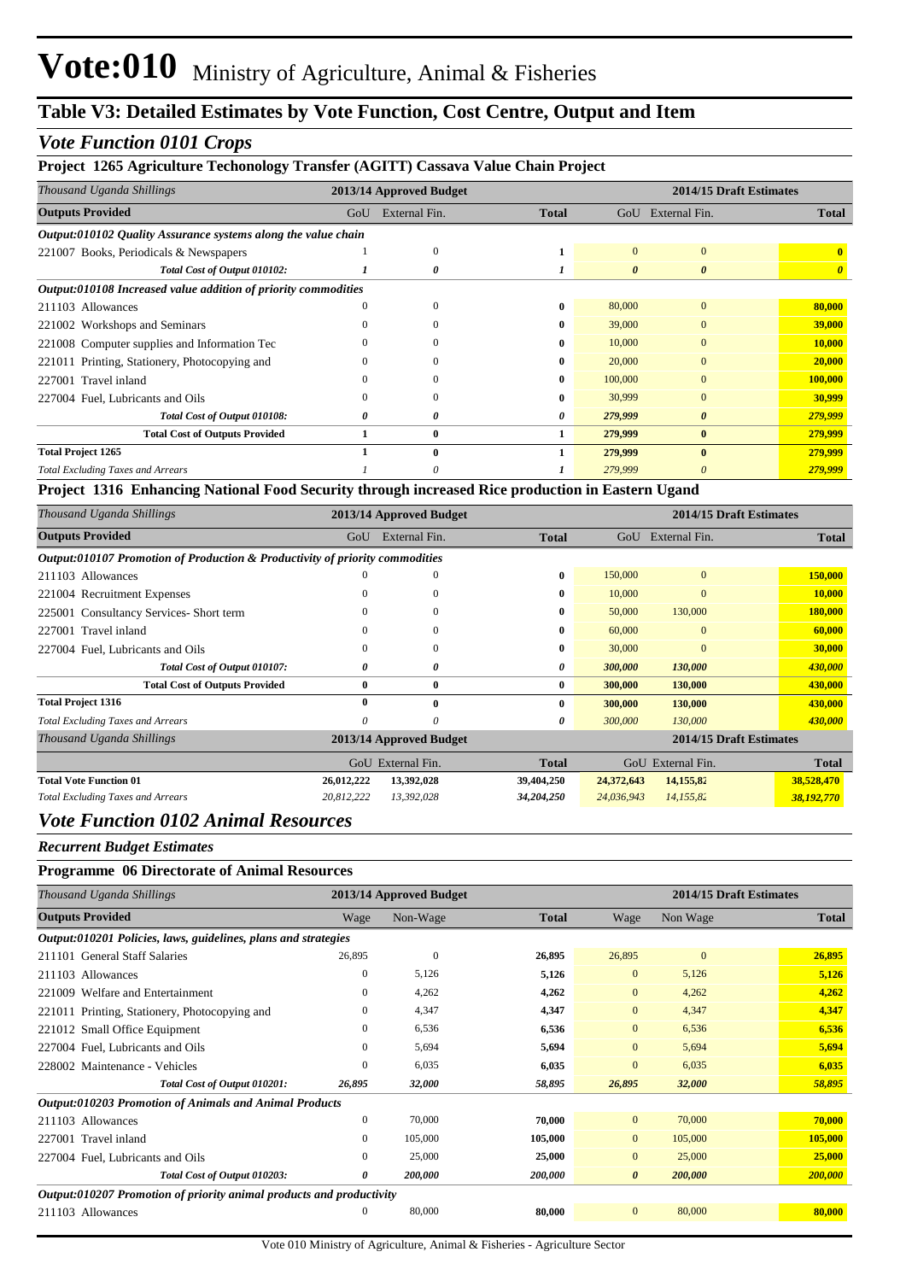#### *Vote Function 0101 Crops*

#### **Project 1265 Agriculture Techonology Transfer (AGITT) Cassava Value Chain Project**

| Thousand Uganda Shillings                                      |     | 2013/14 Approved Budget | 2014/15 Draft Estimates |          |               |              |
|----------------------------------------------------------------|-----|-------------------------|-------------------------|----------|---------------|--------------|
| <b>Outputs Provided</b>                                        | GoU | External Fin.           | <b>Total</b>            | GoU      | External Fin. | <b>Total</b> |
| Output:010102 Quality Assurance systems along the value chain  |     |                         |                         |          |               |              |
| 221007 Books, Periodicals & Newspapers                         |     | $\Omega$                |                         | $\Omega$ | $\mathbf{0}$  |              |
| Total Cost of Output 010102:                                   |     | 0                       |                         | $\theta$ | 0             |              |
| Output:010108 Increased value addition of priority commodities |     |                         |                         |          |               |              |
| 211103 Allowances                                              |     | $\Omega$                | 0                       | 80,000   | $\Omega$      | 80,000       |
| 221002 Workshops and Seminars                                  |     | 0                       | 0                       | 39,000   | $\Omega$      | 39,000       |
| 221008 Computer supplies and Information Tec                   |     |                         | 0                       | 10,000   |               | 10,000       |
| 221011 Printing, Stationery, Photocopying and                  |     |                         | 0                       | 20,000   | $\Omega$      | 20,000       |
| 227001 Travel inland                                           |     | 0                       | 0                       | 100,000  | $\Omega$      | 100,000      |
| 227004 Fuel, Lubricants and Oils                               | 0   | $\Omega$                | 0                       | 30,999   | $\Omega$      | 30,999       |
| Total Cost of Output 010108:                                   | 0   | 0                       | 0                       | 279,999  | 0             | 279,999      |
| <b>Total Cost of Outputs Provided</b>                          |     | $\bf{0}$                |                         | 279,999  | $\bf{0}$      | 279,999      |
| <b>Total Project 1265</b>                                      |     | 0                       |                         | 279,999  | 0             | 279,999      |
| <b>Total Excluding Taxes and Arrears</b>                       |     | 0                       |                         | 279,999  | 0             | 279,999      |

#### **Project 1316 Enhancing National Food Security through increased Rice production in Eastern Ugand**

| Thousand Uganda Shillings                                                    | 2013/14 Approved Budget |                         |              |            | 2014/15 Draft Estimates |              |
|------------------------------------------------------------------------------|-------------------------|-------------------------|--------------|------------|-------------------------|--------------|
| <b>Outputs Provided</b>                                                      | GoU                     | External Fin.           | <b>Total</b> | GoU        | External Fin.           | <b>Total</b> |
| Output:010107 Promotion of Production & Productivity of priority commodities |                         |                         |              |            |                         |              |
| 211103 Allowances                                                            |                         | $\mathbf{0}$            | $\bf{0}$     | 150,000    | $\mathbf{0}$            | 150,000      |
| 221004 Recruitment Expenses                                                  | 0                       | $\mathbf{0}$            | $\bf{0}$     | 10,000     | $\mathbf{0}$            | 10,000       |
| 225001 Consultancy Services-Short term                                       |                         | $\mathbf{0}$            | 0            | 50,000     | 130,000                 | 180,000      |
| 227001 Travel inland                                                         |                         | $\Omega$                | $\mathbf{0}$ | 60,000     | $\Omega$                | 60,000       |
| 227004 Fuel, Lubricants and Oils                                             | 0                       | $\mathbf{0}$            | 0            | 30,000     | $\Omega$                | 30,000       |
| Total Cost of Output 010107:                                                 | 0                       | 0                       | 0            | 300,000    | 130,000                 | 430,000      |
| <b>Total Cost of Outputs Provided</b>                                        | $\mathbf{0}$            | $\bf{0}$                | $\bf{0}$     | 300,000    | 130,000                 | 430,000      |
| <b>Total Project 1316</b>                                                    | $\theta$                | $\mathbf{0}$            | $\bf{0}$     | 300,000    | 130,000                 | 430,000      |
| <b>Total Excluding Taxes and Arrears</b>                                     | 0                       | 0                       | 0            | 300,000    | 130,000                 | 430,000      |
| Thousand Uganda Shillings                                                    |                         | 2013/14 Approved Budget |              |            | 2014/15 Draft Estimates |              |
|                                                                              |                         | GoU External Fin.       | <b>Total</b> | GoU        | External Fin.           | <b>Total</b> |
| <b>Total Vote Function 01</b>                                                | 26,012,222              | 13,392,028              | 39,404,250   | 24,372,643 | 14,155,82               | 38,528,470   |
| <b>Total Excluding Taxes and Arrears</b>                                     | 20,812,222              | 13,392,028              | 34,204,250   | 24,036,943 | 14,155,82               | 38,192,770   |

#### *Vote Function 0102 Animal Resources*

*Recurrent Budget Estimates*

#### **Programme 06 Directorate of Animal Resources**

| Thousand Uganda Shillings                                            | 2013/14 Approved Budget |              |              | 2014/15 Draft Estimates |              |              |  |
|----------------------------------------------------------------------|-------------------------|--------------|--------------|-------------------------|--------------|--------------|--|
| <b>Outputs Provided</b>                                              | Wage                    | Non-Wage     | <b>Total</b> | Wage                    | Non Wage     | <b>Total</b> |  |
| Output:010201 Policies, laws, guidelines, plans and strategies       |                         |              |              |                         |              |              |  |
| 211101 General Staff Salaries                                        | 26,895                  | $\mathbf{0}$ | 26,895       | 26,895                  | $\mathbf{0}$ | 26,895       |  |
| 211103 Allowances                                                    | $\mathbf{0}$            | 5,126        | 5,126        | $\mathbf{0}$            | 5,126        | 5,126        |  |
| 221009 Welfare and Entertainment                                     | $\mathbf{0}$            | 4,262        | 4,262        | $\overline{0}$          | 4,262        | 4,262        |  |
| 221011 Printing, Stationery, Photocopying and                        | $\Omega$                | 4,347        | 4,347        | $\overline{0}$          | 4,347        | 4,347        |  |
| 221012 Small Office Equipment                                        | $\mathbf{0}$            | 6,536        | 6,536        | $\mathbf{0}$            | 6,536        | 6,536        |  |
| 227004 Fuel, Lubricants and Oils                                     | $\mathbf{0}$            | 5,694        | 5,694        | $\mathbf{0}$            | 5,694        | 5,694        |  |
| 228002 Maintenance - Vehicles                                        | $\Omega$                | 6,035        | 6,035        | $\mathbf{0}$            | 6,035        | 6,035        |  |
| Total Cost of Output 010201:                                         | 26,895                  | 32,000       | 58,895       | 26,895                  | 32,000       | 58,895       |  |
| <b>Output:010203 Promotion of Animals and Animal Products</b>        |                         |              |              |                         |              |              |  |
| 211103 Allowances                                                    | $\mathbf{0}$            | 70,000       | 70,000       | $\overline{0}$          | 70,000       | 70,000       |  |
| 227001 Travel inland                                                 | $\mathbf{0}$            | 105,000      | 105,000      | $\overline{0}$          | 105,000      | 105,000      |  |
| 227004 Fuel, Lubricants and Oils                                     | $\mathbf{0}$            | 25,000       | 25,000       | $\mathbf{0}$            | 25,000       | 25,000       |  |
| Total Cost of Output 010203:                                         | 0                       | 200,000      | 200,000      | $\boldsymbol{\theta}$   | 200,000      | 200,000      |  |
| Output:010207 Promotion of priority animal products and productivity |                         |              |              |                         |              |              |  |
| 211103 Allowances                                                    | $\mathbf{0}$            | 80,000       | 80,000       | $\mathbf{0}$            | 80,000       | 80,000       |  |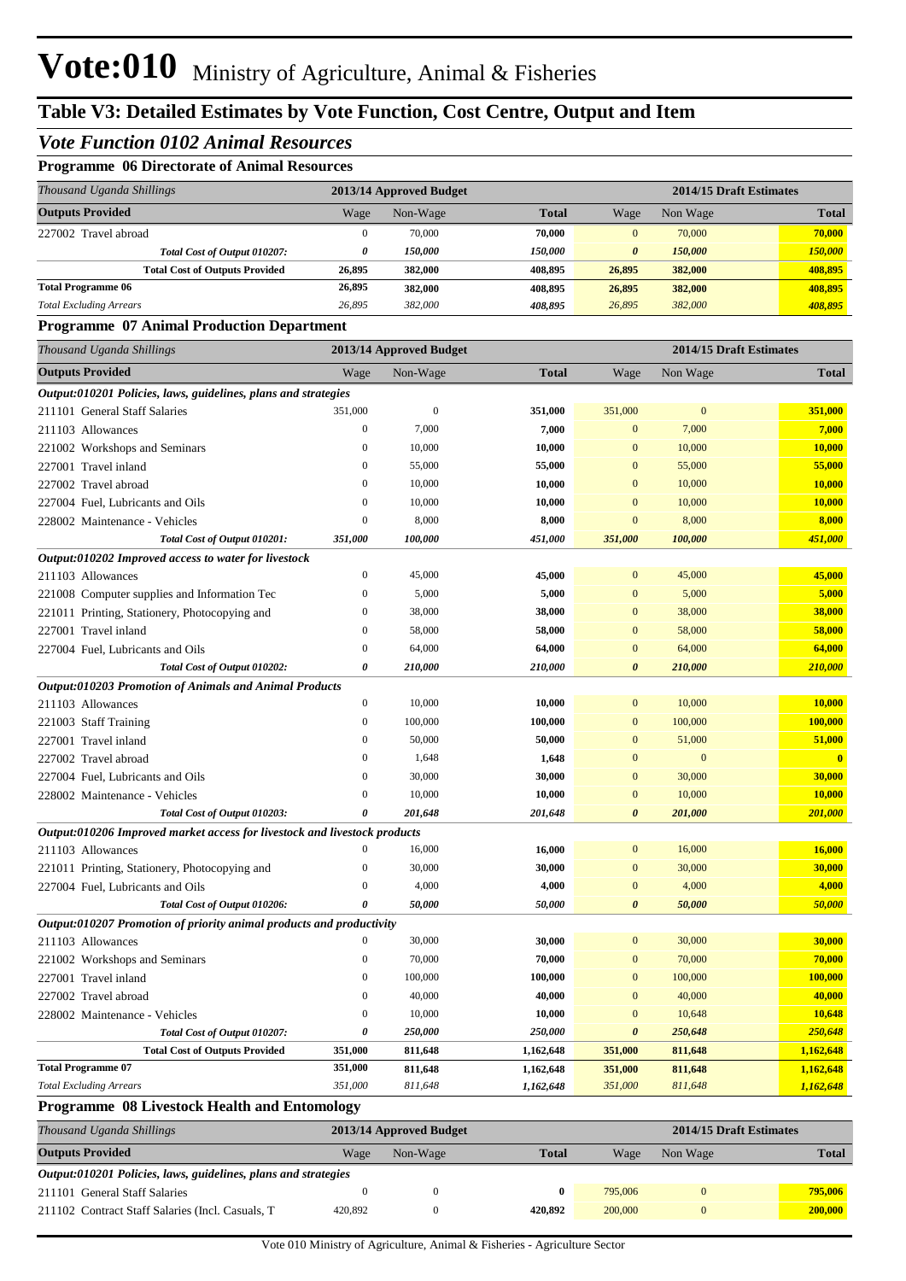#### *Vote Function 0102 Animal Resources*

#### **Programme 06 Directorate of Animal Resources**

| Thousand Uganda Shillings             | 2013/14 Approved Budget |                       |                       |              | 2014/15 Draft Estimates |              |  |
|---------------------------------------|-------------------------|-----------------------|-----------------------|--------------|-------------------------|--------------|--|
| <b>Outputs Provided</b>               | Wage                    | Non-Wage              | <b>Total</b>          | Wage         | Non Wage                | <b>Total</b> |  |
| 227002 Travel abroad                  | 0                       | 70,000                | 70,000                | $\mathbf{0}$ | 70,000                  | 70,000       |  |
| Total Cost of Output 010207:          | 0                       | <i><b>150.000</b></i> | <i><b>150.000</b></i> | 0            | <i><b>150.000</b></i>   | 150,000      |  |
| <b>Total Cost of Outputs Provided</b> | 26,895                  | 382,000               | 408.895               | 26,895       | 382,000                 | 408,895      |  |
| <b>Total Programme 06</b>             | 26,895                  | 382,000               | 408.895               | 26,895       | 382,000                 | 408,895      |  |
| <b>Total Excluding Arrears</b>        | 26.895                  | 382,000               | 408.895               | 26.895       | 382,000                 | 408,895      |  |

#### **Programme 07 Animal Production Department**

| Thousand Uganda Shillings                                                 | 2013/14 Approved Budget |                  |              | 2014/15 Draft Estimates |              |              |  |
|---------------------------------------------------------------------------|-------------------------|------------------|--------------|-------------------------|--------------|--------------|--|
| <b>Outputs Provided</b>                                                   | Wage                    | Non-Wage         | <b>Total</b> | Wage                    | Non Wage     | <b>Total</b> |  |
| Output:010201 Policies, laws, guidelines, plans and strategies            |                         |                  |              |                         |              |              |  |
| 211101 General Staff Salaries                                             | 351,000                 | $\boldsymbol{0}$ | 351,000      | 351,000                 | $\mathbf{0}$ | 351,000      |  |
| 211103 Allowances                                                         | $\overline{0}$          | 7,000            | 7,000        | $\mathbf{0}$            | 7,000        | 7,000        |  |
| 221002 Workshops and Seminars                                             | $\theta$                | 10,000           | 10,000       | $\mathbf{0}$            | 10,000       | 10,000       |  |
| 227001 Travel inland                                                      | $\mathbf{0}$            | 55,000           | 55,000       | $\boldsymbol{0}$        | 55,000       | 55,000       |  |
| 227002 Travel abroad                                                      | $\overline{0}$          | 10,000           | 10,000       | $\mathbf{0}$            | 10,000       | 10,000       |  |
| 227004 Fuel, Lubricants and Oils                                          | $\overline{0}$          | 10,000           | 10,000       | $\mathbf{0}$            | 10,000       | 10,000       |  |
| 228002 Maintenance - Vehicles                                             | $\overline{0}$          | 8,000            | 8,000        | $\mathbf{0}$            | 8,000        | 8,000        |  |
| Total Cost of Output 010201:                                              | 351,000                 | 100,000          | 451,000      | 351,000                 | 100,000      | 451,000      |  |
| Output:010202 Improved access to water for livestock                      |                         |                  |              |                         |              |              |  |
| 211103 Allowances                                                         | $\overline{0}$          | 45,000           | 45,000       | $\mathbf{0}$            | 45,000       | 45,000       |  |
| 221008 Computer supplies and Information Tec                              | $\mathbf{0}$            | 5,000            | 5,000        | $\mathbf{0}$            | 5,000        | 5,000        |  |
| 221011 Printing, Stationery, Photocopying and                             | $\overline{0}$          | 38,000           | 38,000       | $\mathbf{0}$            | 38,000       | 38,000       |  |
| 227001 Travel inland                                                      | $\mathbf{0}$            | 58,000           | 58,000       | $\mathbf{0}$            | 58,000       | 58,000       |  |
| 227004 Fuel, Lubricants and Oils                                          | $\mathbf{0}$            | 64,000           | 64,000       | $\mathbf{0}$            | 64,000       | 64,000       |  |
| Total Cost of Output 010202:                                              | 0                       | 210,000          | 210,000      | $\boldsymbol{\theta}$   | 210,000      | 210,000      |  |
| Output:010203 Promotion of Animals and Animal Products                    |                         |                  |              |                         |              |              |  |
| 211103 Allowances                                                         | $\boldsymbol{0}$        | 10,000           | 10,000       | $\mathbf{0}$            | 10,000       | 10,000       |  |
| 221003 Staff Training                                                     | $\overline{0}$          | 100,000          | 100,000      | $\mathbf{0}$            | 100,000      | 100,000      |  |
| 227001 Travel inland                                                      | $\overline{0}$          | 50,000           | 50,000       | $\mathbf{0}$            | 51,000       | 51,000       |  |
| 227002 Travel abroad                                                      | $\overline{0}$          | 1,648            | 1,648        | $\mathbf{0}$            | $\mathbf{0}$ | $\mathbf{0}$ |  |
| 227004 Fuel, Lubricants and Oils                                          | $\boldsymbol{0}$        | 30,000           | 30,000       | $\mathbf{0}$            | 30,000       | 30,000       |  |
| 228002 Maintenance - Vehicles                                             | $\mathbf{0}$            | 10,000           | 10,000       | $\mathbf{0}$            | 10,000       | 10,000       |  |
| Total Cost of Output 010203:                                              | 0                       | 201,648          | 201,648      | $\boldsymbol{\theta}$   | 201,000      | 201,000      |  |
| Output:010206 Improved market access for livestock and livestock products |                         |                  |              |                         |              |              |  |
| 211103 Allowances                                                         | $\mathbf{0}$            | 16,000           | 16,000       | $\mathbf{0}$            | 16,000       | 16,000       |  |
| 221011 Printing, Stationery, Photocopying and                             | $\mathbf{0}$            | 30,000           | 30,000       | $\mathbf{0}$            | 30,000       | 30,000       |  |
| 227004 Fuel, Lubricants and Oils                                          | $\overline{0}$          | 4,000            | 4,000        | $\mathbf{0}$            | 4,000        | 4,000        |  |
| Total Cost of Output 010206:                                              | $\boldsymbol{\theta}$   | 50,000           | 50,000       | $\boldsymbol{\theta}$   | 50,000       | 50,000       |  |
| Output:010207 Promotion of priority animal products and productivity      |                         |                  |              |                         |              |              |  |
| 211103 Allowances                                                         | $\boldsymbol{0}$        | 30,000           | 30,000       | $\mathbf{0}$            | 30,000       | 30,000       |  |
| 221002 Workshops and Seminars                                             | $\overline{0}$          | 70,000           | 70,000       | $\mathbf{0}$            | 70,000       | 70,000       |  |
| 227001 Travel inland                                                      | $\overline{0}$          | 100,000          | 100,000      | $\mathbf{0}$            | 100,000      | 100,000      |  |
| 227002 Travel abroad                                                      | $\overline{0}$          | 40,000           | 40,000       | $\mathbf{0}$            | 40,000       | 40,000       |  |
| 228002 Maintenance - Vehicles                                             | $\boldsymbol{0}$        | 10,000           | 10,000       | $\mathbf{0}$            | 10,648       | 10,648       |  |
| Total Cost of Output 010207:                                              | 0                       | 250,000          | 250,000      | $\boldsymbol{\theta}$   | 250,648      | 250,648      |  |
| <b>Total Cost of Outputs Provided</b>                                     | 351,000                 | 811,648          | 1,162,648    | 351,000                 | 811,648      | 1,162,648    |  |
| <b>Total Programme 07</b>                                                 | 351,000                 | 811,648          | 1,162,648    | 351,000                 | 811,648      | 1,162,648    |  |
| <b>Total Excluding Arrears</b>                                            | 351,000                 | 811,648          | 1,162,648    | 351,000                 | 811,648      | 1,162,648    |  |
| <b>Programme 08 Livestock Health and Entomology</b>                       |                         |                  |              |                         |              |              |  |

| Thousand Uganda Shillings                                             | 2013/14 Approved Budget |          |              |         | 2014/15 Draft Estimates |              |  |
|-----------------------------------------------------------------------|-------------------------|----------|--------------|---------|-------------------------|--------------|--|
| <b>Outputs Provided</b>                                               | Wage                    | Non-Wage | <b>Total</b> | Wage    | Non Wage                | <b>Total</b> |  |
| <i>Output:010201 Policies, laws, guidelines, plans and strategies</i> |                         |          |              |         |                         |              |  |
| 211101 General Staff Salaries                                         |                         |          |              | 795,006 |                         | 795,006      |  |
| 211102 Contract Staff Salaries (Incl. Casuals, T.                     | 420,892                 |          | 420.892      | 200,000 |                         | 200,000      |  |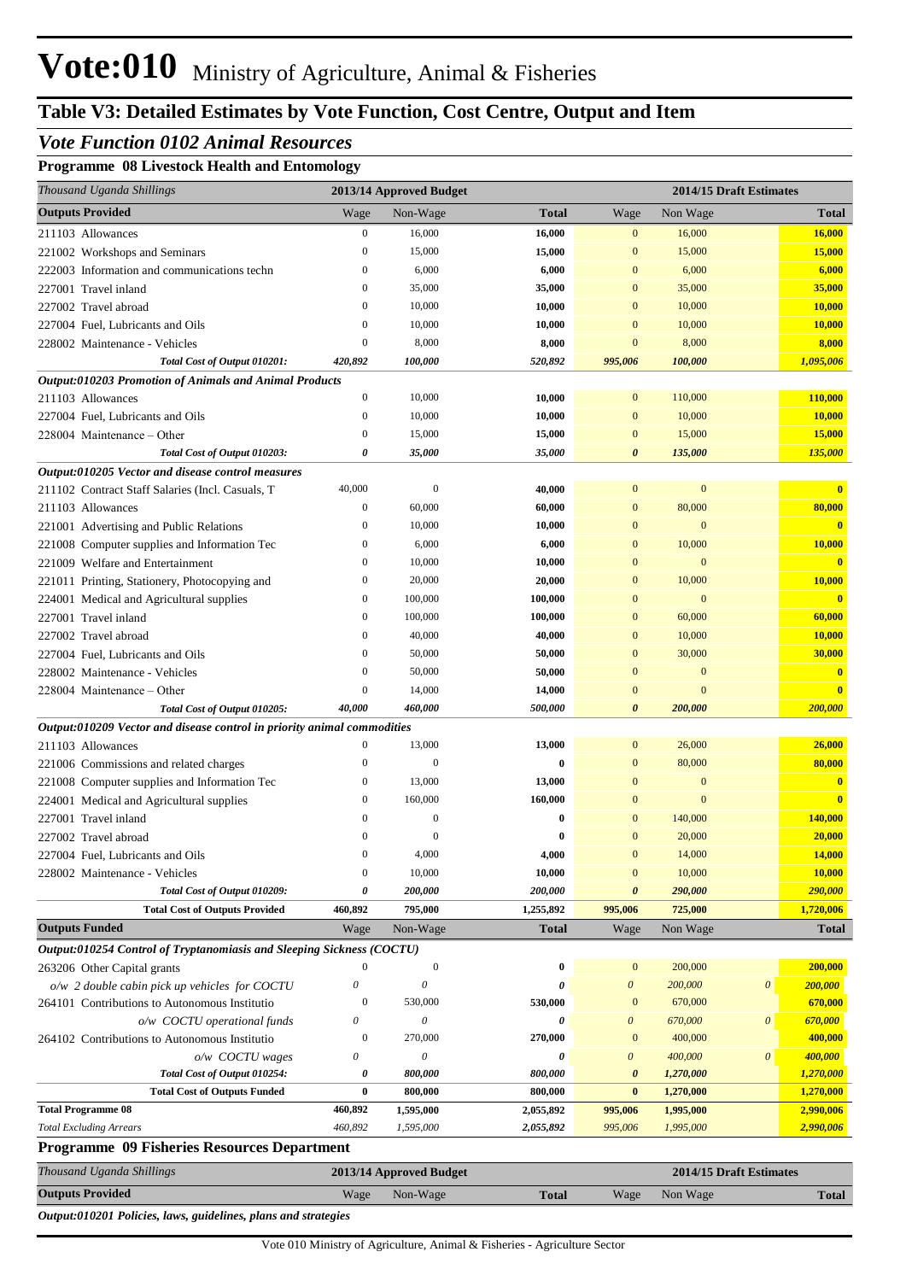#### *Vote Function 0102 Animal Resources*

**Programme 08 Livestock Health and Entomology**

| Thousand Uganda Shillings                                               |                                      | 2013/14 Approved Budget |              |                          |                              | 2014/15 Draft Estimates |                                         |
|-------------------------------------------------------------------------|--------------------------------------|-------------------------|--------------|--------------------------|------------------------------|-------------------------|-----------------------------------------|
| <b>Outputs Provided</b>                                                 | Wage                                 | Non-Wage                | <b>Total</b> | Wage                     | Non Wage                     |                         | <b>Total</b>                            |
| 211103 Allowances                                                       | $\boldsymbol{0}$                     | 16,000                  | 16,000       | $\mathbf{0}$             | 16,000                       |                         | 16,000                                  |
| 221002 Workshops and Seminars                                           | $\boldsymbol{0}$                     | 15,000                  | 15,000       | $\mathbf{0}$             | 15,000                       |                         | 15,000                                  |
| 222003 Information and communications techn                             | $\mathbf{0}$                         | 6,000                   | 6,000        | $\overline{0}$           | 6,000                        |                         | 6,000                                   |
| 227001 Travel inland                                                    | $\boldsymbol{0}$                     | 35,000                  | 35,000       | $\mathbf{0}$             | 35,000                       |                         | 35,000                                  |
| 227002 Travel abroad                                                    | $\mathbf{0}$                         | 10,000                  | 10,000       | $\Omega$                 | 10,000                       |                         | 10,000                                  |
| 227004 Fuel, Lubricants and Oils                                        | $\overline{0}$                       | 10,000                  | 10,000       | $\overline{0}$           | 10,000                       |                         | 10,000                                  |
| 228002 Maintenance - Vehicles                                           | $\mathbf{0}$                         | 8,000                   | 8,000        | $\overline{0}$           | 8,000                        |                         | 8,000                                   |
| Total Cost of Output 010201:                                            | 420,892                              | 100,000                 | 520,892      | 995,006                  | 100,000                      |                         | 1,095,006                               |
| Output:010203 Promotion of Animals and Animal Products                  |                                      |                         |              |                          |                              |                         |                                         |
| 211103 Allowances                                                       | $\boldsymbol{0}$                     | 10,000                  | 10,000       | $\mathbf{0}$             | 110,000                      |                         | 110,000                                 |
| 227004 Fuel, Lubricants and Oils                                        | $\mathbf{0}$                         | 10,000                  | 10,000       | $\mathbf{0}$             | 10,000                       |                         | 10,000                                  |
| 228004 Maintenance – Other                                              | $\mathbf{0}$                         | 15,000                  | 15,000       | $\mathbf{0}$             | 15,000                       |                         | 15,000                                  |
| Total Cost of Output 010203:                                            | 0                                    | 35,000                  | 35,000       | 0                        | 135,000                      |                         | 135,000                                 |
| Output:010205 Vector and disease control measures                       |                                      |                         |              |                          |                              |                         |                                         |
| 211102 Contract Staff Salaries (Incl. Casuals, T                        | 40,000                               | $\mathbf{0}$            | 40,000       | $\mathbf{0}$             | $\boldsymbol{0}$             |                         | $\mathbf{0}$                            |
| 211103 Allowances                                                       | $\boldsymbol{0}$                     | 60,000                  | 60,000       | $\bf{0}$                 | 80,000                       |                         | 80,000                                  |
| 221001 Advertising and Public Relations                                 | $\overline{0}$                       | 10,000                  | 10,000       | $\overline{0}$           | $\mathbf{0}$                 |                         | $\mathbf{0}$                            |
| 221008 Computer supplies and Information Tec                            | $\boldsymbol{0}$                     | 6,000                   | 6,000        | $\mathbf{0}$             | 10,000                       |                         | 10,000                                  |
| 221009 Welfare and Entertainment                                        | $\mathbf{0}$                         | 10,000                  | 10,000       | $\overline{0}$           | $\mathbf{0}$                 |                         | $\mathbf{0}$                            |
| 221011 Printing, Stationery, Photocopying and                           | $\boldsymbol{0}$                     | 20,000                  | 20,000       | $\bf{0}$                 | 10,000                       |                         | 10,000                                  |
| 224001 Medical and Agricultural supplies                                | $\boldsymbol{0}$                     | 100,000                 | 100,000      | $\overline{0}$           | $\mathbf{0}$                 |                         | $\mathbf{0}$                            |
| 227001 Travel inland                                                    | $\boldsymbol{0}$                     | 100,000                 | 100,000      | $\mathbf{0}$             | 60,000                       |                         | 60,000                                  |
| 227002 Travel abroad                                                    | $\mathbf{0}$                         | 40,000                  | 40,000       | $\overline{0}$           | 10,000                       |                         | 10,000                                  |
| 227004 Fuel, Lubricants and Oils                                        | $\mathbf{0}$                         | 50,000                  | 50,000       | $\overline{0}$           | 30,000                       |                         | 30,000                                  |
| 228002 Maintenance - Vehicles                                           | $\boldsymbol{0}$                     | 50,000                  | 50,000       | $\overline{0}$           | $\mathbf{0}$                 |                         | $\mathbf{0}$                            |
| 228004 Maintenance – Other                                              | $\boldsymbol{0}$                     | 14,000                  | 14,000       | $\mathbf{0}$             | $\mathbf{0}$                 |                         | $\mathbf{0}$                            |
| Total Cost of Output 010205:                                            | 40,000                               | 460,000                 | 500,000      | $\boldsymbol{\theta}$    | 200,000                      |                         | 200,000                                 |
| Output:010209 Vector and disease control in priority animal commodities |                                      |                         |              |                          |                              |                         |                                         |
| 211103 Allowances                                                       | $\mathbf{0}$                         | 13,000                  | 13,000       | $\mathbf{0}$             | 26,000                       |                         | 26,000                                  |
| 221006 Commissions and related charges                                  | $\boldsymbol{0}$                     | $\mathbf{0}$            | 0            | $\bf{0}$                 | 80,000                       |                         | 80,000                                  |
| 221008 Computer supplies and Information Tec                            | $\boldsymbol{0}$<br>$\boldsymbol{0}$ | 13,000<br>160,000       | 13,000       | $\mathbf{0}$<br>$\Omega$ | $\mathbf{0}$<br>$\mathbf{0}$ |                         | $\mathbf{0}$<br>$\overline{\mathbf{0}}$ |
| 224001 Medical and Agricultural supplies                                | $\theta$                             | $\mathbf{0}$            | 160,000<br>0 | $\mathbf{0}$             | 140,000                      |                         | 140,000                                 |
| 227001 Travel inland                                                    | $\theta$                             | 0                       | 0            | $\mathbf{0}$             | 20,000                       |                         | 20,000                                  |
| 227002 Travel abroad<br>227004 Fuel, Lubricants and Oils                |                                      | 4,000                   | 4,000        | $\overline{0}$           | 14,000                       |                         | 14,000                                  |
| 228002 Maintenance - Vehicles                                           | $\mathbf{0}$                         | 10,000                  | 10,000       | $\mathbf{0}$             | 10,000                       |                         | 10,000                                  |
| Total Cost of Output 010209:                                            | 0                                    | 200,000                 | 200,000      | 0                        | 290,000                      |                         | 290,000                                 |
| <b>Total Cost of Outputs Provided</b>                                   | 460,892                              | 795,000                 | 1,255,892    | 995,006                  | 725,000                      |                         | 1,720,006                               |
| <b>Outputs Funded</b>                                                   | Wage                                 | Non-Wage                | <b>Total</b> | Wage                     | Non Wage                     |                         | <b>Total</b>                            |
| Output:010254 Control of Tryptanomiasis and Sleeping Sickness (COCTU)   |                                      |                         |              |                          |                              |                         |                                         |
| 263206 Other Capital grants                                             | $\boldsymbol{0}$                     | $\boldsymbol{0}$        | 0            | $\boldsymbol{0}$         | 200,000                      |                         | 200,000                                 |
| o/w 2 double cabin pick up vehicles for COCTU                           | 0                                    | 0                       | 0            | $\boldsymbol{\theta}$    | 200,000                      | $\boldsymbol{\theta}$   | 200,000                                 |
| 264101 Contributions to Autonomous Institutio                           | $\boldsymbol{0}$                     | 530,000                 | 530,000      | $\boldsymbol{0}$         | 670,000                      |                         | 670,000                                 |
| o/w COCTU operational funds                                             | 0                                    | $\boldsymbol{\theta}$   | 0            | $\boldsymbol{\theta}$    | 670,000                      | $\boldsymbol{\theta}$   | 670,000                                 |
| 264102 Contributions to Autonomous Institutio                           | $\mathbf{0}$                         | 270,000                 | 270,000      | $\boldsymbol{0}$         | 400,000                      |                         | 400,000                                 |
| o/w COCTU wages                                                         | 0                                    | 0                       | 0            | $\boldsymbol{\theta}$    | 400,000                      | $\boldsymbol{\theta}$   | 400,000                                 |
| Total Cost of Output 010254:                                            | 0                                    | 800,000                 | 800,000      | $\boldsymbol{\theta}$    | 1,270,000                    |                         | 1,270,000                               |
| <b>Total Cost of Outputs Funded</b>                                     | $\bf{0}$                             | 800,000                 | 800,000      | $\bf{0}$                 | 1,270,000                    |                         | 1,270,000                               |
| <b>Total Programme 08</b>                                               | 460,892                              | 1,595,000               | 2,055,892    | 995,006                  | 1,995,000                    |                         | 2,990,006                               |
| <b>Total Excluding Arrears</b>                                          | 460,892                              | 1,595,000               | 2,055,892    | 995,006                  | 1,995,000                    |                         | 2,990,006                               |
| Programme 09 Fisheries Resources Department                             |                                      |                         |              |                          |                              |                         |                                         |
| Thousand Uganda Shillings                                               |                                      | 2013/14 Approved Budget |              |                          | 2014/15 Draft Estimates      |                         |                                         |
| <b>Outputs Provided</b>                                                 | Wage                                 | Non-Wage                | <b>Total</b> | Wage                     | Non Wage                     |                         | <b>Total</b>                            |

*Output:010201 Policies, laws, guidelines, plans and strategies*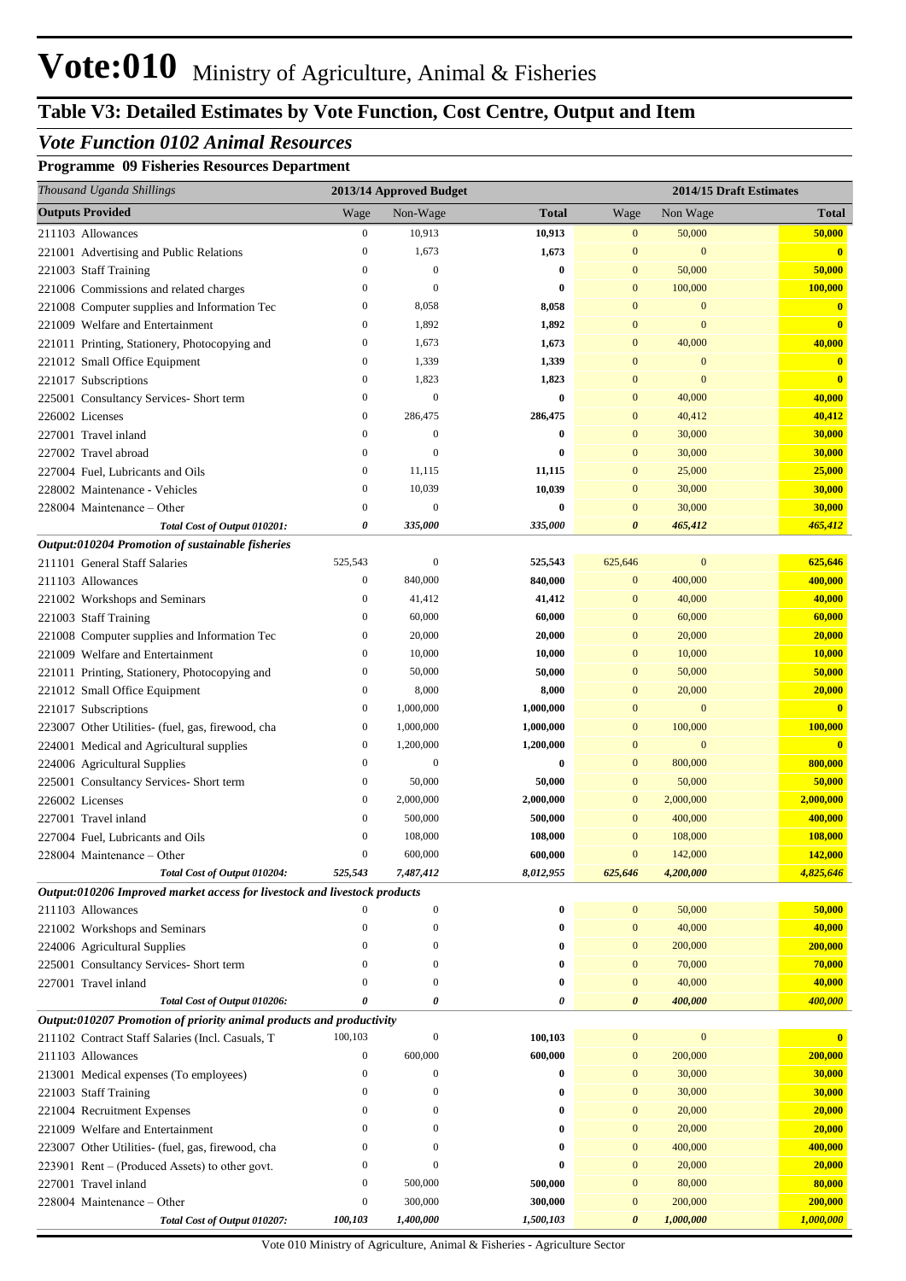## **Table V3: Detailed Estimates by Vote Function, Cost Centre, Output and Item**

#### *Vote Function 0102 Animal Resources*

#### **Programme 09 Fisheries Resources Department**

| Thousand Uganda Shillings                                                 |                                  | 2013/14 Approved Budget       |                       |                              |                         | 2014/15 Draft Estimates |
|---------------------------------------------------------------------------|----------------------------------|-------------------------------|-----------------------|------------------------------|-------------------------|-------------------------|
| <b>Outputs Provided</b>                                                   | Wage                             | Non-Wage                      | <b>Total</b>          | Wage                         | Non Wage                | <b>Total</b>            |
| 211103 Allowances                                                         | $\boldsymbol{0}$                 | 10,913                        | 10,913                | $\mathbf{0}$                 | 50,000                  | 50,000                  |
| 221001 Advertising and Public Relations                                   | $\boldsymbol{0}$                 | 1,673                         | 1,673                 | $\mathbf{0}$                 | $\mathbf{0}$            | $\mathbf{0}$            |
| 221003 Staff Training                                                     | $\mathbf{0}$                     | $\Omega$                      | $\bf{0}$              | $\mathbf{0}$                 | 50,000                  | 50,000                  |
| 221006 Commissions and related charges                                    | $\boldsymbol{0}$                 | $\mathbf{0}$                  | $\bf{0}$              | $\mathbf{0}$                 | 100,000                 | 100,000                 |
| 221008 Computer supplies and Information Tec                              | $\boldsymbol{0}$                 | 8,058                         | 8,058                 | $\mathbf{0}$                 | $\mathbf{0}$            | $\mathbf{0}$            |
| 221009 Welfare and Entertainment                                          | $\boldsymbol{0}$                 | 1,892                         | 1,892                 | $\mathbf{0}$                 | $\mathbf{0}$            | $\bf{0}$                |
| 221011 Printing, Stationery, Photocopying and                             | $\boldsymbol{0}$                 | 1,673                         | 1,673                 | $\mathbf{0}$                 | 40,000                  | 40,000                  |
| 221012 Small Office Equipment                                             | $\boldsymbol{0}$                 | 1,339                         | 1,339                 | $\mathbf{0}$                 | $\mathbf{0}$            | $\mathbf{0}$            |
| 221017 Subscriptions                                                      | $\boldsymbol{0}$                 | 1,823                         | 1,823                 | $\mathbf{0}$                 | $\mathbf{0}$            | $\bf{0}$                |
| 225001 Consultancy Services- Short term                                   | $\boldsymbol{0}$                 | $\mathbf{0}$                  | $\bf{0}$              | $\mathbf{0}$                 | 40,000                  | 40,000                  |
| 226002 Licenses                                                           | $\boldsymbol{0}$                 | 286,475                       | 286,475               | $\mathbf{0}$                 | 40,412                  | 40,412                  |
| 227001 Travel inland                                                      | $\mathbf{0}$                     | $\boldsymbol{0}$              | $\bf{0}$              | $\mathbf{0}$                 | 30,000                  | 30,000                  |
| 227002 Travel abroad                                                      | $\boldsymbol{0}$                 | $\Omega$                      | $\bf{0}$              | $\mathbf{0}$                 | 30,000                  | 30,000                  |
| 227004 Fuel, Lubricants and Oils                                          | $\boldsymbol{0}$                 | 11,115                        | 11,115                | $\mathbf{0}$                 | 25,000                  | 25,000                  |
| 228002 Maintenance - Vehicles                                             | $\boldsymbol{0}$                 | 10,039                        | 10,039                | $\mathbf{0}$                 | 30,000                  | 30,000                  |
| 228004 Maintenance – Other                                                | $\boldsymbol{0}$                 | $\mathbf{0}$                  | $\bf{0}$              | $\mathbf{0}$                 | 30,000                  | 30,000                  |
| Total Cost of Output 010201:                                              | 0                                | 335,000                       | 335,000               | $\boldsymbol{\theta}$        | 465,412                 | 465,412                 |
| Output:010204 Promotion of sustainable fisheries                          |                                  |                               |                       |                              |                         |                         |
| 211101 General Staff Salaries                                             | 525,543                          | $\boldsymbol{0}$              | 525,543               | 625,646                      | $\boldsymbol{0}$        | 625,646                 |
| 211103 Allowances                                                         | $\boldsymbol{0}$                 | 840,000                       | 840,000               | $\mathbf{0}$                 | 400,000                 | 400,000                 |
| 221002 Workshops and Seminars                                             | $\boldsymbol{0}$                 | 41,412                        | 41,412                | $\mathbf{0}$                 | 40,000                  | 40,000                  |
| 221003 Staff Training                                                     | $\boldsymbol{0}$                 | 60,000                        | 60,000                | $\mathbf{0}$                 | 60,000                  | 60,000                  |
| 221008 Computer supplies and Information Tec                              | $\boldsymbol{0}$                 | 20,000                        | 20,000                | $\mathbf{0}$                 | 20,000                  | 20,000                  |
| 221009 Welfare and Entertainment                                          | $\boldsymbol{0}$                 | 10,000                        | 10,000                | $\mathbf{0}$                 | 10,000                  | 10,000                  |
| 221011 Printing, Stationery, Photocopying and                             | $\boldsymbol{0}$                 | 50,000                        | 50,000                | $\mathbf{0}$                 | 50,000                  | 50,000                  |
| 221012 Small Office Equipment                                             | $\boldsymbol{0}$                 | 8,000                         | 8,000                 | $\mathbf{0}$                 | 20,000                  | 20,000                  |
| 221017 Subscriptions                                                      | $\boldsymbol{0}$                 | 1,000,000                     | 1,000,000             | $\mathbf{0}$                 | $\mathbf{0}$            | $\overline{\mathbf{0}}$ |
| 223007 Other Utilities- (fuel, gas, firewood, cha                         | $\mathbf{0}$<br>$\boldsymbol{0}$ | 1,000,000                     | 1,000,000             | $\mathbf{0}$                 | 100,000<br>$\mathbf{0}$ | 100,000                 |
| 224001 Medical and Agricultural supplies                                  | $\boldsymbol{0}$                 | 1,200,000<br>$\boldsymbol{0}$ | 1,200,000<br>$\bf{0}$ | $\mathbf{0}$<br>$\mathbf{0}$ |                         | $\overline{\mathbf{0}}$ |
| 224006 Agricultural Supplies                                              | $\boldsymbol{0}$                 | 50,000                        | 50,000                | $\mathbf{0}$                 | 800,000<br>50,000       | 800,000<br>50,000       |
| 225001 Consultancy Services- Short term<br>226002 Licenses                | $\boldsymbol{0}$                 | 2,000,000                     | 2,000,000             | $\mathbf{0}$                 | 2,000,000               | 2,000,000               |
| 227001 Travel inland                                                      | $\mathbf{0}$                     | 500,000                       | 500,000               | $\mathbf{0}$                 | 400,000                 | 400,000                 |
| 227004 Fuel, Lubricants and Oils                                          | $\boldsymbol{0}$                 | 108,000                       | 108,000               | $\mathbf{0}$                 | 108,000                 | 108,000                 |
| $228004$ Maintenance – Other                                              | $\mathbf{0}$                     | 600,000                       | 600,000               | $\overline{0}$               | 142,000                 | 142,000                 |
| Total Cost of Output 010204:                                              | 525,543                          | 7,487,412                     | 8,012,955             | 625,646                      | 4,200,000               | 4,825,646               |
| Output:010206 Improved market access for livestock and livestock products |                                  |                               |                       |                              |                         |                         |
| 211103 Allowances                                                         |                                  | $\boldsymbol{0}$              | $\bf{0}$              | $\mathbf{0}$                 | 50,000                  | 50,000                  |
| 221002 Workshops and Seminars                                             | $\theta$                         | $\boldsymbol{0}$              | $\bf{0}$              | $\mathbf{0}$                 | 40,000                  | 40,000                  |
| 224006 Agricultural Supplies                                              | $\theta$                         | 0                             | $\bf{0}$              | $\mathbf{0}$                 | 200,000                 | 200,000                 |
| 225001 Consultancy Services- Short term                                   | $\theta$                         | 0                             | $\bf{0}$              | $\mathbf{0}$                 | 70,000                  | 70,000                  |
| 227001 Travel inland                                                      | $\bf{0}$                         | $\mathbf{0}$                  | $\bf{0}$              | $\mathbf{0}$                 | 40,000                  | 40,000                  |
| Total Cost of Output 010206:                                              | 0                                | 0                             | 0                     | $\boldsymbol{\theta}$        | 400,000                 | 400,000                 |
| Output:010207 Promotion of priority animal products and productivity      |                                  |                               |                       |                              |                         |                         |
| 211102 Contract Staff Salaries (Incl. Casuals, T                          | 100,103                          | $\boldsymbol{0}$              | 100,103               | $\mathbf{0}$                 | $\boldsymbol{0}$        | $\bf{0}$                |
| 211103 Allowances                                                         | $\boldsymbol{0}$                 | 600,000                       | 600,000               | $\boldsymbol{0}$             | 200,000                 | 200,000                 |
| 213001 Medical expenses (To employees)                                    | $\boldsymbol{0}$                 | $\boldsymbol{0}$              | $\bf{0}$              | $\mathbf{0}$                 | 30,000                  | 30,000                  |
| 221003 Staff Training                                                     | $\theta$                         | 0                             | $\bf{0}$              | $\mathbf{0}$                 | 30,000                  | 30,000                  |
| 221004 Recruitment Expenses                                               | $\theta$                         | 0                             | $\bf{0}$              | $\mathbf{0}$                 | 20,000                  | 20,000                  |
| 221009 Welfare and Entertainment                                          | $\bf{0}$                         | 0                             | $\bf{0}$              | $\mathbf{0}$                 | 20,000                  | 20,000                  |
| 223007 Other Utilities- (fuel, gas, firewood, cha                         | $\bf{0}$                         | 0                             | $\bf{0}$              | $\mathbf{0}$                 | 400,000                 | 400,000                 |
| 223901 Rent – (Produced Assets) to other govt.                            | $\bf{0}$                         | $\mathbf{0}$                  | $\bf{0}$              | $\mathbf{0}$                 | 20,000                  | 20,000                  |
| 227001 Travel inland                                                      | $\boldsymbol{0}$                 | 500,000                       | 500,000               | $\mathbf{0}$                 | 80,000                  | 80,000                  |
| 228004 Maintenance – Other                                                | $\boldsymbol{0}$                 | 300,000                       | 300,000               | $\mathbf{0}$                 | 200,000                 | 200,000                 |
| Total Cost of Output 010207:                                              | 100,103                          | 1,400,000                     | 1,500,103             | 0                            | 1,000,000               | 1,000,000               |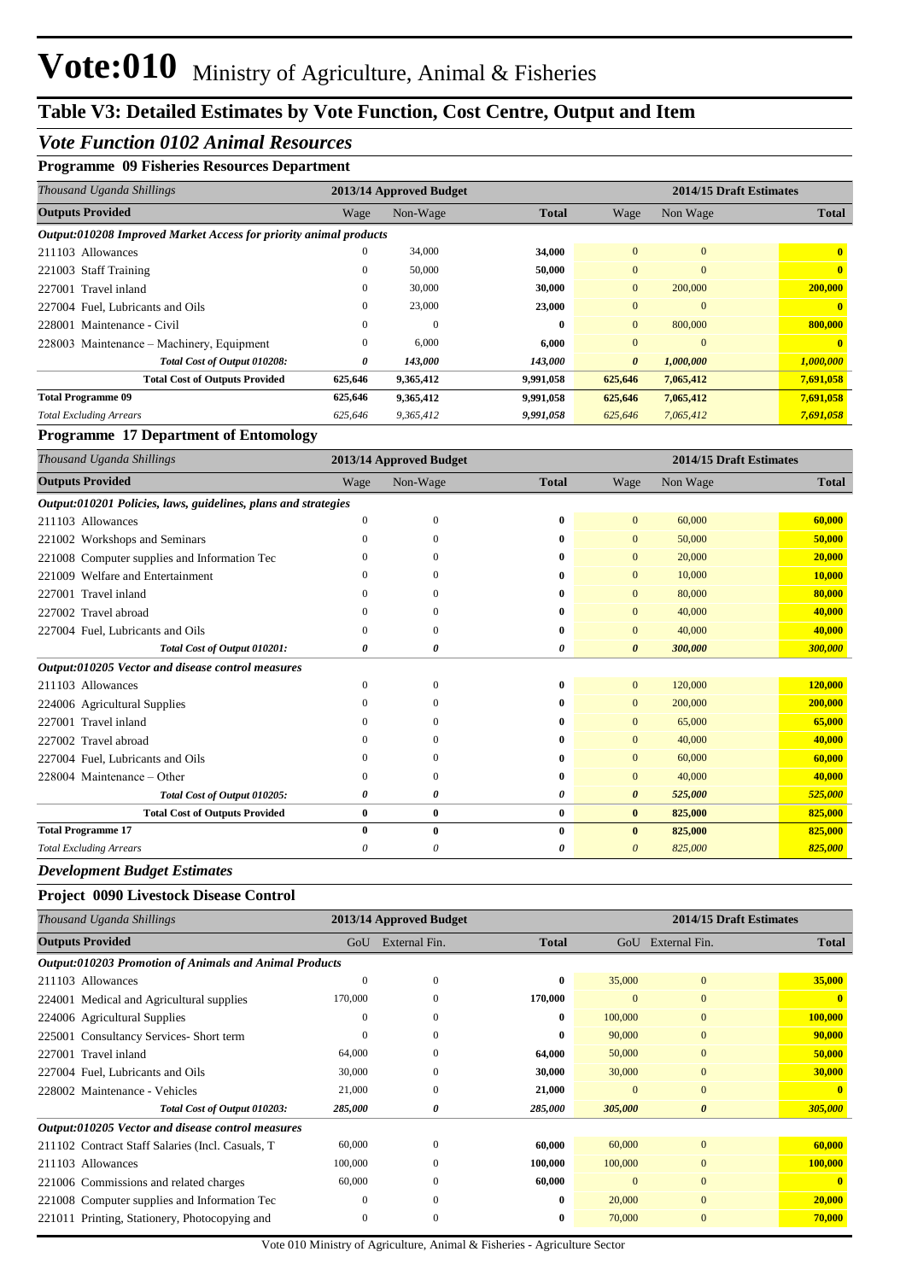#### *Vote Function 0102 Animal Resources*

#### **Programme 09 Fisheries Resources Department**

| Thousand Uganda Shillings                                         | 2014/15 Draft Estimates<br>2013/14 Approved Budget |           |              |                |              |              |
|-------------------------------------------------------------------|----------------------------------------------------|-----------|--------------|----------------|--------------|--------------|
| <b>Outputs Provided</b>                                           | Wage                                               | Non-Wage  | <b>Total</b> | Wage           | Non Wage     | <b>Total</b> |
| Output:010208 Improved Market Access for priority animal products |                                                    |           |              |                |              |              |
| 211103 Allowances                                                 | $\mathbf{0}$                                       | 34,000    | 34,000       | $\Omega$       | $\Omega$     | $\mathbf{0}$ |
| 221003 Staff Training                                             | $\mathbf{0}$                                       | 50,000    | 50,000       | $\overline{0}$ | $\mathbf{0}$ |              |
| 227001 Travel inland                                              | 0                                                  | 30,000    | 30,000       | $\overline{0}$ | 200,000      | 200,000      |
| 227004 Fuel. Lubricants and Oils                                  | $\Omega$                                           | 23,000    | 23,000       | $\Omega$       | $\Omega$     |              |
| Maintenance - Civil<br>228001                                     | $\Omega$                                           | $\Omega$  | $\mathbf{0}$ | $\mathbf{0}$   | 800,000      | 800,000      |
| 228003 Maintenance – Machinery, Equipment                         | $\mathbf{0}$                                       | 6.000     | 6.000        | $\Omega$       | $\Omega$     |              |
| Total Cost of Output 010208:                                      | 0                                                  | 143,000   | 143,000      | $\theta$       | 1,000,000    | 1,000,000    |
| <b>Total Cost of Outputs Provided</b>                             | 625,646                                            | 9,365,412 | 9,991,058    | 625,646        | 7,065,412    | 7,691,058    |
| <b>Total Programme 09</b>                                         | 625,646                                            | 9,365,412 | 9,991,058    | 625,646        | 7,065,412    | 7,691,058    |
| <b>Total Excluding Arrears</b>                                    | 625,646                                            | 9,365,412 | 9,991,058    | 625,646        | 7,065,412    | 7,691,058    |

#### **Programme 17 Department of Entomology**

| Thousand Uganda Shillings                                      | 2014/15 Draft Estimates<br>2013/14 Approved Budget |              |              |                       |          |              |
|----------------------------------------------------------------|----------------------------------------------------|--------------|--------------|-----------------------|----------|--------------|
| <b>Outputs Provided</b>                                        | Wage                                               | Non-Wage     | <b>Total</b> | Wage                  | Non Wage | <b>Total</b> |
| Output:010201 Policies, laws, guidelines, plans and strategies |                                                    |              |              |                       |          |              |
| 211103 Allowances                                              | $\Omega$                                           | $\mathbf{0}$ | 0            | $\Omega$              | 60,000   | 60,000       |
| 221002 Workshops and Seminars                                  | 0                                                  | $\Omega$     | 0            | $\mathbf{0}$          | 50,000   | 50,000       |
| 221008 Computer supplies and Information Tec                   | $\Omega$                                           | $\Omega$     | 0            | $\mathbf{0}$          | 20,000   | 20,000       |
| 221009 Welfare and Entertainment                               |                                                    | $\Omega$     | 0            | $\mathbf{0}$          | 10,000   | 10,000       |
| 227001 Travel inland                                           | $\Omega$                                           | $\Omega$     | 0            | $\Omega$              | 80,000   | 80,000       |
| 227002 Travel abroad                                           | 0                                                  | $\Omega$     | 0            | $\Omega$              | 40,000   | 40,000       |
| 227004 Fuel, Lubricants and Oils                               | 0                                                  | $\Omega$     | 0            | $\Omega$              | 40,000   | 40,000       |
| Total Cost of Output 010201:                                   | 0                                                  | 0            | 0            | $\boldsymbol{\theta}$ | 300,000  | 300,000      |
| Output:010205 Vector and disease control measures              |                                                    |              |              |                       |          |              |
| 211103 Allowances                                              | $\Omega$                                           | $\Omega$     | 0            | $\overline{0}$        | 120,000  | 120,000      |
| 224006 Agricultural Supplies                                   | 0                                                  | $\Omega$     | 0            | $\mathbf{0}$          | 200,000  | 200,000      |
| 227001 Travel inland                                           | $\Omega$                                           | $\Omega$     | 0            | $\Omega$              | 65,000   | 65,000       |
| 227002 Travel abroad                                           | $\Omega$                                           | $\Omega$     | 0            | $\mathbf{0}$          | 40,000   | 40,000       |
| 227004 Fuel, Lubricants and Oils                               | 0                                                  | $\Omega$     | 0            | $\Omega$              | 60,000   | 60,000       |
| 228004 Maintenance – Other                                     | 0                                                  | $\Omega$     | 0            | $\mathbf{0}$          | 40,000   | 40,000       |
| Total Cost of Output 010205:                                   | 0                                                  | 0            | 0            | $\boldsymbol{\theta}$ | 525,000  | 525,000      |
| <b>Total Cost of Outputs Provided</b>                          | 0                                                  | $\bf{0}$     | $\bf{0}$     | $\bf{0}$              | 825,000  | 825,000      |
| <b>Total Programme 17</b>                                      | 0                                                  | $\mathbf{0}$ | $\bf{0}$     | $\mathbf{0}$          | 825,000  | 825,000      |
| <b>Total Excluding Arrears</b>                                 | 0                                                  | 0            | 0            | 0                     | 825,000  | 825,000      |

*Development Budget Estimates*

#### **Project 0090 Livestock Disease Control**

| Thousand Uganda Shillings                                     |              | 2013/14 Approved Budget |              |              |                       | 2014/15 Draft Estimates |
|---------------------------------------------------------------|--------------|-------------------------|--------------|--------------|-----------------------|-------------------------|
| <b>Outputs Provided</b>                                       | GoU          | External Fin.           | <b>Total</b> | GoU          | External Fin.         | <b>Total</b>            |
| <b>Output:010203 Promotion of Animals and Animal Products</b> |              |                         |              |              |                       |                         |
| 211103 Allowances                                             | $\theta$     | $\mathbf{0}$            | $\bf{0}$     | 35,000       | $\boldsymbol{0}$      | 35,000                  |
| 224001 Medical and Agricultural supplies                      | 170,000      | $\mathbf{0}$            | 170,000      | $\mathbf{0}$ | $\mathbf{0}$          | $\mathbf{0}$            |
| 224006 Agricultural Supplies                                  | $\theta$     | $\mathbf{0}$            | $\bf{0}$     | 100,000      | $\mathbf{0}$          | 100,000                 |
| 225001 Consultancy Services-Short term                        | $\theta$     | $\mathbf{0}$            | $\bf{0}$     | 90,000       | $\overline{0}$        | 90,000                  |
| 227001 Travel inland                                          | 64,000       | $\Omega$                | 64,000       | 50,000       | $\mathbf{0}$          | 50,000                  |
| 227004 Fuel, Lubricants and Oils                              | 30,000       | $\Omega$                | 30,000       | 30,000       | $\mathbf{0}$          | 30,000                  |
| 228002 Maintenance - Vehicles                                 | 21,000       | $\mathbf{0}$            | 21,000       | $\mathbf{0}$ | $\mathbf{0}$          | $\mathbf{0}$            |
| Total Cost of Output 010203:                                  | 285,000      | 0                       | 285,000      | 305,000      | $\boldsymbol{\theta}$ | 305,000                 |
| Output:010205 Vector and disease control measures             |              |                         |              |              |                       |                         |
| 211102 Contract Staff Salaries (Incl. Casuals, T              | 60,000       | $\mathbf{0}$            | 60,000       | 60,000       | $\boldsymbol{0}$      | 60,000                  |
| 211103 Allowances                                             | 100,000      | $\mathbf{0}$            | 100,000      | 100,000      | $\mathbf{0}$          | 100,000                 |
| 221006 Commissions and related charges                        | 60,000       | $\mathbf{0}$            | 60,000       | $\mathbf{0}$ | $\mathbf{0}$          | $\mathbf{0}$            |
| 221008 Computer supplies and Information Tec                  | $\mathbf{0}$ | $\Omega$                | $\bf{0}$     | 20,000       | $\Omega$              | 20,000                  |
| 221011 Printing, Stationery, Photocopying and                 | $\mathbf{0}$ | $\mathbf{0}$            | $\bf{0}$     | 70,000       | $\overline{0}$        | 70,000                  |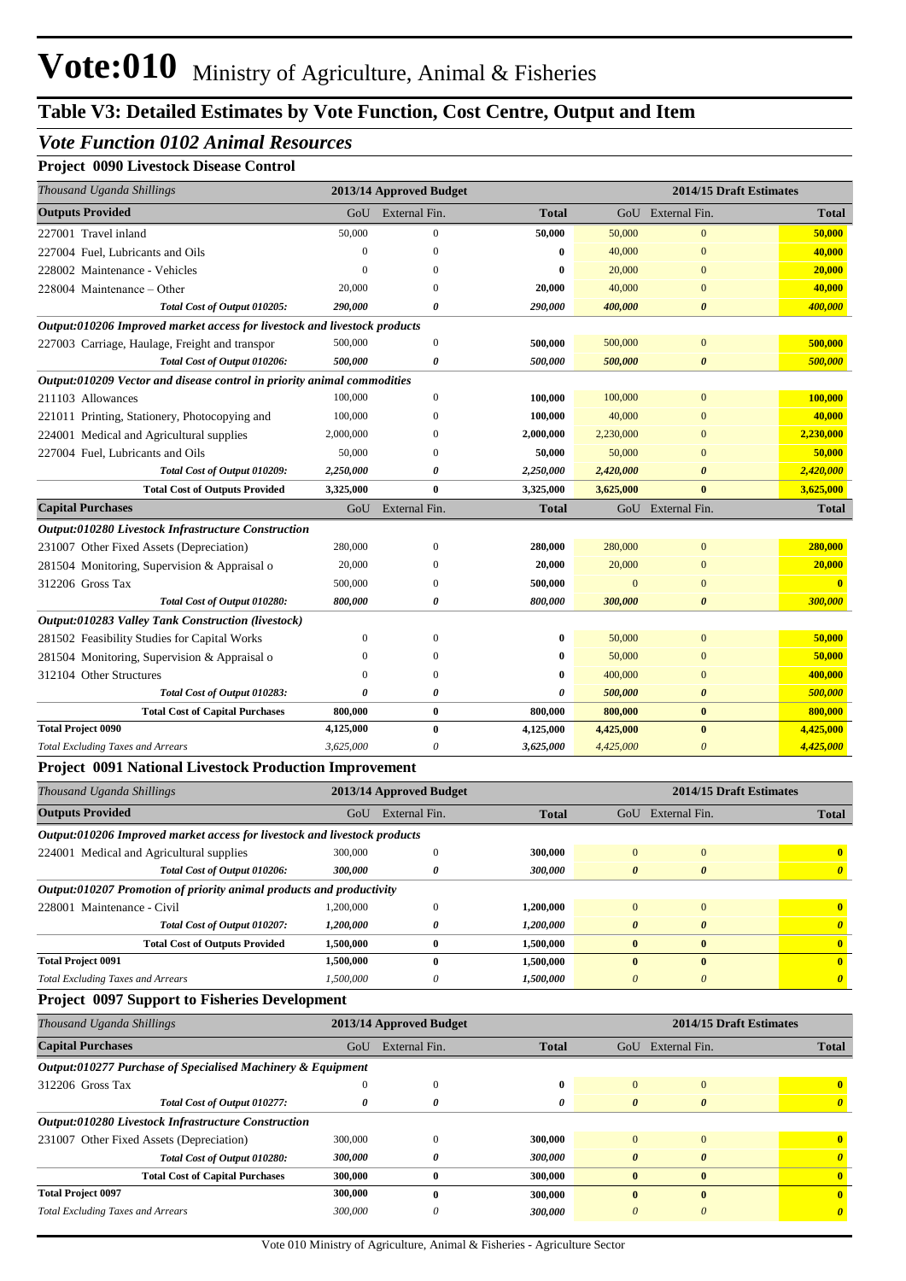#### *Vote Function 0102 Animal Resources*

#### **Project 0090 Livestock Disease Control**

| Thousand Uganda Shillings                                                 |           | 2013/14 Approved Budget |              |           | 2014/15 Draft Estimates |              |
|---------------------------------------------------------------------------|-----------|-------------------------|--------------|-----------|-------------------------|--------------|
| <b>Outputs Provided</b>                                                   | GoU       | External Fin.           | <b>Total</b> |           | GoU External Fin.       | <b>Total</b> |
| 227001 Travel inland                                                      | 50,000    | $\Omega$                | 50,000       | 50,000    | $\overline{0}$          | 50,000       |
| 227004 Fuel, Lubricants and Oils                                          | $\Omega$  | $\Omega$                | $\bf{0}$     | 40,000    | $\mathbf{0}$            | 40,000       |
| 228002 Maintenance - Vehicles                                             | $\Omega$  | 0                       | $\bf{0}$     | 20,000    | $\mathbf{0}$            | 20,000       |
| 228004 Maintenance – Other                                                | 20,000    |                         | 20,000       | 40,000    | $\Omega$                | 40,000       |
| Total Cost of Output 010205:                                              | 290,000   | $\theta$                | 290,000      | 400,000   | $\boldsymbol{\theta}$   | 400,000      |
| Output:010206 Improved market access for livestock and livestock products |           |                         |              |           |                         |              |
| 227003 Carriage, Haulage, Freight and transpor                            | 500,000   | $\overline{0}$          | 500,000      | 500,000   | $\overline{0}$          | 500,000      |
| Total Cost of Output 010206:                                              | 500,000   | 0                       | 500,000      | 500,000   | $\boldsymbol{\theta}$   | 500,000      |
| Output:010209 Vector and disease control in priority animal commodities   |           |                         |              |           |                         |              |
| 211103 Allowances                                                         | 100,000   | $\mathbf{0}$            | 100,000      | 100,000   | $\mathbf{0}$            | 100,000      |
| 221011 Printing, Stationery, Photocopying and                             | 100,000   | $\Omega$                | 100,000      | 40,000    | $\Omega$                | 40,000       |
| 224001 Medical and Agricultural supplies                                  | 2,000,000 |                         | 2,000,000    | 2,230,000 | $\Omega$                | 2,230,000    |
| 227004 Fuel, Lubricants and Oils                                          | 50,000    | $\Omega$                | 50,000       | 50,000    | $\Omega$                | 50,000       |
| Total Cost of Output 010209:                                              | 2,250,000 | $\theta$                | 2,250,000    | 2,420,000 | $\theta$                | 2,420,000    |
| <b>Total Cost of Outputs Provided</b>                                     | 3,325,000 | $\bf{0}$                | 3,325,000    | 3,625,000 | $\bf{0}$                | 3,625,000    |
| <b>Capital Purchases</b>                                                  | GoU       | External Fin.           | <b>Total</b> |           | GoU External Fin.       | <b>Total</b> |
| Output:010280 Livestock Infrastructure Construction                       |           |                         |              |           |                         |              |
| 231007 Other Fixed Assets (Depreciation)                                  | 280,000   | $\overline{0}$          | 280,000      | 280,000   | $\overline{0}$          | 280,000      |
| 281504 Monitoring, Supervision & Appraisal o                              | 20,000    | $\Omega$                | 20,000       | 20,000    | $\Omega$                | 20,000       |
| 312206 Gross Tax                                                          | 500,000   | 0                       | 500,000      |           | $\theta$                | $\mathbf{0}$ |
| Total Cost of Output 010280:                                              | 800,000   | 0                       | 800,000      | 300,000   | $\boldsymbol{\theta}$   | 300,000      |
| Output:010283 Valley Tank Construction (livestock)                        |           |                         |              |           |                         |              |
| 281502 Feasibility Studies for Capital Works                              | $\Omega$  | $\Omega$                | $\bf{0}$     | 50,000    | $\overline{0}$          | 50,000       |
| 281504 Monitoring, Supervision & Appraisal o                              | $\Omega$  | 0                       | $\bf{0}$     | 50,000    | $\Omega$                | 50,000       |
| 312104 Other Structures                                                   | $\Omega$  | $\mathbf{0}$            | $\bf{0}$     | 400,000   | $\mathbf{0}$            | 400,000      |
| Total Cost of Output 010283:                                              | 0         | 0                       | 0            | 500,000   | $\boldsymbol{\theta}$   | 500,000      |
| <b>Total Cost of Capital Purchases</b>                                    | 800,000   | $\bf{0}$                | 800,000      | 800,000   | $\bf{0}$                | 800,000      |
| <b>Total Project 0090</b>                                                 | 4,125,000 | $\bf{0}$                | 4,125,000    | 4,425,000 | $\bf{0}$                | 4,425,000    |
| <b>Total Excluding Taxes and Arrears</b>                                  | 3,625,000 | 0                       | 3,625,000    | 4,425,000 | $\theta$                | 4,425,000    |

#### **Project 0091 National Livestock Production Improvement**

| Thousand Uganda Shillings                                                 |                         | 2013/14 Approved Budget |              | 2014/15 Draft Estimates |                       |              |  |
|---------------------------------------------------------------------------|-------------------------|-------------------------|--------------|-------------------------|-----------------------|--------------|--|
| <b>Outputs Provided</b>                                                   | GoU                     | External Fin.           | <b>Total</b> | GoU                     | External Fin.         | <b>Total</b> |  |
| Output:010206 Improved market access for livestock and livestock products |                         |                         |              |                         |                       |              |  |
| 224001 Medical and Agricultural supplies                                  | 300,000                 | $\Omega$                | 300,000      | $\Omega$                | $\Omega$              | $\mathbf{0}$ |  |
| Total Cost of Output 010206:                                              | 300,000                 | 0                       | 300,000      | $\boldsymbol{\theta}$   | $\boldsymbol{\theta}$ |              |  |
| Output:010207 Promotion of priority animal products and productivity      |                         |                         |              |                         |                       |              |  |
| Maintenance - Civil<br>228001                                             | 1.200.000               | $\Omega$                | 1,200,000    | $\Omega$                | $\Omega$              | $\mathbf{0}$ |  |
| Total Cost of Output 010207:                                              | <i><b>1.200.000</b></i> | 0                       | 1,200,000    | $\theta$                | $\theta$              |              |  |
| <b>Total Cost of Outputs Provided</b>                                     | 1,500,000               | 0                       | 1,500,000    | $\mathbf{0}$            | 0                     |              |  |
| <b>Total Project 0091</b>                                                 | 1,500,000               | $\bf{0}$                | 1,500,000    | $\mathbf{0}$            | $\mathbf{0}$          | $\mathbf{0}$ |  |
| <b>Total Excluding Taxes and Arrears</b>                                  | 1.500.000               | 0                       | 1,500,000    | $\theta$                | $\prime$              |              |  |

#### **Project 0097 Support to Fisheries Development**

| Thousand Uganda Shillings                                   | 2013/14 Approved Budget |               |              | 2014/15 Draft Estimates |               |                       |
|-------------------------------------------------------------|-------------------------|---------------|--------------|-------------------------|---------------|-----------------------|
| <b>Capital Purchases</b>                                    | GoU                     | External Fin. | <b>Total</b> | GoU                     | External Fin. | <b>Total</b>          |
| Output:010277 Purchase of Specialised Machinery & Equipment |                         |               |              |                         |               |                       |
| 312206 Gross Tax                                            | 0                       | $\theta$      | 0            | $\Omega$                | $\Omega$      | $\mathbf{0}$          |
| Total Cost of Output 010277:                                | 0                       | 0             | 0            | $\theta$                | $\theta$      | $\boldsymbol{\theta}$ |
| <b>Output:010280 Livestock Infrastructure Construction</b>  |                         |               |              |                         |               |                       |
| 231007 Other Fixed Assets (Depreciation)                    | 300,000                 | $\Omega$      | 300,000      | $\Omega$                | $\Omega$      | $\mathbf{0}$          |
| Total Cost of Output 010280:                                | 300,000                 | 0             | 300,000      | $\theta$                | $\theta$      | $\theta$              |
| <b>Total Cost of Capital Purchases</b>                      | 300,000                 | $\mathbf{0}$  | 300,000      | $\bf{0}$                | $\mathbf{0}$  | $\mathbf{0}$          |
| <b>Total Project 0097</b>                                   | 300,000                 | $\mathbf{0}$  | 300,000      | $\mathbf{0}$            | $\mathbf{0}$  | $\mathbf{0}$          |
| <b>Total Excluding Taxes and Arrears</b>                    | 300,000                 | 0             | 300,000      | 0                       | 0             |                       |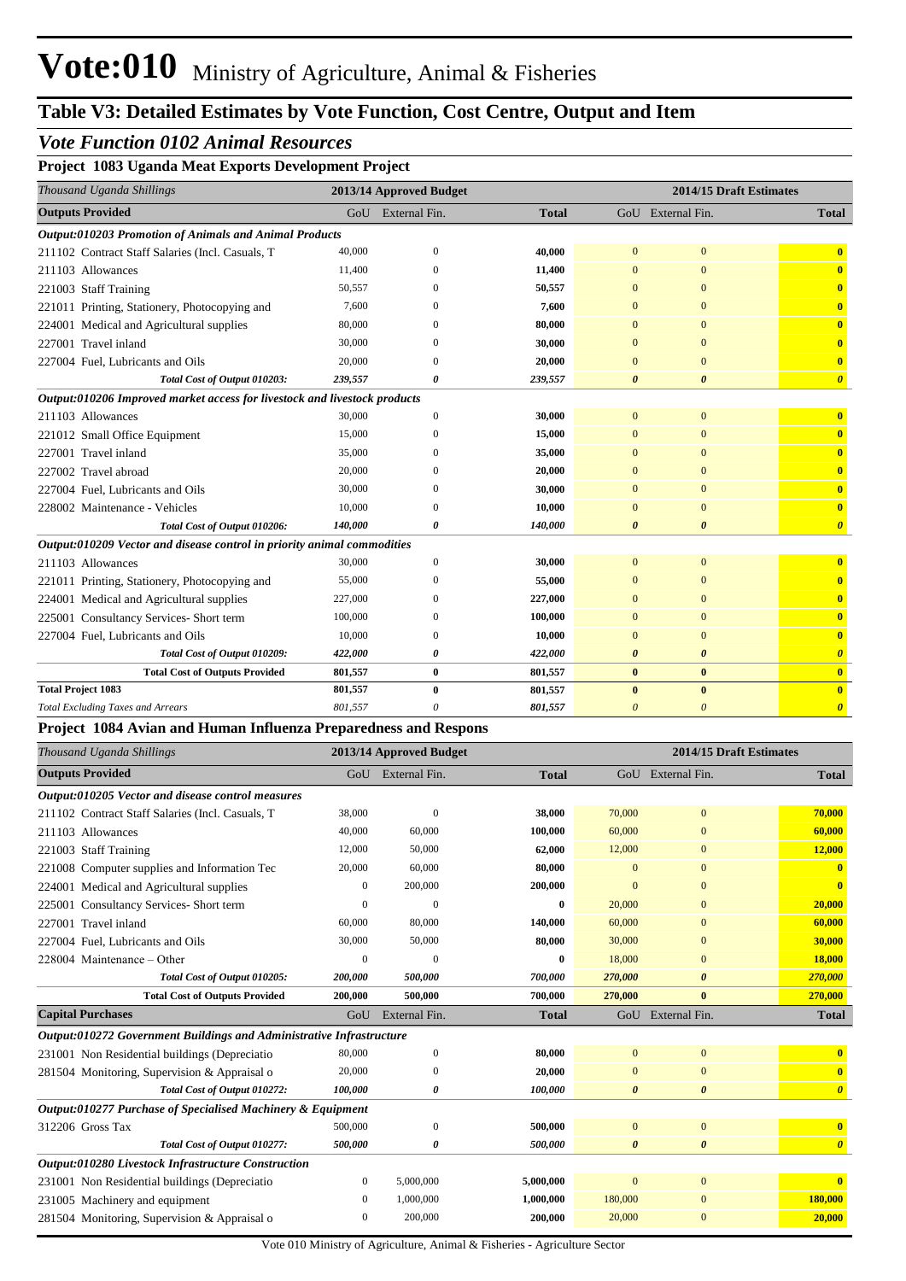#### *Vote Function 0102 Animal Resources*

**Project 1083 Uganda Meat Exports Development Project**

| Thousand Uganda Shillings                                                 |                       | 2013/14 Approved Budget |              |                       | 2014/15 Draft Estimates |                         |
|---------------------------------------------------------------------------|-----------------------|-------------------------|--------------|-----------------------|-------------------------|-------------------------|
| <b>Outputs Provided</b>                                                   | GoU                   | External Fin.           | <b>Total</b> |                       | GoU External Fin.       | <b>Total</b>            |
| Output:010203 Promotion of Animals and Animal Products                    |                       |                         |              |                       |                         |                         |
| 211102 Contract Staff Salaries (Incl. Casuals, T                          | 40,000                | $\mathbf{0}$            | 40,000       | $\mathbf{0}$          | $\mathbf{0}$            | $\bf{0}$                |
| 211103 Allowances                                                         | 11,400                | $\boldsymbol{0}$        | 11,400       | $\overline{0}$        | $\mathbf{0}$            | $\bf{0}$                |
| 221003 Staff Training                                                     | 50,557                | $\overline{0}$          | 50,557       | $\overline{0}$        | $\mathbf{0}$            | $\mathbf{0}$            |
| 221011 Printing, Stationery, Photocopying and                             | 7,600                 | $\theta$                | 7,600        | $\Omega$              | $\mathbf{0}$            | $\overline{\mathbf{0}}$ |
| 224001 Medical and Agricultural supplies                                  | 80,000                | $\Omega$                | 80,000       | $\Omega$              | $\mathbf{0}$            | $\overline{\mathbf{0}}$ |
| 227001 Travel inland                                                      | 30,000                | $\theta$                | 30,000       | $\Omega$              | $\mathbf{0}$            | $\overline{\mathbf{0}}$ |
| 227004 Fuel, Lubricants and Oils                                          | 20,000                | $\theta$                | 20,000       | $\mathbf{0}$          | $\mathbf{0}$            | $\mathbf{0}$            |
| Total Cost of Output 010203:                                              | 239,557               | $\boldsymbol{\theta}$   | 239,557      | $\theta$              | $\boldsymbol{\theta}$   | $\boldsymbol{\theta}$   |
| Output:010206 Improved market access for livestock and livestock products |                       |                         |              |                       |                         |                         |
| 211103 Allowances                                                         | 30,000                | $\boldsymbol{0}$        | 30,000       | $\mathbf{0}$          | $\mathbf{0}$            | $\bf{0}$                |
| 221012 Small Office Equipment                                             | 15,000                | $\overline{0}$          | 15,000       | $\overline{0}$        | $\mathbf{0}$            | $\mathbf{0}$            |
| 227001 Travel inland                                                      | 35,000                | $\theta$                | 35,000       | $\Omega$              | $\mathbf{0}$            | $\bf{0}$                |
| 227002 Travel abroad                                                      | 20,000                | $\overline{0}$          | 20,000       | $\mathbf{0}$          | $\mathbf{0}$            | $\mathbf{0}$            |
| 227004 Fuel, Lubricants and Oils                                          | 30,000                | $\overline{0}$          | 30,000       | $\mathbf{0}$          | $\mathbf{0}$            | $\overline{\mathbf{0}}$ |
| 228002 Maintenance - Vehicles                                             | 10,000                | $\theta$                | 10,000       | $\overline{0}$        | $\mathbf{0}$            | $\overline{\mathbf{0}}$ |
| Total Cost of Output 010206:                                              | 140,000               | $\boldsymbol{\theta}$   | 140,000      | $\boldsymbol{\theta}$ | $\boldsymbol{\theta}$   | $\boldsymbol{\theta}$   |
| Output:010209 Vector and disease control in priority animal commodities   |                       |                         |              |                       |                         |                         |
| 211103 Allowances                                                         | 30,000                | $\mathbf{0}$            | 30,000       | $\overline{0}$        | $\mathbf{0}$            | $\overline{\mathbf{0}}$ |
| 221011 Printing, Stationery, Photocopying and                             | 55,000                | $\overline{0}$          | 55,000       | $\mathbf{0}$          | $\mathbf{0}$            | $\mathbf{0}$            |
| 224001 Medical and Agricultural supplies                                  | 227,000               | $\overline{0}$          | 227,000      | $\overline{0}$        | $\mathbf{0}$            | $\mathbf{0}$            |
| 225001 Consultancy Services- Short term                                   | 100,000               | $\boldsymbol{0}$        | 100,000      | $\mathbf{0}$          | $\mathbf{0}$            | $\overline{\mathbf{0}}$ |
| 227004 Fuel, Lubricants and Oils                                          | 10,000                | $\overline{0}$          | 10,000       | $\overline{0}$        | $\mathbf{0}$            | $\bullet$               |
| Total Cost of Output 010209:                                              | <i><b>422,000</b></i> | $\boldsymbol{\theta}$   | 422,000      | $\boldsymbol{\theta}$ | $\boldsymbol{\theta}$   | $\boldsymbol{\theta}$   |
| <b>Total Cost of Outputs Provided</b>                                     | 801,557               | $\bf{0}$                | 801,557      | $\bf{0}$              | $\bf{0}$                | $\bullet$               |
| <b>Total Project 1083</b>                                                 | 801,557               | $\bf{0}$                | 801,557      | $\bf{0}$              | $\bf{0}$                | $\overline{\mathbf{0}}$ |
| <b>Total Excluding Taxes and Arrears</b>                                  | 801,557               | $\theta$                | 801,557      | $\theta$              | $\theta$                | $\boldsymbol{\theta}$   |
| Project 1084 Avian and Human Influenza Preparedness and Respons           |                       |                         |              |                       |                         |                         |
| Thousand Uganda Shillings                                                 |                       | 2013/14 Approved Budget |              |                       | 2014/15 Draft Estimates |                         |
| <b>Outputs Provided</b>                                                   |                       | GoU External Fin.       | <b>Total</b> |                       | GoU External Fin.       | <b>Total</b>            |
| Output:010205 Vector and disease control measures                         |                       |                         |              |                       |                         |                         |
| 211102 Contract Staff Salaries (Incl. Casuals, T                          | 38,000                | $\boldsymbol{0}$        | 38,000       | 70,000                | $\mathbf{0}$            | 70,000                  |
| 211103 Allowances                                                         | 40,000                | 60,000                  | 100,000      | 60,000                | $\mathbf{0}$            | 60,000                  |
| 221003 Staff Training                                                     | 12,000                | 50,000                  | 62,000       | 12,000                | $\mathbf{0}$            | 12,000                  |
| 221008 Computer supplies and Information Tec                              | 20,000                | 60,000                  | 80,000       | $\mathbf{0}$          | $\mathbf{0}$            | $\mathbf{0}$            |
| 224001 Medical and Agricultural supplies                                  | $\boldsymbol{0}$      | 200,000                 | 200,000      | $\mathbf{0}$          | $\overline{0}$          | $\bf{0}$                |
| 225001 Consultancy Services- Short term                                   | $\overline{0}$        | $\overline{0}$          | $\bf{0}$     | 20,000                | $\mathbf{0}$            | 20,000                  |

| 227001 Travel inland                                                 | 60,000         | 80,000        | 140,000      | 60,000                | $\Omega$              | 60,000                  |
|----------------------------------------------------------------------|----------------|---------------|--------------|-----------------------|-----------------------|-------------------------|
| 227004 Fuel, Lubricants and Oils                                     | 30,000         | 50,000        | 80,000       | 30,000                | $\mathbf{0}$          | 30,000                  |
| $228004$ Maintenance – Other                                         | $\Omega$       | $\Omega$      | $\mathbf{0}$ | 18,000                | $\mathbf{0}$          | 18,000                  |
| Total Cost of Output 010205:                                         | 200,000        | 500,000       | 700,000      | 270,000               | $\boldsymbol{\theta}$ | 270,000                 |
| <b>Total Cost of Outputs Provided</b>                                | 200,000        | 500,000       | 700,000      | 270,000               | $\bf{0}$              | 270,000                 |
| <b>Capital Purchases</b>                                             | GoU            | External Fin. | <b>Total</b> | GoU                   | External Fin.         | Total                   |
| Output:010272 Government Buildings and Administrative Infrastructure |                |               |              |                       |                       |                         |
| 231001 Non Residential buildings (Depreciatio                        | 80,000         | $\mathbf{0}$  | 80,000       | $\mathbf{0}$          | $\overline{0}$        | $\bf{0}$                |
| 281504 Monitoring, Supervision & Appraisal o                         | 20,000         | 0             | 20,000       | $\mathbf{0}$          | $\mathbf{0}$          | $\overline{\mathbf{0}}$ |
| Total Cost of Output 010272:                                         | 100,000        | 0             | 100,000      | $\boldsymbol{\theta}$ | $\boldsymbol{\theta}$ | $\boldsymbol{\theta}$   |
| Output:010277 Purchase of Specialised Machinery & Equipment          |                |               |              |                       |                       |                         |
| 312206 Gross Tax                                                     | 500,000        | $\mathbf{0}$  | 500,000      | $\mathbf{0}$          | $\overline{0}$        | $\bf{0}$                |
| Total Cost of Output 010277:                                         | 500,000        | 0             | 500,000      | $\boldsymbol{\theta}$ | $\boldsymbol{\theta}$ | $\boldsymbol{\theta}$   |
| Output:010280 Livestock Infrastructure Construction                  |                |               |              |                       |                       |                         |
| 231001 Non Residential buildings (Depreciatio                        | $\mathbf{0}$   | 5,000,000     | 5,000,000    | $\overline{0}$        | $\mathbf{0}$          | $\bf{0}$                |
| 231005 Machinery and equipment                                       | $\overline{0}$ | 1,000,000     | 1,000,000    | 180,000               | $\mathbf{0}$          | 180,000                 |
| 281504 Monitoring, Supervision & Appraisal o                         | $\theta$       | 200,000       | 200,000      | 20,000                | $\Omega$              | 20,000                  |

ŗ.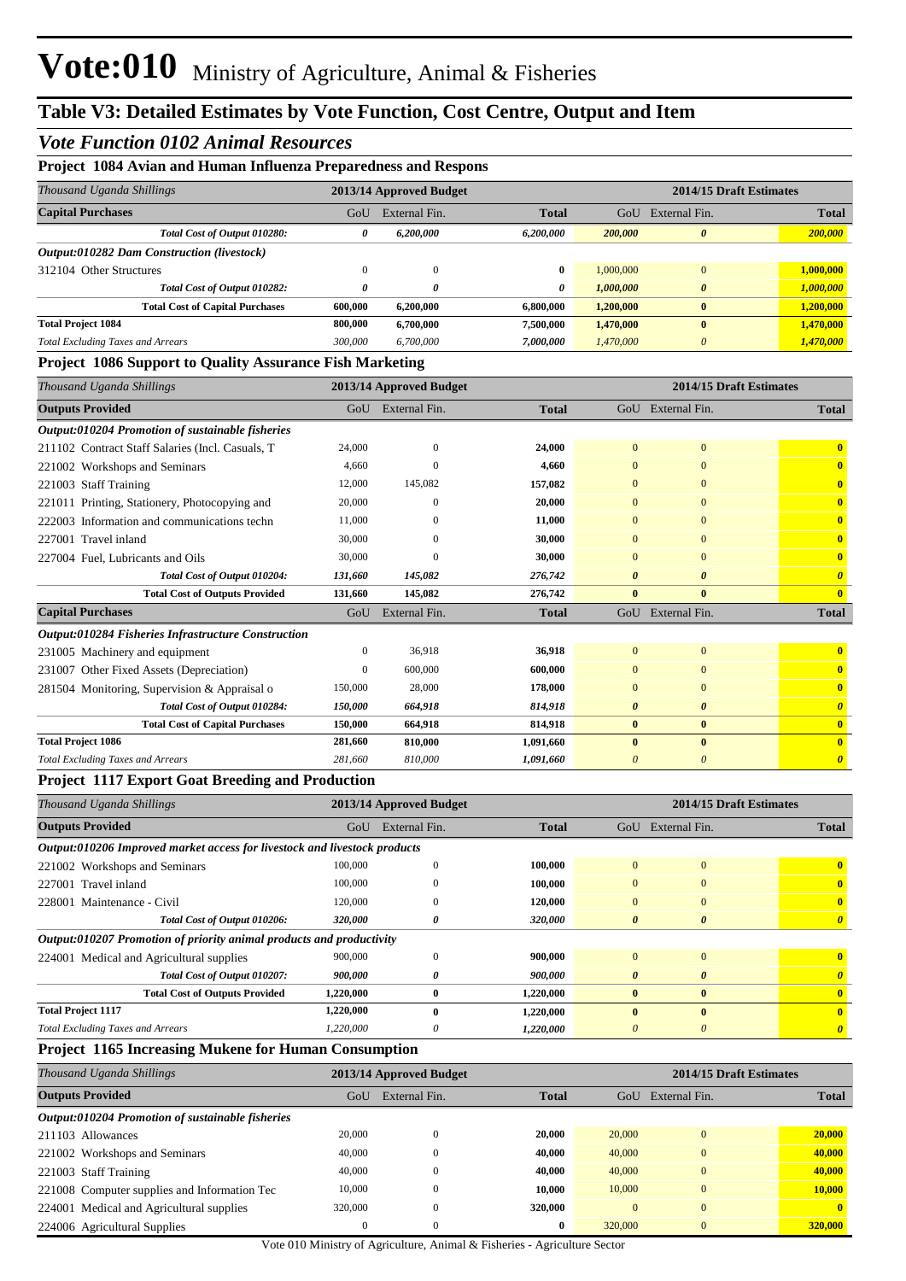#### *Vote Function 0102 Animal Resources*

| Project 1084 Avian and Human Influenza Preparedness and Respons           |                  |                         |              |                         |                         |                         |
|---------------------------------------------------------------------------|------------------|-------------------------|--------------|-------------------------|-------------------------|-------------------------|
| Thousand Uganda Shillings                                                 |                  | 2013/14 Approved Budget |              | 2014/15 Draft Estimates |                         |                         |
| <b>Capital Purchases</b>                                                  | GoU              | External Fin.           | <b>Total</b> | GoU                     | External Fin.           | <b>Total</b>            |
| Total Cost of Output 010280:                                              | 0                | 6,200,000               | 6,200,000    | 200,000                 | $\boldsymbol{\theta}$   | 200,000                 |
| Output:010282 Dam Construction (livestock)                                |                  |                         |              |                         |                         |                         |
| 312104 Other Structures                                                   | $\boldsymbol{0}$ | $\mathbf{0}$            | $\bf{0}$     | 1,000,000               | $\boldsymbol{0}$        | 1,000,000               |
| Total Cost of Output 010282:                                              | 0                | 0                       | 0            | 1,000,000               | $\boldsymbol{\theta}$   | 1,000,000               |
| <b>Total Cost of Capital Purchases</b>                                    | 600,000          | 6,200,000               | 6,800,000    | 1,200,000               | $\bf{0}$                | 1,200,000               |
| <b>Total Project 1084</b>                                                 | 800,000          | 6,700,000               | 7,500,000    | 1,470,000               | $\bf{0}$                | 1,470,000               |
| <b>Total Excluding Taxes and Arrears</b>                                  | 300,000          | 6,700,000               | 7,000,000    | 1,470,000               | $\boldsymbol{0}$        | 1,470,000               |
| Project 1086 Support to Quality Assurance Fish Marketing                  |                  |                         |              |                         |                         |                         |
| Thousand Uganda Shillings                                                 |                  | 2013/14 Approved Budget |              |                         | 2014/15 Draft Estimates |                         |
| <b>Outputs Provided</b>                                                   | GoU              | External Fin.           | <b>Total</b> |                         | GoU External Fin.       | <b>Total</b>            |
| Output:010204 Promotion of sustainable fisheries                          |                  |                         |              |                         |                         |                         |
| 211102 Contract Staff Salaries (Incl. Casuals, T                          | 24,000           | $\mathbf{0}$            | 24,000       | $\mathbf{0}$            | $\bf{0}$                | $\bf{0}$                |
| 221002 Workshops and Seminars                                             | 4,660            | $\overline{0}$          | 4,660        | $\mathbf{0}$            | $\boldsymbol{0}$        | $\bf{0}$                |
| 221003 Staff Training                                                     | 12,000           | 145,082                 | 157,082      | $\mathbf{0}$            | $\mathbf{0}$            | $\bf{0}$                |
| 221011 Printing, Stationery, Photocopying and                             | 20,000           | $\boldsymbol{0}$        | 20,000       | $\mathbf{0}$            | $\mathbf{0}$            | $\bullet$               |
| 222003 Information and communications techn                               | 11,000           | $\boldsymbol{0}$        | 11,000       | $\mathbf{0}$            | $\mathbf{0}$            | $\bullet$               |
| 227001 Travel inland                                                      | 30,000           | $\mathbf{0}$            | 30,000       | $\mathbf{0}$            | $\mathbf{0}$            | $\bullet$               |
| 227004 Fuel, Lubricants and Oils                                          | 30,000           | $\sqrt{ }$              | 30,000       | $\mathbf{0}$            | $\mathbf{0}$            | $\bf{0}$                |
| Total Cost of Output 010204:                                              | 131,660          | 145,082                 | 276,742      | $\boldsymbol{\theta}$   | $\boldsymbol{\theta}$   | $\boldsymbol{\theta}$   |
| <b>Total Cost of Outputs Provided</b>                                     | 131,660          | 145,082                 | 276,742      | $\bf{0}$                | $\bf{0}$                | $\overline{\mathbf{0}}$ |
| <b>Capital Purchases</b>                                                  | GoU              | External Fin.           | <b>Total</b> |                         | GoU External Fin.       | <b>Total</b>            |
| Output:010284 Fisheries Infrastructure Construction                       |                  |                         |              |                         |                         |                         |
| 231005 Machinery and equipment                                            | $\boldsymbol{0}$ | 36,918                  | 36,918       | $\mathbf{0}$            | $\bf{0}$                | $\bf{0}$                |
| 231007 Other Fixed Assets (Depreciation)                                  | $\boldsymbol{0}$ | 600,000                 | 600,000      | $\mathbf{0}$            | $\bf{0}$                | $\bf{0}$                |
| 281504 Monitoring, Supervision & Appraisal o                              | 150,000          | 28,000                  | 178,000      | $\mathbf{0}$            | $\mathbf{0}$            | $\bf{0}$                |
| Total Cost of Output 010284:                                              | 150,000          | 664,918                 | 814,918      | $\boldsymbol{\theta}$   | $\boldsymbol{\theta}$   | $\boldsymbol{\theta}$   |
| <b>Total Cost of Capital Purchases</b>                                    | 150,000          | 664,918                 | 814,918      | $\bf{0}$                | $\bf{0}$                | $\bullet$               |
| <b>Total Project 1086</b>                                                 | 281,660          | 810,000                 | 1,091,660    | $\bf{0}$                | $\bf{0}$                | $\mathbf{0}$            |
| <b>Total Excluding Taxes and Arrears</b>                                  | 281,660          | 810,000                 | 1,091,660    | $\theta$                | $\boldsymbol{0}$        | $\boldsymbol{\theta}$   |
| <b>Project 1117 Export Goat Breeding and Production</b>                   |                  |                         |              |                         |                         |                         |
| Thousand Uganda Shillings                                                 |                  | 2013/14 Approved Budget |              |                         | 2014/15 Draft Estimates |                         |
| <b>Outputs Provided</b>                                                   |                  | GoU External Fin.       | <b>Total</b> |                         | GoU External Fin.       | <b>Total</b>            |
| Output:010206 Improved market access for livestock and livestock products |                  |                         |              |                         |                         |                         |
| 221002 Workshops and Seminars                                             | 100,000          | $\boldsymbol{0}$        | 100,000      | $\mathbf{0}$            | $\bf{0}$                | $\mathbf{0}$            |
| 227001 Travel inland                                                      | 100,000          | $\mathbf{0}$            | 100,000      | $\mathbf{0}$            | $\mathbf{0}$            | $\mathbf{0}$            |
| 228001 Maintenance - Civil                                                | 120,000          | $\boldsymbol{0}$        | 120,000      | $\boldsymbol{0}$        | $\boldsymbol{0}$        | $\mathbf{0}$            |
| Total Cost of Output 010206:                                              | 320,000          | 0                       | 320,000      | 0                       | $\boldsymbol{\theta}$   | $\boldsymbol{\theta}$   |
| Output:010207 Promotion of priority animal products and productivity      |                  |                         |              |                         |                         |                         |
| 224001 Medical and Agricultural supplies                                  | 900,000          | $\boldsymbol{0}$        | 900,000      | $\boldsymbol{0}$        | $\boldsymbol{0}$        | $\mathbf{0}$            |
| Total Cost of Output 010207:                                              | 900,000          | 0                       | 900,000      | $\boldsymbol{\theta}$   | $\boldsymbol{\theta}$   | $\boldsymbol{\theta}$   |

#### **Project 1165 Increasing Mukene for Human Consumption**

**Total Project 1117**

| Thousand Uganda Shillings                        | 2014/15 Draft Estimates<br>2013/14 Approved Budget |               |              |          |               |              |
|--------------------------------------------------|----------------------------------------------------|---------------|--------------|----------|---------------|--------------|
| <b>Outputs Provided</b>                          | GoU                                                | External Fin. | <b>Total</b> | GoU      | External Fin. | <b>Total</b> |
| Output:010204 Promotion of sustainable fisheries |                                                    |               |              |          |               |              |
| 211103 Allowances                                | 20,000                                             | $\theta$      | 20.000       | 20,000   | $\Omega$      | 20,000       |
| 221002 Workshops and Seminars                    | 40,000                                             | $\Omega$      | 40,000       | 40,000   | $\mathbf{0}$  | 40,000       |
| 221003 Staff Training                            | 40,000                                             | $\Omega$      | 40,000       | 40,000   | $\mathbf{0}$  | 40,000       |
| 221008 Computer supplies and Information Tec     | 10,000                                             | $\theta$      | 10.000       | 10,000   | $\mathbf{0}$  | 10,000       |
| 224001 Medical and Agricultural supplies         | 320,000                                            | $\theta$      | 320,000      | $\Omega$ | $\mathbf{0}$  | $\mathbf{0}$ |
| 224006 Agricultural Supplies                     | $\mathbf{0}$                                       | $\mathbf{0}$  | $\bf{0}$     | 320,000  | $\mathbf{0}$  | 320,000      |

*Total Excluding Taxes and Arrears 1,220,000 0 1,220,000 0 0 0*

**Total Cost of Outputs Provided 1,220,000 0 1,220,000 0 0 0**

**1,220,000 0 1,220,000 0 0 0**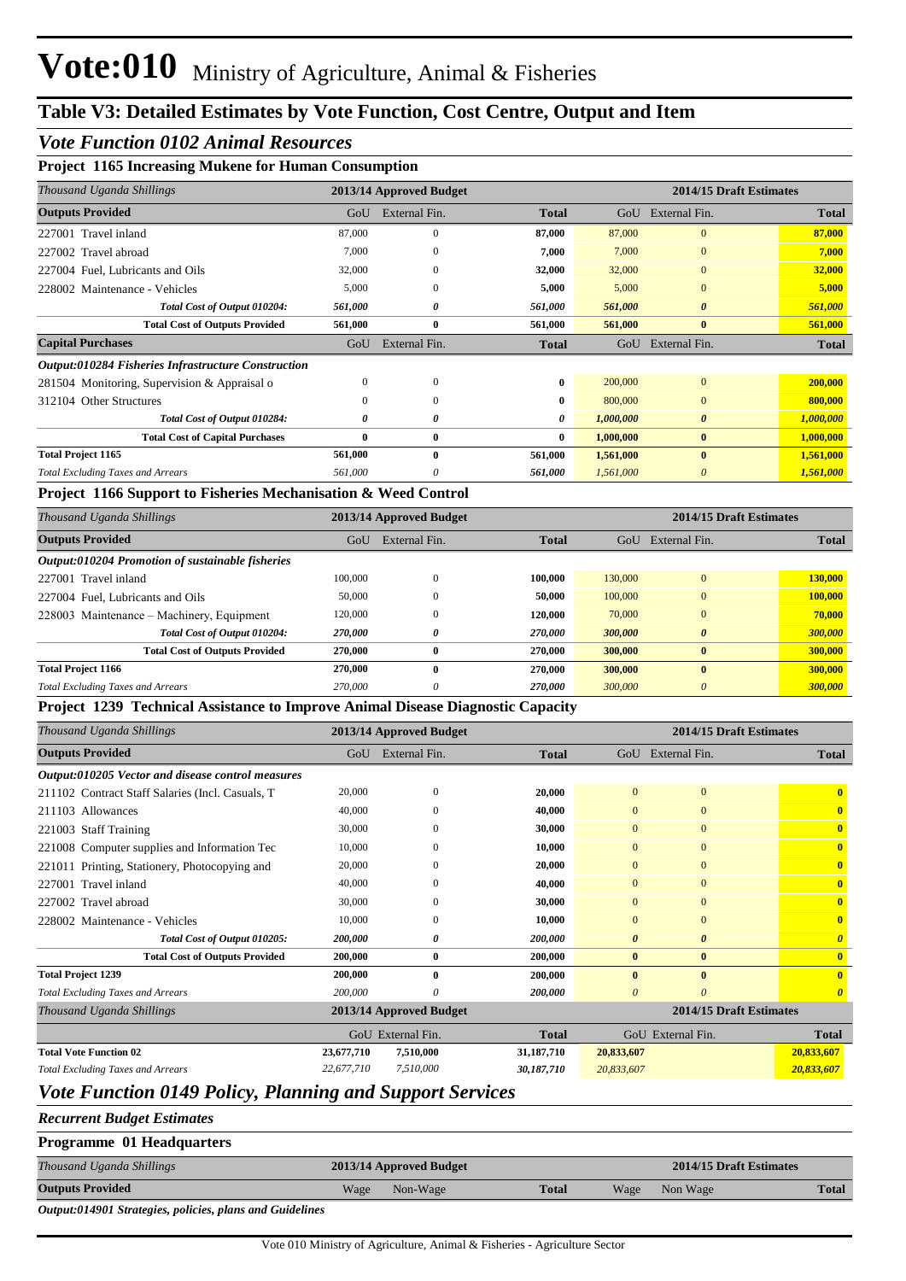#### *Vote Function 0102 Animal Resources*

#### **Project 1165 Increasing Mukene for Human Consumption**

|         |               |              |                         | 2014/15 Draft Estimates |              |
|---------|---------------|--------------|-------------------------|-------------------------|--------------|
| GoU     | External Fin. | <b>Total</b> | GoU                     | External Fin.           | Total        |
| 87,000  | $\mathbf{0}$  | 87,000       | 87,000                  | $\mathbf{0}$            | 87,000       |
| 7,000   | $\mathbf{0}$  | 7,000        | 7,000                   | $\mathbf{0}$            | 7,000        |
| 32,000  | $\mathbf{0}$  | 32,000       | 32,000                  | $\mathbf{0}$            | 32,000       |
| 5,000   | $\Omega$      | 5,000        | 5,000                   | $\Omega$                | 5,000        |
| 561,000 | 0             | 561,000      | 561,000                 | 0                       | 561,000      |
| 561,000 | $\bf{0}$      | 561,000      | 561,000                 | $\bf{0}$                | 561,000      |
| GoU     | External Fin. | <b>Total</b> | GoU                     | External Fin.           | <b>Total</b> |
|         |               |              |                         |                         |              |
| 0       | $\mathbf{0}$  | 0            | 200,000                 | $\mathbf{0}$            | 200,000      |
| 0       | $\mathbf{0}$  | 0            | 800,000                 | $\Omega$                | 800,000      |
| 0       | 0             | 0            | 1,000,000               | $\boldsymbol{\theta}$   | 1,000,000    |
| 0       | $\bf{0}$      | 0            | 1,000,000               | $\bf{0}$                | 1,000,000    |
| 561,000 | $\mathbf{0}$  | 561,000      | 1,561,000               | $\mathbf{0}$            | 1,561,000    |
| 561,000 | 0             | 561,000      | 1,561,000               | 0                       | 1,561,000    |
|         |               |              | 2013/14 Approved Budget |                         |              |

#### **Project 1166 Support to Fisheries Mechanisation & Weed Control**

| Thousand Uganda Shillings                        | 2014/15 Draft Estimates<br>2013/14 Approved Budget |               |              |         |                       |              |
|--------------------------------------------------|----------------------------------------------------|---------------|--------------|---------|-----------------------|--------------|
| <b>Outputs Provided</b>                          | GoU                                                | External Fin. | <b>Total</b> | GoU     | External Fin.         | <b>Total</b> |
| Output:010204 Promotion of sustainable fisheries |                                                    |               |              |         |                       |              |
| 227001 Travel inland                             | 100,000                                            | 0             | 100.000      | 130,000 | $\mathbf{0}$          | 130,000      |
| 227004 Fuel, Lubricants and Oils                 | 50,000                                             | $\mathbf{0}$  | 50,000       | 100,000 | $\mathbf{0}$          | 100,000      |
| 228003 Maintenance – Machinery, Equipment        | 120,000                                            | 0             | 120,000      | 70,000  | $\mathbf{0}$          | 70,000       |
| Total Cost of Output 010204:                     | 270,000                                            | 0             | 270.000      | 300,000 | $\boldsymbol{\theta}$ | 300,000      |
| <b>Total Cost of Outputs Provided</b>            | 270,000                                            | $\bf{0}$      | 270,000      | 300,000 | $\bf{0}$              | 300,000      |
| <b>Total Project 1166</b>                        | 270,000                                            | 0             | 270,000      | 300,000 | $\mathbf{0}$          | 300,000      |
| <b>Total Excluding Taxes and Arrears</b>         | 270,000                                            | 0             | 270,000      | 300,000 | $\theta$              | 300,000      |

#### **Project 1239 Technical Assistance to Improve Animal Disease Diagnostic Capacity**

| Thousand Uganda Shillings                         |            | 2013/14 Approved Budget |              | 2014/15 Draft Estimates |                         |                         |
|---------------------------------------------------|------------|-------------------------|--------------|-------------------------|-------------------------|-------------------------|
| <b>Outputs Provided</b>                           | GoU        | External Fin.           | <b>Total</b> |                         | GoU External Fin.       | <b>Total</b>            |
| Output:010205 Vector and disease control measures |            |                         |              |                         |                         |                         |
| 211102 Contract Staff Salaries (Incl. Casuals, T  | 20,000     | $\theta$                | 20,000       | $\overline{0}$          | $\overline{0}$          | $\mathbf{0}$            |
| 211103 Allowances                                 | 40,000     | $\Omega$                | 40,000       | $\mathbf{0}$            | $\Omega$                | $\mathbf{0}$            |
| 221003 Staff Training                             | 30,000     | $\Omega$                | 30,000       | $\mathbf{0}$            | $\mathbf{0}$            | $\mathbf{0}$            |
| 221008 Computer supplies and Information Tec      | 10,000     | $\Omega$                | 10,000       | $\mathbf{0}$            | $\mathbf{0}$            | $\mathbf{0}$            |
| 221011 Printing, Stationery, Photocopying and     | 20,000     | $\Omega$                | 20,000       | $\overline{0}$          | $\mathbf{0}$            | $\mathbf{0}$            |
| 227001 Travel inland                              | 40,000     | $\Omega$                | 40,000       | $\overline{0}$          | $\mathbf{0}$            | $\mathbf{0}$            |
| 227002 Travel abroad                              | 30,000     | $\mathbf{0}$            | 30,000       | $\overline{0}$          | $\mathbf{0}$            | $\overline{\mathbf{0}}$ |
| 228002 Maintenance - Vehicles                     | 10,000     | $\Omega$                | 10,000       | $\mathbf{0}$            | $\mathbf{0}$            | $\mathbf{0}$            |
| Total Cost of Output 010205:                      | 200,000    | 0                       | 200,000      | $\theta$                | $\boldsymbol{\theta}$   | $\boldsymbol{\theta}$   |
| <b>Total Cost of Outputs Provided</b>             | 200,000    | $\bf{0}$                | 200,000      | $\bf{0}$                | $\bf{0}$                | $\overline{\mathbf{0}}$ |
| <b>Total Project 1239</b>                         | 200,000    | $\mathbf{0}$            | 200,000      | $\mathbf{0}$            | $\bf{0}$                | $\mathbf{0}$            |
| <b>Total Excluding Taxes and Arrears</b>          | 200,000    | $\Omega$                | 200,000      | 0                       | $\theta$                | $\boldsymbol{\theta}$   |
| Thousand Uganda Shillings                         |            | 2013/14 Approved Budget |              |                         | 2014/15 Draft Estimates |                         |
|                                                   |            | GoU External Fin.       | <b>Total</b> |                         | GoU External Fin.       | <b>Total</b>            |
| <b>Total Vote Function 02</b>                     | 23,677,710 | 7,510,000               | 31,187,710   | 20,833,607              |                         | 20,833,607              |
| <b>Total Excluding Taxes and Arrears</b>          | 22,677,710 | 7.510,000               | 30,187,710   | 20,833,607              |                         | 20,833,607              |

## *Vote Function 0149 Policy, Planning and Support Services*

#### *Recurrent Budget Estimates*

| <b>Programme 01 Headquarters</b> |      |                         |              |      |                         |              |
|----------------------------------|------|-------------------------|--------------|------|-------------------------|--------------|
| Thousand Uganda Shillings        |      | 2013/14 Approved Budget |              |      | 2014/15 Draft Estimates |              |
| <b>Outputs Provided</b>          | Wage | Non-Wage                | <b>Total</b> | Wage | Non Wage                | <b>Total</b> |
|                                  |      |                         |              |      |                         |              |

*Output:014901 Strategies, policies, plans and Guidelines*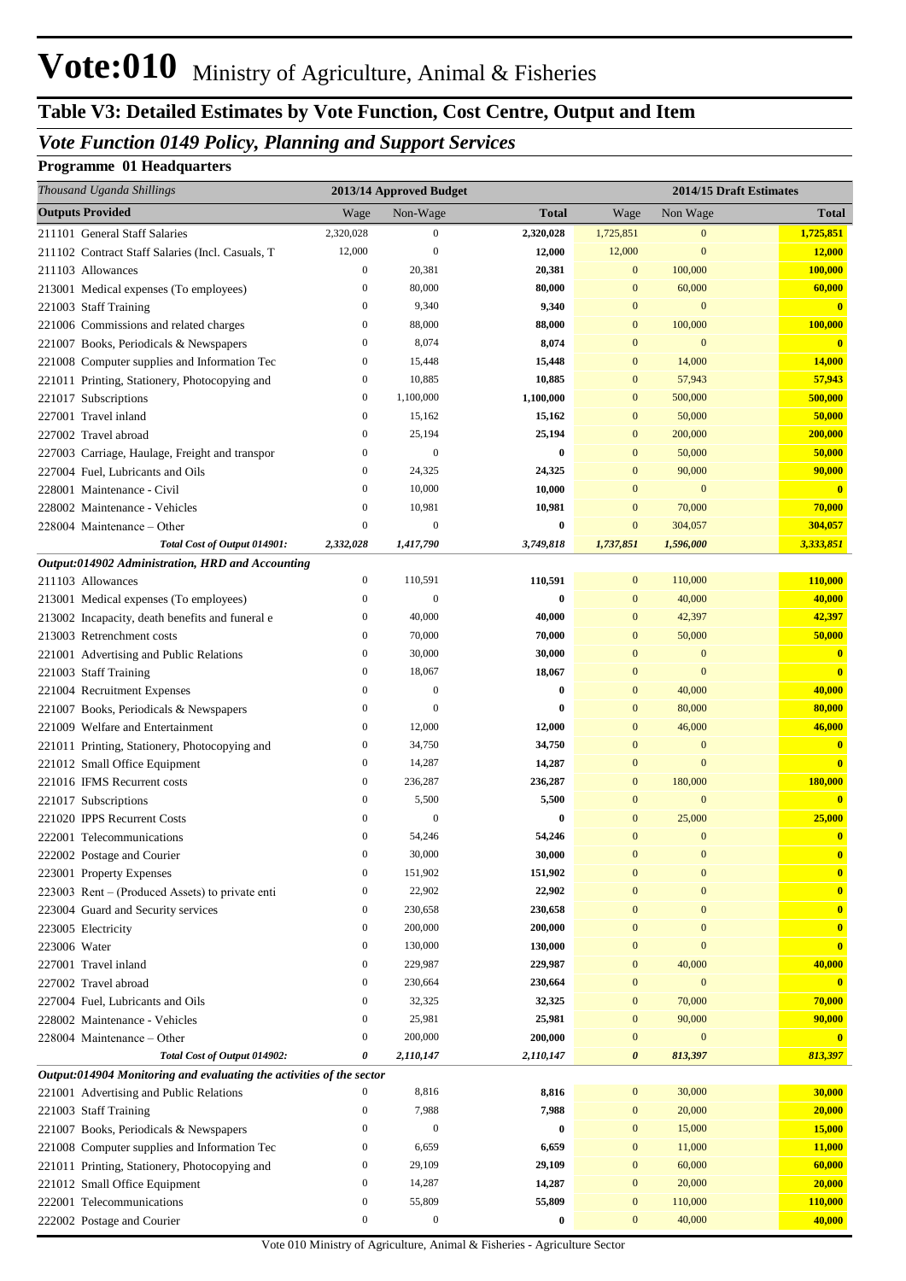## **Table V3: Detailed Estimates by Vote Function, Cost Centre, Output and Item**

## *Vote Function 0149 Policy, Planning and Support Services*

#### **Programme 01 Headquarters**

| Thousand Uganda Shillings                                            |                  | 2013/14 Approved Budget |              |                  | 2014/15 Draft Estimates |                         |
|----------------------------------------------------------------------|------------------|-------------------------|--------------|------------------|-------------------------|-------------------------|
| <b>Outputs Provided</b>                                              | Wage             | Non-Wage                | <b>Total</b> | Wage             | Non Wage                | <b>Total</b>            |
| 211101 General Staff Salaries                                        | 2,320,028        | $\boldsymbol{0}$        | 2,320,028    | 1,725,851        | $\mathbf{0}$            | 1,725,851               |
| 211102 Contract Staff Salaries (Incl. Casuals, T                     | 12,000           | $\mathbf{0}$            | 12,000       | 12,000           | $\mathbf{0}$            | 12,000                  |
| 211103 Allowances                                                    | $\boldsymbol{0}$ | 20,381                  | 20,381       | $\mathbf{0}$     | 100,000                 | 100,000                 |
| 213001 Medical expenses (To employees)                               | $\boldsymbol{0}$ | 80,000                  | 80,000       | $\mathbf{0}$     | 60,000                  | 60,000                  |
| 221003 Staff Training                                                | $\boldsymbol{0}$ | 9,340                   | 9,340        | $\mathbf{0}$     | $\mathbf{0}$            | $\overline{\mathbf{0}}$ |
| 221006 Commissions and related charges                               | $\boldsymbol{0}$ | 88,000                  | 88,000       | $\mathbf{0}$     | 100,000                 | 100,000                 |
| 221007 Books, Periodicals & Newspapers                               | $\boldsymbol{0}$ | 8,074                   | 8,074        | $\mathbf{0}$     | $\mathbf{0}$            | $\mathbf{0}$            |
| 221008 Computer supplies and Information Tec                         | $\boldsymbol{0}$ | 15,448                  | 15,448       | $\mathbf{0}$     | 14,000                  | 14,000                  |
| 221011 Printing, Stationery, Photocopying and                        | $\boldsymbol{0}$ | 10,885                  | 10,885       | $\mathbf{0}$     | 57,943                  | 57,943                  |
| 221017 Subscriptions                                                 | $\boldsymbol{0}$ | 1,100,000               | 1,100,000    | $\mathbf{0}$     | 500,000                 | 500,000                 |
| 227001 Travel inland                                                 | $\boldsymbol{0}$ | 15,162                  | 15,162       | $\mathbf{0}$     | 50,000                  | 50,000                  |
| 227002 Travel abroad                                                 | $\boldsymbol{0}$ | 25,194                  | 25,194       | $\mathbf{0}$     | 200,000                 | 200,000                 |
| 227003 Carriage, Haulage, Freight and transpor                       | $\boldsymbol{0}$ | $\mathbf{0}$            | $\bf{0}$     | $\mathbf{0}$     | 50,000                  | 50,000                  |
| 227004 Fuel, Lubricants and Oils                                     | $\boldsymbol{0}$ | 24,325                  | 24,325       | $\mathbf{0}$     | 90,000                  | 90,000                  |
| 228001 Maintenance - Civil                                           | $\boldsymbol{0}$ | 10,000                  | 10,000       | $\mathbf{0}$     | $\mathbf{0}$            | $\overline{\mathbf{0}}$ |
| 228002 Maintenance - Vehicles                                        | $\mathbf{0}$     | 10,981                  | 10,981       | $\mathbf{0}$     | 70,000                  | 70,000                  |
| 228004 Maintenance – Other                                           | $\mathbf{0}$     | $\mathbf{0}$            | $\bf{0}$     | $\mathbf{0}$     | 304,057                 | 304,057                 |
| Total Cost of Output 014901:                                         | 2,332,028        | 1,417,790               | 3,749,818    | 1,737,851        | 1,596,000               | 3,333,851               |
| Output:014902 Administration, HRD and Accounting                     |                  |                         |              |                  |                         |                         |
| 211103 Allowances                                                    | $\boldsymbol{0}$ | 110,591                 | 110,591      | $\mathbf{0}$     | 110,000                 | 110,000                 |
| 213001 Medical expenses (To employees)                               | $\mathbf{0}$     | $\mathbf{0}$            | $\bf{0}$     | $\mathbf{0}$     | 40,000                  | 40,000                  |
| 213002 Incapacity, death benefits and funeral e                      | $\boldsymbol{0}$ | 40,000                  | 40,000       | $\mathbf{0}$     | 42,397                  | 42,397                  |
| 213003 Retrenchment costs                                            | $\boldsymbol{0}$ | 70,000                  | 70,000       | $\mathbf{0}$     | 50,000                  | 50,000                  |
| 221001 Advertising and Public Relations                              | $\boldsymbol{0}$ | 30,000                  | 30,000       | $\mathbf{0}$     | $\mathbf{0}$            | $\mathbf{0}$            |
| 221003 Staff Training                                                | $\boldsymbol{0}$ | 18,067                  | 18,067       | $\mathbf{0}$     | $\mathbf{0}$            | $\bf{0}$                |
| 221004 Recruitment Expenses                                          | $\boldsymbol{0}$ | $\mathbf{0}$            | $\bf{0}$     | $\mathbf{0}$     | 40,000                  | 40,000                  |
| 221007 Books, Periodicals & Newspapers                               | $\mathbf{0}$     | $\mathbf{0}$            | $\bf{0}$     | $\mathbf{0}$     | 80,000                  | 80,000                  |
| 221009 Welfare and Entertainment                                     | $\boldsymbol{0}$ | 12,000                  | 12,000       | $\mathbf{0}$     | 46,000                  | 46,000                  |
| 221011 Printing, Stationery, Photocopying and                        | $\boldsymbol{0}$ | 34,750                  | 34,750       | $\mathbf{0}$     | $\mathbf{0}$            | $\mathbf{0}$            |
| 221012 Small Office Equipment                                        | $\boldsymbol{0}$ | 14,287                  | 14,287       | $\mathbf{0}$     | $\mathbf{0}$            | $\overline{\mathbf{0}}$ |
| 221016 IFMS Recurrent costs                                          | $\boldsymbol{0}$ | 236,287                 | 236,287      | $\mathbf{0}$     | 180,000                 | 180,000                 |
| 221017 Subscriptions                                                 | $\mathbf{0}$     | 5,500                   | 5,500        | $\mathbf{0}$     | $\mathbf{0}$            | $\overline{\mathbf{0}}$ |
| 221020 IPPS Recurrent Costs                                          | $\mathbf{0}$     | $\mathbf{0}$            | $\bf{0}$     | $\mathbf{0}$     | 25,000                  | 25,000                  |
| 222001 Telecommunications                                            | $\mathbf{0}$     | 54,246                  | 54,246       | $\mathbf{0}$     | $\mathbf{0}$            | $\mathbf{0}$            |
| 222002 Postage and Courier                                           | $\mathbf{0}$     | 30,000                  | 30,000       | $\Omega$         | $\mathbf{0}$            | $\mathbf{0}$            |
| 223001 Property Expenses                                             | $\boldsymbol{0}$ | 151,902                 | 151,902      | $\mathbf{0}$     | $\boldsymbol{0}$        | $\mathbf{0}$            |
| 223003 Rent – (Produced Assets) to private enti                      | $\boldsymbol{0}$ | 22,902                  | 22,902       | $\mathbf{0}$     | $\boldsymbol{0}$        | $\bf{0}$                |
| 223004 Guard and Security services                                   | $\boldsymbol{0}$ | 230,658                 | 230,658      | $\mathbf{0}$     | $\bf{0}$                | $\mathbf{0}$            |
| 223005 Electricity                                                   | $\boldsymbol{0}$ | 200,000                 | 200,000      | $\mathbf{0}$     | $\mathbf{0}$            | $\overline{\mathbf{0}}$ |
| 223006 Water                                                         | $\boldsymbol{0}$ | 130,000                 | 130,000      | $\mathbf{0}$     | $\mathbf{0}$            | $\bf{0}$                |
| 227001 Travel inland                                                 | $\boldsymbol{0}$ | 229,987                 | 229,987      | $\mathbf{0}$     | 40,000                  | 40,000                  |
| 227002 Travel abroad                                                 | $\boldsymbol{0}$ | 230,664                 | 230,664      | $\mathbf{0}$     | $\bf{0}$                | $\mathbf{0}$            |
| 227004 Fuel, Lubricants and Oils                                     | $\boldsymbol{0}$ | 32,325                  | 32,325       | $\mathbf{0}$     | 70,000                  | 70,000                  |
| 228002 Maintenance - Vehicles                                        | $\boldsymbol{0}$ | 25,981                  | 25,981       | $\boldsymbol{0}$ | 90,000                  | 90,000                  |
| 228004 Maintenance – Other                                           | $\boldsymbol{0}$ | 200,000                 | 200,000      | $\boldsymbol{0}$ | $\bf{0}$                | $\mathbf{0}$            |
| Total Cost of Output 014902:                                         | 0                | 2,110,147               | 2,110,147    | 0                | 813,397                 | 813,397                 |
| Output:014904 Monitoring and evaluating the activities of the sector | $\boldsymbol{0}$ | 8,816                   | 8,816        | $\mathbf{0}$     |                         | 30,000                  |
| 221001 Advertising and Public Relations                              | $\boldsymbol{0}$ | 7,988                   |              | $\boldsymbol{0}$ | 30,000<br>20,000        | 20,000                  |
| 221003 Staff Training                                                | $\boldsymbol{0}$ | $\mathbf{0}$            | 7,988        | $\mathbf{0}$     |                         |                         |
| 221007 Books, Periodicals & Newspapers                               |                  |                         | $\bf{0}$     |                  | 15,000                  | 15,000                  |
| 221008 Computer supplies and Information Tec                         | $\boldsymbol{0}$ | 6,659                   | 6,659        | $\mathbf{0}$     | 11,000                  | 11,000                  |
| 221011 Printing, Stationery, Photocopying and                        | $\boldsymbol{0}$ | 29,109                  | 29,109       | $\mathbf{0}$     | 60,000                  | 60,000                  |
| 221012 Small Office Equipment                                        | $\boldsymbol{0}$ | 14,287                  | 14,287       | $\boldsymbol{0}$ | 20,000                  | 20,000                  |
| 222001 Telecommunications                                            | $\boldsymbol{0}$ | 55,809                  | 55,809       | $\boldsymbol{0}$ | 110,000                 | 110,000                 |
| 222002 Postage and Courier                                           | $\boldsymbol{0}$ | $\boldsymbol{0}$        | $\bf{0}$     | $\mathbf{0}$     | 40,000                  | 40,000                  |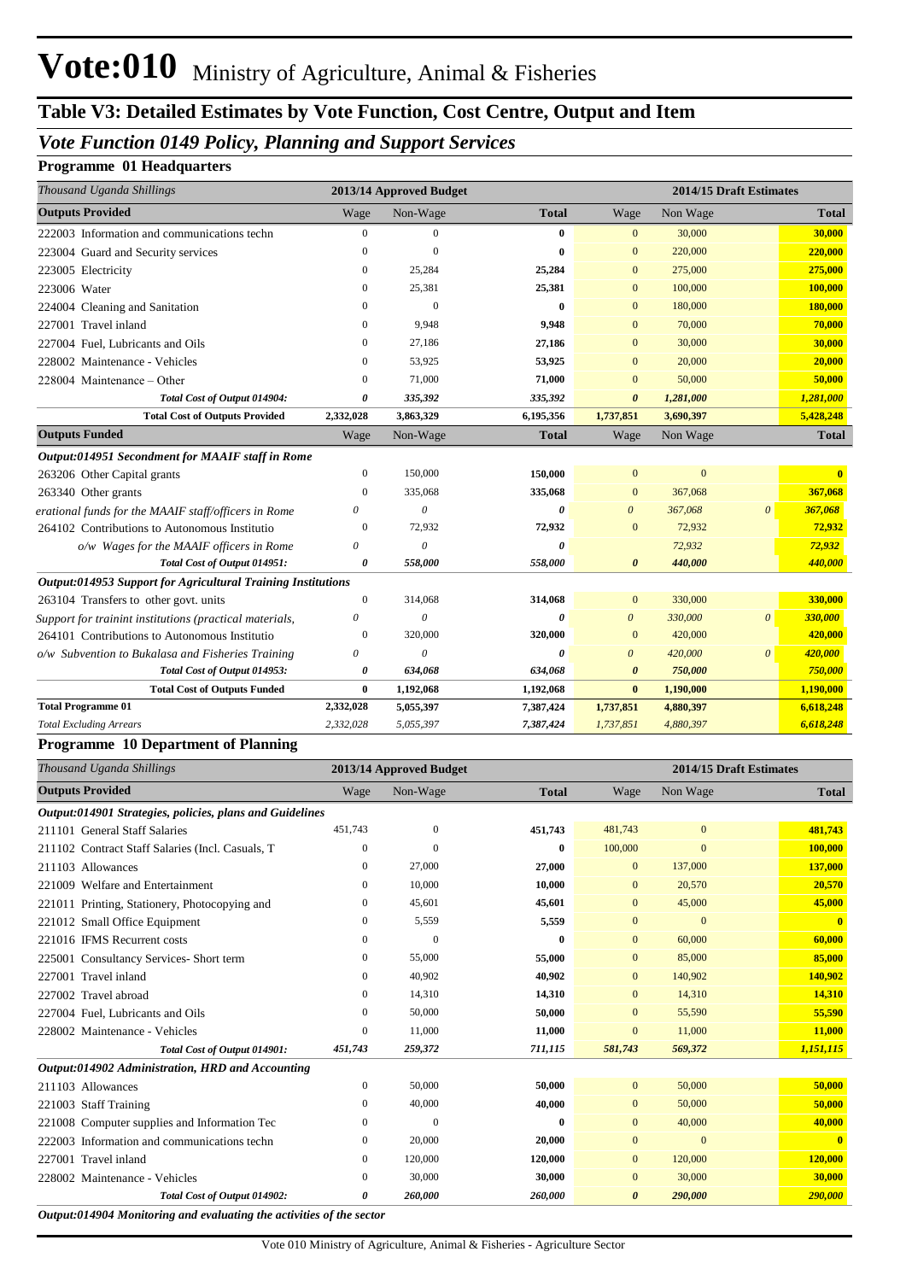## **Table V3: Detailed Estimates by Vote Function, Cost Centre, Output and Item**

### *Vote Function 0149 Policy, Planning and Support Services*

#### **Programme 01 Headquarters**

| Thousand Uganda Shillings                                    |                  | 2013/14 Approved Budget |              |                       |           | 2014/15 Draft Estimates |              |
|--------------------------------------------------------------|------------------|-------------------------|--------------|-----------------------|-----------|-------------------------|--------------|
| <b>Outputs Provided</b>                                      | Wage             | Non-Wage                | <b>Total</b> | Wage                  | Non Wage  |                         | <b>Total</b> |
| 222003 Information and communications techn                  | $\mathbf{0}$     | $\Omega$                | $\mathbf{0}$ | $\mathbf{0}$          | 30,000    |                         | 30,000       |
| 223004 Guard and Security services                           | $\mathbf{0}$     | $\Omega$                | $\mathbf{0}$ | $\overline{0}$        | 220,000   |                         | 220,000      |
| 223005 Electricity                                           | $\mathbf{0}$     | 25,284                  | 25,284       | $\overline{0}$        | 275,000   |                         | 275,000      |
| 223006 Water                                                 | $\mathbf{0}$     | 25,381                  | 25,381       | $\overline{0}$        | 100,000   |                         | 100,000      |
| 224004 Cleaning and Sanitation                               | $\Omega$         | $\Omega$                | $\mathbf{0}$ | $\overline{0}$        | 180,000   |                         | 180,000      |
| 227001 Travel inland                                         | $\Omega$         | 9.948                   | 9,948        | $\Omega$              | 70,000    |                         | 70,000       |
| 227004 Fuel, Lubricants and Oils                             | $\mathbf{0}$     | 27,186                  | 27,186       | $\mathbf{0}$          | 30,000    |                         | 30,000       |
| 228002 Maintenance - Vehicles                                | $\Omega$         | 53,925                  | 53,925       | $\overline{0}$        | 20,000    |                         | 20,000       |
| 228004 Maintenance - Other                                   | $\Omega$         | 71,000                  | 71,000       | $\overline{0}$        | 50,000    |                         | 50,000       |
| Total Cost of Output 014904:                                 | 0                | 335,392                 | 335,392      | $\boldsymbol{\theta}$ | 1,281,000 |                         | 1,281,000    |
| <b>Total Cost of Outputs Provided</b>                        | 2,332,028        | 3,863,329               | 6,195,356    | 1,737,851             | 3,690,397 |                         | 5,428,248    |
| <b>Outputs Funded</b>                                        | Wage             | Non-Wage                | <b>Total</b> | Wage                  | Non Wage  |                         | <b>Total</b> |
| Output:014951 Secondment for MAAIF staff in Rome             |                  |                         |              |                       |           |                         |              |
| 263206 Other Capital grants                                  | $\mathbf{0}$     | 150,000                 | 150,000      | $\overline{0}$        | $\theta$  |                         | $\mathbf{0}$ |
| 263340 Other grants                                          | $\Omega$         | 335,068                 | 335,068      | $\overline{0}$        | 367,068   |                         | 367,068      |
| erational funds for the MAAIF staff/officers in Rome         | 0                | $\theta$                | 0            | $\theta$              | 367,068   | $\theta$                | 367,068      |
| 264102 Contributions to Autonomous Institutio                | $\Omega$         | 72,932                  | 72,932       | $\mathbf{0}$          | 72,932    |                         | 72,932       |
| o/w Wages for the MAAIF officers in Rome                     | 0                | $\theta$                | 0            |                       | 72,932    |                         | 72,932       |
| Total Cost of Output 014951:                                 | 0                | 558,000                 | 558,000      | $\boldsymbol{\theta}$ | 440,000   |                         | 440,000      |
| Output:014953 Support for Agricultural Training Institutions |                  |                         |              |                       |           |                         |              |
| 263104 Transfers to other govt. units                        | $\boldsymbol{0}$ | 314,068                 | 314,068      | $\mathbf{0}$          | 330,000   |                         | 330,000      |
| Support for trainint institutions (practical materials,      | $\theta$         | $\theta$                | 0            | $\boldsymbol{\theta}$ | 330,000   | $\theta$                | 330,000      |
| 264101 Contributions to Autonomous Institutio                | $\mathbf{0}$     | 320,000                 | 320,000      | $\mathbf{0}$          | 420,000   |                         | 420,000      |
| o/w Subvention to Bukalasa and Fisheries Training            | 0                | $\theta$                | $\theta$     | $\theta$              | 420,000   | $\theta$                | 420,000      |
| Total Cost of Output 014953:                                 | 0                | 634,068                 | 634,068      | $\boldsymbol{\theta}$ | 750,000   |                         | 750,000      |
| <b>Total Cost of Outputs Funded</b>                          | $\bf{0}$         | 1,192,068               | 1,192,068    | $\bf{0}$              | 1,190,000 |                         | 1,190,000    |
| <b>Total Programme 01</b>                                    | 2,332,028        | 5,055,397               | 7,387,424    | 1,737,851             | 4,880,397 |                         | 6,618,248    |
| <b>Total Excluding Arrears</b>                               | 2,332,028        | 5,055,397               | 7,387,424    | 1,737,851             | 4,880,397 |                         | 6,618,248    |

#### **Programme 10 Department of Planning**

| Thousand Uganda Shillings                                | 2013/14 Approved Budget<br>2014/15 Draft Estimates |              |              |                |                |              |
|----------------------------------------------------------|----------------------------------------------------|--------------|--------------|----------------|----------------|--------------|
| <b>Outputs Provided</b>                                  | Wage                                               | Non-Wage     | <b>Total</b> | Wage           | Non Wage       | <b>Total</b> |
| Output:014901 Strategies, policies, plans and Guidelines |                                                    |              |              |                |                |              |
| 211101 General Staff Salaries                            | 451,743                                            | $\mathbf{0}$ | 451,743      | 481,743        | $\mathbf{0}$   | 481,743      |
| 211102 Contract Staff Salaries (Incl. Casuals, T         | $\overline{0}$                                     | $\Omega$     | $\bf{0}$     | 100,000        | $\Omega$       | 100,000      |
| 211103 Allowances                                        | $\mathbf{0}$                                       | 27,000       | 27,000       | $\overline{0}$ | 137,000        | 137,000      |
| 221009 Welfare and Entertainment                         | $\mathbf{0}$                                       | 10,000       | 10,000       | $\mathbf{0}$   | 20,570         | 20,570       |
| 221011 Printing, Stationery, Photocopying and            | 0                                                  | 45,601       | 45,601       | $\mathbf{0}$   | 45,000         | 45,000       |
| 221012 Small Office Equipment                            | $\mathbf{0}$                                       | 5,559        | 5,559        | $\mathbf{0}$   | $\overline{0}$ |              |
| 221016 IFMS Recurrent costs                              | $\mathbf{0}$                                       | $\Omega$     | $\bf{0}$     | $\mathbf{0}$   | 60,000         | 60,000       |
| 225001 Consultancy Services- Short term                  | $\mathbf{0}$                                       | 55,000       | 55,000       | $\mathbf{0}$   | 85,000         | 85,000       |
| 227001 Travel inland                                     | $\Omega$                                           | 40,902       | 40,902       | $\mathbf{0}$   | 140,902        | 140,902      |
| 227002 Travel abroad                                     | $\Omega$                                           | 14,310       | 14,310       | $\mathbf{0}$   | 14,310         | 14,310       |
| 227004 Fuel, Lubricants and Oils                         | 0                                                  | 50,000       | 50,000       | $\mathbf{0}$   | 55,590         | 55,590       |
| 228002 Maintenance - Vehicles                            | $\Omega$                                           | 11,000       | 11,000       | $\Omega$       | 11,000         | 11,000       |
| Total Cost of Output 014901:                             | 451,743                                            | 259,372      | 711,115      | 581,743        | 569,372        | 1,151,115    |
| Output:014902 Administration, HRD and Accounting         |                                                    |              |              |                |                |              |
| 211103 Allowances                                        | $\mathbf{0}$                                       | 50,000       | 50,000       | $\overline{0}$ | 50,000         | 50,000       |
| 221003 Staff Training                                    | $\Omega$                                           | 40,000       | 40,000       | $\overline{0}$ | 50,000         | 50,000       |
| 221008 Computer supplies and Information Tec             | $\Omega$                                           | $\Omega$     | $\bf{0}$     | $\mathbf{0}$   | 40,000         | 40,000       |
| 222003 Information and communications techn              | 0                                                  | 20,000       | 20,000       | $\mathbf{0}$   | $\overline{0}$ |              |
| 227001 Travel inland                                     | 0                                                  | 120,000      | 120,000      | $\mathbf{0}$   | 120,000        | 120,000      |
| 228002 Maintenance - Vehicles                            | $\Omega$                                           | 30,000       | 30,000       | $\Omega$       | 30,000         | 30,000       |
| Total Cost of Output 014902:<br>.                        | 0                                                  | 260,000      | 260,000      | $\theta$       | 290,000        | 290,000      |

*Output:014904 Monitoring and evaluating the activities of the sector*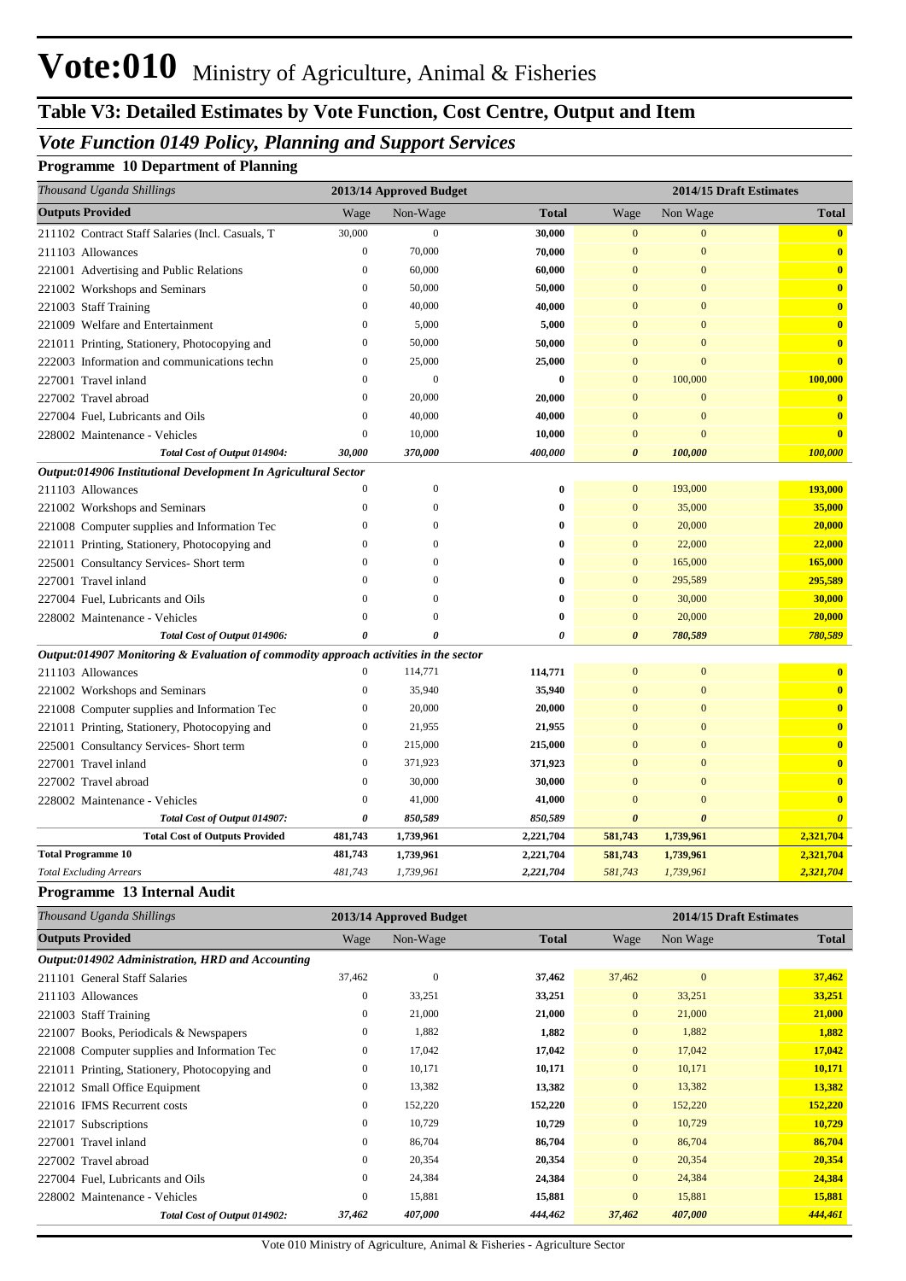## **Table V3: Detailed Estimates by Vote Function, Cost Centre, Output and Item**

## *Vote Function 0149 Policy, Planning and Support Services*

#### **Programme 10 Department of Planning**

| Thousand Uganda Shillings                                                            |                  | 2013/14 Approved Budget |              |                       | 2014/15 Draft Estimates |                         |
|--------------------------------------------------------------------------------------|------------------|-------------------------|--------------|-----------------------|-------------------------|-------------------------|
| <b>Outputs Provided</b>                                                              | Wage             | Non-Wage                | <b>Total</b> | Wage                  | Non Wage                | <b>Total</b>            |
| 211102 Contract Staff Salaries (Incl. Casuals, T                                     | 30,000           | $\boldsymbol{0}$        | 30,000       | $\mathbf{0}$          | $\mathbf{0}$            | $\overline{\mathbf{0}}$ |
| 211103 Allowances                                                                    | $\boldsymbol{0}$ | 70,000                  | 70,000       | $\mathbf{0}$          | $\mathbf{0}$            | $\overline{\mathbf{0}}$ |
| 221001 Advertising and Public Relations                                              | $\bf{0}$         | 60,000                  | 60,000       | $\overline{0}$        | $\overline{0}$          | $\mathbf{0}$            |
| 221002 Workshops and Seminars                                                        | $\boldsymbol{0}$ | 50,000                  | 50,000       | $\mathbf{0}$          | $\boldsymbol{0}$        | $\bf{0}$                |
| 221003 Staff Training                                                                | $\mathbf{0}$     | 40,000                  | 40,000       | $\overline{0}$        | $\overline{0}$          | $\bf{0}$                |
| 221009 Welfare and Entertainment                                                     | $\mathbf{0}$     | 5,000                   | 5,000        | $\overline{0}$        | $\overline{0}$          | $\bf{0}$                |
| 221011 Printing, Stationery, Photocopying and                                        | $\boldsymbol{0}$ | 50,000                  | 50,000       | $\mathbf{0}$          | $\mathbf{0}$            | $\bf{0}$                |
| 222003 Information and communications techn                                          | $\overline{0}$   | 25,000                  | 25,000       | $\mathbf{0}$          | $\overline{0}$          | $\bf{0}$                |
| 227001 Travel inland                                                                 | $\Omega$         | $\theta$                | $\bf{0}$     | $\mathbf{0}$          | 100,000                 | 100,000                 |
| 227002 Travel abroad                                                                 | $\mathbf{0}$     | 20,000                  | 20,000       | $\mathbf{0}$          | $\mathbf{0}$            | $\bf{0}$                |
| 227004 Fuel, Lubricants and Oils                                                     | $\overline{0}$   | 40,000                  | 40,000       | $\overline{0}$        | $\mathbf{0}$            | $\overline{\mathbf{0}}$ |
| 228002 Maintenance - Vehicles                                                        | $\boldsymbol{0}$ | 10,000                  | 10,000       | $\mathbf{0}$          | $\mathbf{0}$            | $\overline{\mathbf{0}}$ |
| Total Cost of Output 014904:                                                         | 30,000           | 370,000                 | 400,000      | $\boldsymbol{\theta}$ | 100,000                 | 100,000                 |
| Output:014906 Institutional Development In Agricultural Sector                       |                  |                         |              |                       |                         |                         |
| 211103 Allowances                                                                    | $\mathbf{0}$     | $\mathbf{0}$            | $\bf{0}$     | $\mathbf{0}$          | 193,000                 | 193,000                 |
| 221002 Workshops and Seminars                                                        | $\overline{0}$   | $\theta$                | 0            | $\mathbf{0}$          | 35,000                  | 35,000                  |
| 221008 Computer supplies and Information Tec                                         | $\mathbf{0}$     | $\Omega$                | 0            | $\mathbf{0}$          | 20,000                  | 20,000                  |
| 221011 Printing, Stationery, Photocopying and                                        | $\overline{0}$   | $\Omega$                | $\bf{0}$     | $\mathbf{0}$          | 22,000                  | 22,000                  |
| 225001 Consultancy Services-Short term                                               | $\Omega$         | $\Omega$                | 0            | $\mathbf{0}$          | 165,000                 | 165,000                 |
| 227001 Travel inland                                                                 | $\mathbf{0}$     | $\Omega$                | $\bf{0}$     | $\mathbf{0}$          | 295,589                 | 295,589                 |
| 227004 Fuel, Lubricants and Oils                                                     | $\Omega$         | $\theta$                | $\bf{0}$     | $\overline{0}$        | 30,000                  | 30,000                  |
| 228002 Maintenance - Vehicles                                                        | $\Omega$         | $\Omega$                | $\bf{0}$     | $\mathbf{0}$          | 20,000                  | 20,000                  |
| Total Cost of Output 014906:                                                         | 0                | 0                       | $\theta$     | $\boldsymbol{\theta}$ | 780,589                 | 780,589                 |
| Output:014907 Monitoring & Evaluation of commodity approach activities in the sector |                  |                         |              |                       |                         |                         |
| 211103 Allowances                                                                    | $\mathbf{0}$     | 114,771                 | 114,771      | $\mathbf{0}$          | $\boldsymbol{0}$        | $\bf{0}$                |
| 221002 Workshops and Seminars                                                        | $\boldsymbol{0}$ | 35,940                  | 35,940       | $\overline{0}$        | $\mathbf{0}$            | $\mathbf{0}$            |
| 221008 Computer supplies and Information Tec                                         | $\bf{0}$         | 20,000                  | 20,000       | $\overline{0}$        | $\overline{0}$          | $\overline{\mathbf{0}}$ |
| 221011 Printing, Stationery, Photocopying and                                        | $\bf{0}$         | 21,955                  | 21,955       | $\mathbf{0}$          | $\boldsymbol{0}$        | $\bf{0}$                |
| 225001 Consultancy Services- Short term                                              | $\boldsymbol{0}$ | 215,000                 | 215,000      | $\overline{0}$        | $\overline{0}$          | $\bf{0}$                |
| 227001 Travel inland                                                                 | $\mathbf{0}$     | 371,923                 | 371,923      | $\overline{0}$        | $\overline{0}$          | $\overline{\mathbf{0}}$ |
| 227002 Travel abroad                                                                 | $\overline{0}$   | 30,000                  | 30,000       | $\mathbf{0}$          | $\mathbf{0}$            | $\bf{0}$                |
| 228002 Maintenance - Vehicles                                                        | $\mathbf{0}$     | 41,000                  | 41,000       | $\overline{0}$        | $\overline{0}$          | $\overline{\mathbf{0}}$ |
| Total Cost of Output 014907:                                                         | 0                | 850,589                 | 850,589      | $\boldsymbol{\theta}$ | $\boldsymbol{\theta}$   | $\boldsymbol{\theta}$   |
| <b>Total Cost of Outputs Provided</b>                                                | 481,743          | 1,739,961               | 2,221,704    | 581,743               | 1,739,961               | 2,321,704               |
| <b>Total Programme 10</b>                                                            | 481,743          | 1,739,961               | 2,221,704    | 581,743               | 1,739,961               | 2,321,704               |
| <b>Total Excluding Arrears</b>                                                       | 481,743          | 1,739,961               | 2,221,704    | 581,743               | 1,739,961               | 2,321,704               |

#### **Programme 13 Internal Audit**

| Thousand Uganda Shillings                        |                | 2013/14 Approved Budget |              |                | 2014/15 Draft Estimates |              |  |  |
|--------------------------------------------------|----------------|-------------------------|--------------|----------------|-------------------------|--------------|--|--|
| <b>Outputs Provided</b>                          | Wage           | Non-Wage                | <b>Total</b> | Wage           | Non Wage                | <b>Total</b> |  |  |
| Output:014902 Administration, HRD and Accounting |                |                         |              |                |                         |              |  |  |
| 211101 General Staff Salaries                    | 37,462         | $\Omega$                | 37,462       | 37,462         | $\mathbf{0}$            | 37,462       |  |  |
| 211103 Allowances                                | $\mathbf{0}$   | 33,251                  | 33,251       | $\overline{0}$ | 33,251                  | 33,251       |  |  |
| 221003 Staff Training                            | $\overline{0}$ | 21,000                  | 21,000       | $\overline{0}$ | 21,000                  | 21,000       |  |  |
| 221007 Books, Periodicals & Newspapers           | $\bf{0}$       | 1,882                   | 1,882        | $\overline{0}$ | 1,882                   | 1,882        |  |  |
| 221008 Computer supplies and Information Tec     | $\bf{0}$       | 17,042                  | 17,042       | $\overline{0}$ | 17,042                  | 17,042       |  |  |
| 221011 Printing, Stationery, Photocopying and    | $\bf{0}$       | 10,171                  | 10,171       | $\overline{0}$ | 10,171                  | 10,171       |  |  |
| 221012 Small Office Equipment                    | $\overline{0}$ | 13,382                  | 13,382       | $\overline{0}$ | 13,382                  | 13,382       |  |  |
| 221016 IFMS Recurrent costs                      | $\overline{0}$ | 152,220                 | 152,220      | $\overline{0}$ | 152,220                 | 152,220      |  |  |
| 221017 Subscriptions                             | $\mathbf{0}$   | 10,729                  | 10,729       | $\overline{0}$ | 10,729                  | 10,729       |  |  |
| 227001 Travel inland                             | $\mathbf{0}$   | 86,704                  | 86,704       | $\overline{0}$ | 86,704                  | 86,704       |  |  |
| 227002 Travel abroad                             | $\mathbf{0}$   | 20,354                  | 20,354       | $\overline{0}$ | 20,354                  | 20,354       |  |  |
| 227004 Fuel, Lubricants and Oils                 | $\bf{0}$       | 24,384                  | 24,384       | $\overline{0}$ | 24,384                  | 24,384       |  |  |
| 228002 Maintenance - Vehicles                    | $\mathbf{0}$   | 15,881                  | 15,881       | $\overline{0}$ | 15,881                  | 15,881       |  |  |
| Total Cost of Output 014902:                     | 37,462         | 407,000                 | 444,462      | 37,462         | 407,000                 | 444,461      |  |  |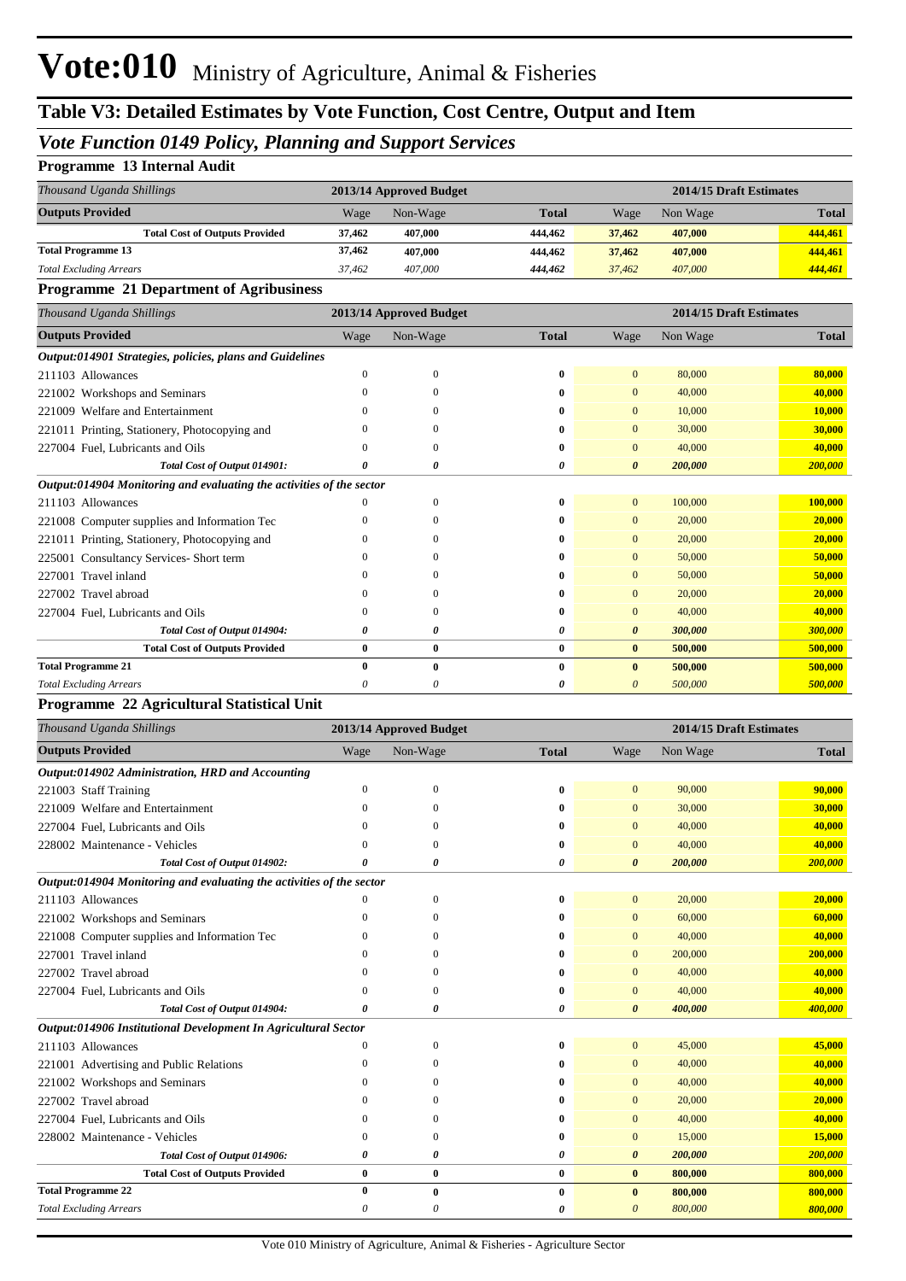## **Table V3: Detailed Estimates by Vote Function, Cost Centre, Output and Item**

#### *Vote Function 0149 Policy, Planning and Support Services*

#### **Programme 13 Internal Audit**

| Thousand Uganda Shillings             | 2013/14 Approved Budget |          |              | 2014/15 Draft Estimates |          |              |
|---------------------------------------|-------------------------|----------|--------------|-------------------------|----------|--------------|
| <b>Outputs Provided</b>               | Wage                    | Non-Wage | <b>Total</b> | Wage                    | Non Wage | <b>Total</b> |
| <b>Total Cost of Outputs Provided</b> | 37,462                  | 407,000  | 444.462      | 37,462                  | 407,000  | 444,461      |
| <b>Total Programme 13</b>             | 37,462                  | 407,000  | 444.462      | 37,462                  | 407,000  | 444,461      |
| <b>Total Excluding Arrears</b>        | 37.462                  | 407,000  | 444,462      | 37,462                  | 407,000  | 444,461      |

#### **Programme 21 Department of Agribusiness**

| Thousand Uganda Shillings                                            |          | 2013/14 Approved Budget |              |                       | 2014/15 Draft Estimates |              |
|----------------------------------------------------------------------|----------|-------------------------|--------------|-----------------------|-------------------------|--------------|
| <b>Outputs Provided</b>                                              | Wage     | Non-Wage                | <b>Total</b> | Wage                  | Non Wage                | <b>Total</b> |
| Output:014901 Strategies, policies, plans and Guidelines             |          |                         |              |                       |                         |              |
| 211103 Allowances                                                    | 0        | 0                       | 0            | $\overline{0}$        | 80,000                  | 80,000       |
| 221002 Workshops and Seminars                                        | 0        | 0                       | 0            | $\Omega$              | 40,000                  | 40,000       |
| 221009 Welfare and Entertainment                                     |          | 0                       | $\bf{0}$     | $\Omega$              | 10,000                  | 10,000       |
| 221011 Printing, Stationery, Photocopying and                        | $^{(1)}$ | 0                       | 0            | $\Omega$              | 30,000                  | 30,000       |
| 227004 Fuel, Lubricants and Oils                                     | 0        | 0                       | $\bf{0}$     | $\Omega$              | 40,000                  | 40,000       |
| Total Cost of Output 014901:                                         | 0        | 0                       | 0            | $\boldsymbol{\theta}$ | 200,000                 | 200,000      |
| Output:014904 Monitoring and evaluating the activities of the sector |          |                         |              |                       |                         |              |
| 211103 Allowances                                                    | 0        | $\mathbf{0}$            | $\bf{0}$     | $\overline{0}$        | 100,000                 | 100,000      |
| 221008 Computer supplies and Information Tec                         | 0        | 0                       | $\bf{0}$     | $\Omega$              | 20,000                  | 20,000       |
| 221011 Printing, Stationery, Photocopying and                        | 0        | 0                       | 0            | $\Omega$              | 20,000                  | 20,000       |
| 225001 Consultancy Services- Short term                              | $\Omega$ | 0                       | 0            | $\Omega$              | 50,000                  | 50,000       |
| 227001 Travel inland                                                 | 0        | 0                       | $\bf{0}$     | $\Omega$              | 50,000                  | 50,000       |
| 227002 Travel abroad                                                 |          | 0                       | $\mathbf{0}$ |                       | 20,000                  | 20,000       |
| 227004 Fuel, Lubricants and Oils                                     | 0        | 0                       | 0            | $\Omega$              | 40,000                  | 40,000       |
| Total Cost of Output 014904:                                         | 0        | 0                       | 0            | $\boldsymbol{\theta}$ | 300,000                 | 300,000      |
| <b>Total Cost of Outputs Provided</b>                                | $\bf{0}$ | $\bf{0}$                | $\bf{0}$     | $\bf{0}$              | 500,000                 | 500,000      |
| <b>Total Programme 21</b>                                            | $\bf{0}$ | $\bf{0}$                | $\bf{0}$     | $\mathbf{0}$          | 500,000                 | 500,000      |
| <b>Total Excluding Arrears</b>                                       | 0        | 0                       | 0            | 0                     | 500,000                 | 500,000      |
|                                                                      |          |                         |              |                       |                         |              |

#### **Programme 22 Agricultural Statistical Unit**

| Thousand Uganda Shillings                                            |              | 2013/14 Approved Budget |              |                       | 2014/15 Draft Estimates |              |
|----------------------------------------------------------------------|--------------|-------------------------|--------------|-----------------------|-------------------------|--------------|
| <b>Outputs Provided</b>                                              | Wage         | Non-Wage                | <b>Total</b> | Wage                  | Non Wage                | <b>Total</b> |
| Output:014902 Administration, HRD and Accounting                     |              |                         |              |                       |                         |              |
| 221003 Staff Training                                                | $\mathbf{0}$ | $\mathbf{0}$            | $\bf{0}$     | $\mathbf{0}$          | 90,000                  | 90,000       |
| 221009 Welfare and Entertainment                                     | $\Omega$     | $\Omega$                | 0            | $\Omega$              | 30,000                  | 30,000       |
| 227004 Fuel, Lubricants and Oils                                     | $\Omega$     | $\Omega$                | 0            | $\Omega$              | 40,000                  | 40,000       |
| 228002 Maintenance - Vehicles                                        | $\Omega$     | $\cup$                  | $\mathbf{0}$ | $\mathbf{0}$          | 40,000                  | 40,000       |
| Total Cost of Output 014902:                                         | O            | 0                       | 0            | $\boldsymbol{\theta}$ | 200,000                 | 200,000      |
| Output:014904 Monitoring and evaluating the activities of the sector |              |                         |              |                       |                         |              |
| 211103 Allowances                                                    |              | $\mathbf{0}$            | $\bf{0}$     | $\overline{0}$        | 20,000                  | 20,000       |
| 221002 Workshops and Seminars                                        | $\theta$     | $\Omega$                | 0            | $\mathbf{0}$          | 60,000                  | 60,000       |
| 221008 Computer supplies and Information Tec                         | $\Omega$     | $\Omega$                | 0            | $\mathbf{0}$          | 40,000                  | 40,000       |
| 227001 Travel inland                                                 | $\Omega$     | $\Omega$                | $\mathbf{0}$ | $\Omega$              | 200,000                 | 200,000      |
| 227002 Travel abroad                                                 | $\Omega$     | $\Omega$                | $\mathbf{0}$ | $\mathbf{0}$          | 40,000                  | 40,000       |
| 227004 Fuel, Lubricants and Oils                                     | $\theta$     | $\Omega$                | $\mathbf{0}$ | $\mathbf{0}$          | 40,000                  | 40,000       |
| Total Cost of Output 014904:                                         | 0            | 0                       | 0            | $\boldsymbol{\theta}$ | 400,000                 | 400,000      |
| Output:014906 Institutional Development In Agricultural Sector       |              |                         |              |                       |                         |              |
| 211103 Allowances                                                    | $\Omega$     | $\Omega$                | $\bf{0}$     | $\overline{0}$        | 45,000                  | 45,000       |
| 221001 Advertising and Public Relations                              | $\Omega$     | $\Omega$                | 0            | $\overline{0}$        | 40,000                  | 40,000       |
| 221002 Workshops and Seminars                                        | $\Omega$     | $\Omega$                | 0            | $\mathbf{0}$          | 40,000                  | 40,000       |
| 227002 Travel abroad                                                 | $\Omega$     |                         | 0            | $\mathbf{0}$          | 20,000                  | 20,000       |
| 227004 Fuel, Lubricants and Oils                                     | $\theta$     | $\Omega$                | $\mathbf{0}$ | $\Omega$              | 40,000                  | 40,000       |
| 228002 Maintenance - Vehicles                                        | $\Omega$     | $\Omega$                | $\mathbf{0}$ | $\Omega$              | 15,000                  | 15,000       |
| Total Cost of Output 014906:                                         | 0            | 0                       | 0            | 0                     | 200,000                 | 200,000      |
| <b>Total Cost of Outputs Provided</b>                                | $\bf{0}$     | $\bf{0}$                | $\bf{0}$     | $\bf{0}$              | 800,000                 | 800,000      |
| <b>Total Programme 22</b>                                            | $\bf{0}$     | $\bf{0}$                | $\bf{0}$     | $\bf{0}$              | 800,000                 | 800,000      |
| <b>Total Excluding Arrears</b>                                       | 0            | 0                       | 0            | 0                     | 800,000                 | 800,000      |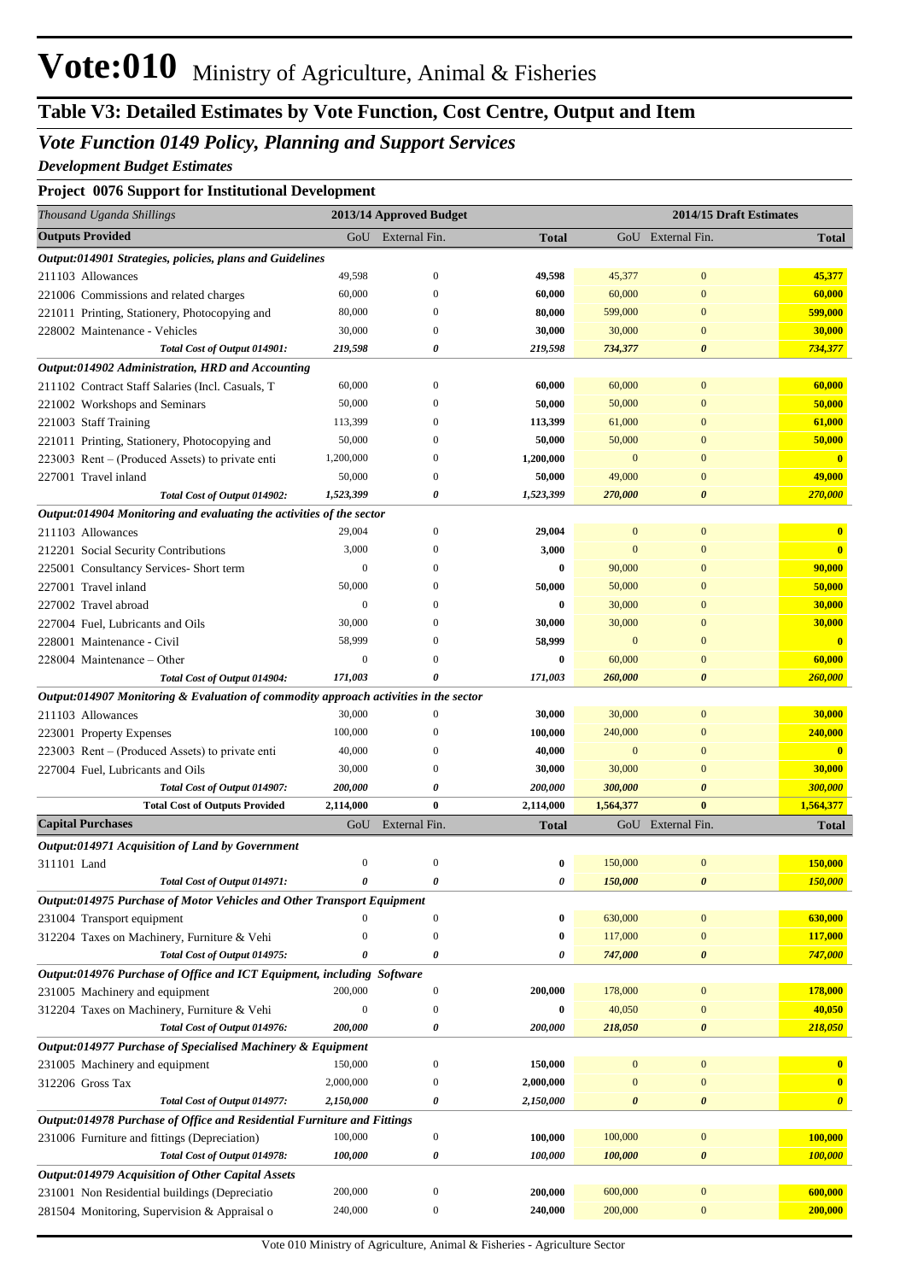## **Table V3: Detailed Estimates by Vote Function, Cost Centre, Output and Item**

#### *Vote Function 0149 Policy, Planning and Support Services*

*Development Budget Estimates*

#### **Project 0076 Support for Institutional Development**

| Thousand Uganda Shillings                                                            |                  | 2013/14 Approved Budget |              |                | 2014/15 Draft Estimates |                       |
|--------------------------------------------------------------------------------------|------------------|-------------------------|--------------|----------------|-------------------------|-----------------------|
| <b>Outputs Provided</b>                                                              |                  | GoU External Fin.       | <b>Total</b> |                | GoU External Fin.       | <b>Total</b>          |
| <i><b>Output:014901 Strategies, policies, plans and Guidelines</b></i>               |                  |                         |              |                |                         |                       |
| 211103 Allowances                                                                    | 49,598           | $\boldsymbol{0}$        | 49,598       | 45,377         | $\boldsymbol{0}$        | 45,377                |
| 221006 Commissions and related charges                                               | 60,000           | $\Omega$                | 60,000       | 60,000         | $\mathbf{0}$            | 60,000                |
| 221011 Printing, Stationery, Photocopying and                                        | 80,000           | $\Omega$                | 80,000       | 599,000        | $\mathbf{0}$            | 599,000               |
| 228002 Maintenance - Vehicles                                                        | 30,000           | $\Omega$                | 30,000       | 30,000         | $\mathbf{0}$            | 30,000                |
| Total Cost of Output 014901:                                                         | 219,598          | 0                       | 219,598      | 734,377        | 0                       | 734,377               |
| Output:014902 Administration, HRD and Accounting                                     |                  |                         |              |                |                         |                       |
| 211102 Contract Staff Salaries (Incl. Casuals, T                                     | 60,000           | $\mathbf{0}$            | 60,000       | 60,000         | $\mathbf{0}$            | 60,000                |
| 221002 Workshops and Seminars                                                        | 50,000           | $\Omega$                | 50,000       | 50,000         | $\mathbf{0}$            | 50,000                |
| 221003 Staff Training                                                                | 113,399          | $\Omega$                | 113,399      | 61,000         | $\mathbf{0}$            | 61,000                |
| 221011 Printing, Stationery, Photocopying and                                        | 50,000           | $\Omega$                | 50,000       | 50,000         | $\mathbf{0}$            | 50,000                |
| 223003 Rent – (Produced Assets) to private enti                                      | 1,200,000        | $\Omega$                | 1,200,000    | $\mathbf{0}$   | $\mathbf{0}$            | $\mathbf{0}$          |
| 227001 Travel inland                                                                 | 50,000           | $\Omega$                | 50,000       | 49,000         | $\mathbf{0}$            | 49,000                |
| Total Cost of Output 014902:                                                         | 1,523,399        | 0                       | 1,523,399    | 270,000        | 0                       | 270,000               |
| Output:014904 Monitoring and evaluating the activities of the sector                 |                  |                         |              |                |                         |                       |
| 211103 Allowances                                                                    | 29,004           | $\mathbf{0}$            | 29,004       | $\mathbf{0}$   | $\mathbf{0}$            | $\mathbf{0}$          |
| 212201 Social Security Contributions                                                 | 3,000            | $\Omega$                | 3,000        | $\mathbf{0}$   | $\mathbf{0}$            | $\bf{0}$              |
| 225001 Consultancy Services- Short term                                              | $\mathbf{0}$     | $\Omega$                | 0            | 90,000         | $\mathbf{0}$            | 90,000                |
| 227001 Travel inland                                                                 | 50,000           |                         | 50,000       | 50,000         | $\mathbf{0}$            | 50,000                |
| 227002 Travel abroad                                                                 | $\mathbf{0}$     |                         | 0            | 30,000         | $\mathbf{0}$            | 30,000                |
| 227004 Fuel, Lubricants and Oils                                                     | 30,000           |                         | 30,000       | 30,000         | $\mathbf{0}$            | 30,000                |
| 228001 Maintenance - Civil                                                           | 58,999           |                         | 58,999       | $\mathbf{0}$   | $\overline{0}$          | $\mathbf{0}$          |
| 228004 Maintenance – Other                                                           | $\mathbf{0}$     |                         | 0            | 60,000         | $\mathbf{0}$            | 60,000                |
| Total Cost of Output 014904:                                                         | 171,003          | 0                       | 171,003      | 260,000        | $\boldsymbol{\theta}$   | 260,000               |
| Output:014907 Monitoring & Evaluation of commodity approach activities in the sector |                  |                         |              |                |                         |                       |
| 211103 Allowances                                                                    | 30,000           | $\Omega$                | 30,000       | 30,000         | $\mathbf{0}$            | 30,000                |
| 223001 Property Expenses                                                             | 100,000          | $\Omega$                | 100,000      | 240,000        | $\mathbf{0}$            | 240,000               |
| 223003 Rent – (Produced Assets) to private enti                                      | 40,000           | $\Omega$                | 40,000       | $\mathbf{0}$   | $\mathbf{0}$            | $\mathbf{0}$          |
| 227004 Fuel, Lubricants and Oils                                                     | 30,000           | $\mathbf{0}$            | 30,000       | 30,000         | $\mathbf{0}$            | 30,000                |
| Total Cost of Output 014907:                                                         | 200,000          | 0                       | 200,000      | 300,000        | $\boldsymbol{\theta}$   | 300,000               |
| <b>Total Cost of Outputs Provided</b>                                                | 2,114,000        | $\bf{0}$                | 2,114,000    | 1,564,377      | $\bf{0}$                | 1,564,377             |
| <b>Capital Purchases</b>                                                             | GoU              | External Fin.           | <b>Total</b> |                | GoU External Fin.       | <b>Total</b>          |
| Output:014971 Acquisition of Land by Government                                      |                  |                         |              |                |                         |                       |
| 311101 Land                                                                          | $\boldsymbol{0}$ | $\boldsymbol{0}$        | 0            | 150,000        | $\boldsymbol{0}$        | 150,000               |
| Total Cost of Output 014971:                                                         |                  | 0                       | 0            | 150,000        | $\pmb{\theta}$          | 150,000               |
| Output:014975 Purchase of Motor Vehicles and Other Transport Equipment               |                  |                         |              |                |                         |                       |
| 231004 Transport equipment                                                           | $\mathbf{0}$     | $\boldsymbol{0}$        | 0            | 630,000        | $\boldsymbol{0}$        | 630,000               |
| 312204 Taxes on Machinery, Furniture & Vehi                                          | $\overline{0}$   | $\mathbf{0}$            | $\bf{0}$     | 117,000        | $\boldsymbol{0}$        | 117,000               |
| Total Cost of Output 014975:                                                         | 0                | 0                       | 0            | 747,000        | $\boldsymbol{\theta}$   | 747,000               |
| Output:014976 Purchase of Office and ICT Equipment, including Software               |                  |                         |              |                |                         |                       |
| 231005 Machinery and equipment                                                       | 200,000          | $\boldsymbol{0}$        | 200,000      | 178,000        | $\boldsymbol{0}$        | 178,000               |
| 312204 Taxes on Machinery, Furniture & Vehi                                          | $\boldsymbol{0}$ | $\boldsymbol{0}$        | 0            | 40,050         | $\mathbf{0}$            | 40,050                |
| Total Cost of Output 014976:                                                         | 200,000          | 0                       | 200,000      | 218,050        | 0                       | 218,050               |
| Output:014977 Purchase of Specialised Machinery & Equipment                          |                  |                         |              |                |                         |                       |
| 231005 Machinery and equipment                                                       | 150,000          | $\boldsymbol{0}$        | 150,000      | $\mathbf{0}$   | $\boldsymbol{0}$        |                       |
| 312206 Gross Tax                                                                     | 2,000,000        | $\mathbf{0}$            | 2,000,000    | $\overline{0}$ | $\boldsymbol{0}$        | $\mathbf{0}$          |
| Total Cost of Output 014977:                                                         | 2,150,000        | 0                       | 2,150,000    | 0              | $\boldsymbol{\theta}$   | $\boldsymbol{\theta}$ |
| Output:014978 Purchase of Office and Residential Furniture and Fittings              |                  |                         |              |                |                         |                       |
| 231006 Furniture and fittings (Depreciation)                                         | 100,000          | $\boldsymbol{0}$        | 100,000      | 100,000        | $\boldsymbol{0}$        | 100,000               |
| Total Cost of Output 014978:                                                         | 100,000          | 0                       | 100,000      | 100,000        | 0                       | 100,000               |
| Output:014979 Acquisition of Other Capital Assets                                    |                  |                         |              |                |                         |                       |
| 231001 Non Residential buildings (Depreciatio                                        | 200,000          | $\mathbf{0}$            | 200,000      | 600,000        | $\boldsymbol{0}$        | 600,000               |
| 281504 Monitoring, Supervision & Appraisal o                                         | 240,000          | $\boldsymbol{0}$        | 240,000      | 200,000        | $\boldsymbol{0}$        | 200,000               |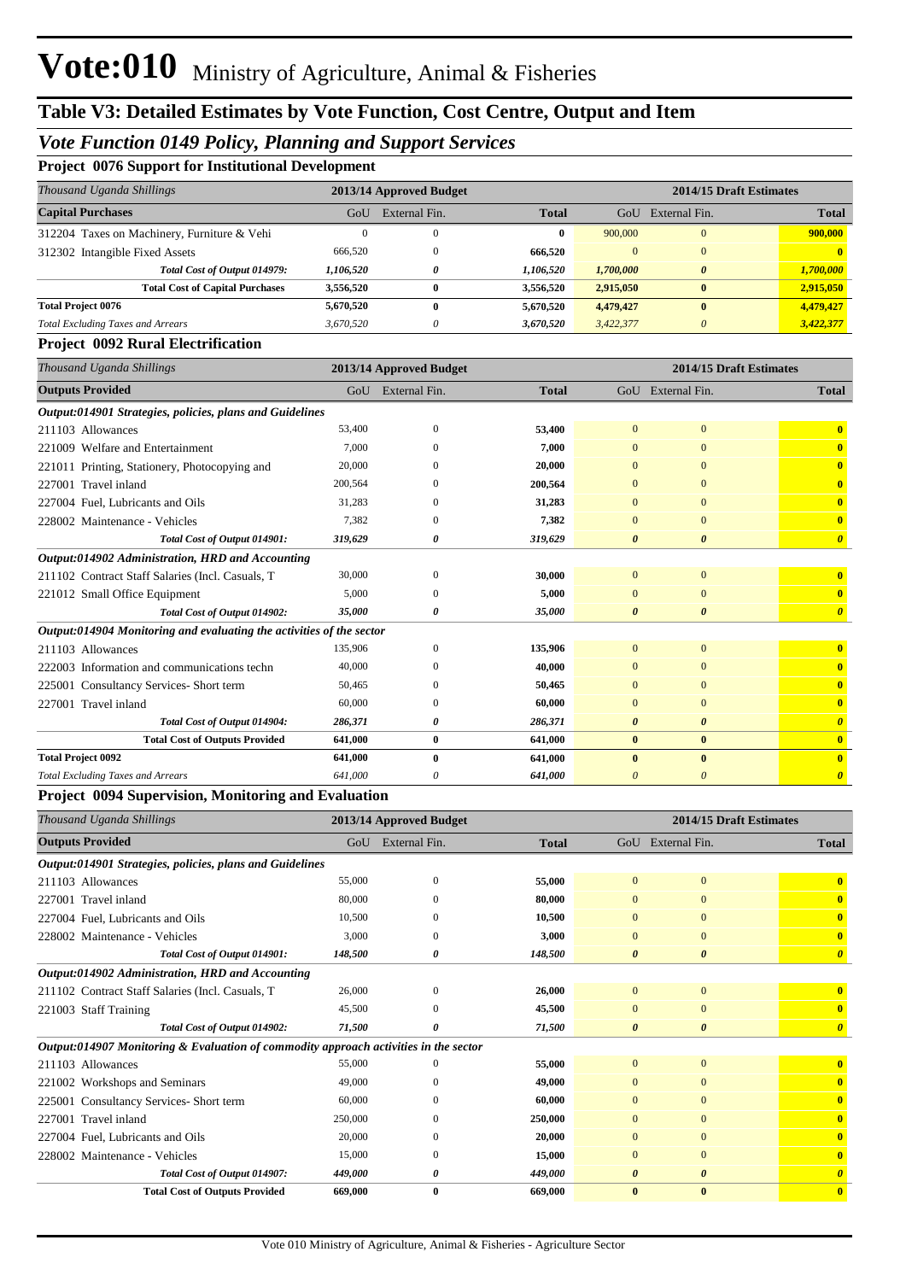#### *Vote Function 0149 Policy, Planning and Support Services*

**Project 0076 Support for Institutional Development**

| Thousand Uganda Shillings                   | 2013/14 Approved Budget |               |              | 2014/15 Draft Estimates |               |              |
|---------------------------------------------|-------------------------|---------------|--------------|-------------------------|---------------|--------------|
| <b>Capital Purchases</b>                    | GoU                     | External Fin. | <b>Total</b> | GoU                     | External Fin. | <b>Total</b> |
| 312204 Taxes on Machinery, Furniture & Vehi |                         | O             | 0            | 900,000                 | 0             | 900,000      |
| 312302 Intangible Fixed Assets              | 666,520                 | 0             | 666.520      | $\Omega$                | $\mathbf{0}$  |              |
| Total Cost of Output 014979:                | 1,106,520               | 0             | 1,106,520    | 1,700,000               | $\theta$      | 1,700,000    |
| <b>Total Cost of Capital Purchases</b>      | 3,556,520               | 0             | 3,556,520    | 2,915,050               | $\bf{0}$      | 2,915,050    |
| <b>Total Project 0076</b>                   | 5,670,520               | 0             | 5,670,520    | 4,479,427               | $\bf{0}$      | 4,479,427    |
| <b>Total Excluding Taxes and Arrears</b>    | 3,670,520               | $\theta$      | 3,670,520    | 3,422,377               |               | 3,422,377    |
|                                             |                         |               |              |                         |               |              |

#### **Project 0092 Rural Electrification**

| Thousand Uganda Shillings                                            | 2014/15 Draft Estimates<br>2013/14 Approved Budget |               |              |                       |                       |                       |
|----------------------------------------------------------------------|----------------------------------------------------|---------------|--------------|-----------------------|-----------------------|-----------------------|
| <b>Outputs Provided</b>                                              | GoU                                                | External Fin. | <b>Total</b> | GoU                   | External Fin.         | <b>Total</b>          |
| Output:014901 Strategies, policies, plans and Guidelines             |                                                    |               |              |                       |                       |                       |
| 211103 Allowances                                                    | 53,400                                             | $\mathbf{0}$  | 53,400       | $\overline{0}$        | $\overline{0}$        | $\mathbf{0}$          |
| 221009 Welfare and Entertainment                                     | 7,000                                              | $\Omega$      | 7,000        | $\mathbf{0}$          | $\mathbf{0}$          | $\mathbf{0}$          |
| 221011 Printing, Stationery, Photocopying and                        | 20,000                                             | $\Omega$      | 20,000       | $\Omega$              | $\Omega$              | $\mathbf{0}$          |
| 227001 Travel inland                                                 | 200,564                                            | $\Omega$      | 200,564      | $\Omega$              | $\Omega$              | $\mathbf{0}$          |
| 227004 Fuel, Lubricants and Oils                                     | 31,283                                             | $\Omega$      | 31,283       | $\Omega$              | $\mathbf{0}$          | $\mathbf{0}$          |
| 228002 Maintenance - Vehicles                                        | 7,382                                              | $\theta$      | 7,382        | $\Omega$              | $\overline{0}$        | $\mathbf{0}$          |
| Total Cost of Output 014901:                                         | 319,629                                            | 0             | 319,629      | $\boldsymbol{\theta}$ | $\boldsymbol{\theta}$ | $\boldsymbol{\theta}$ |
| Output:014902 Administration, HRD and Accounting                     |                                                    |               |              |                       |                       |                       |
| 211102 Contract Staff Salaries (Incl. Casuals, T                     | 30,000                                             | $\mathbf{0}$  | 30,000       | $\overline{0}$        | $\mathbf{0}$          | $\mathbf{0}$          |
| 221012 Small Office Equipment                                        | 5,000                                              | $\Omega$      | 5,000        | $\mathbf{0}$          | $\mathbf{0}$          | $\mathbf{0}$          |
| Total Cost of Output 014902:                                         | 35,000                                             | 0             | 35,000       | $\boldsymbol{\theta}$ | $\boldsymbol{\theta}$ | $\theta$              |
| Output:014904 Monitoring and evaluating the activities of the sector |                                                    |               |              |                       |                       |                       |
| 211103 Allowances                                                    | 135,906                                            | $\theta$      | 135,906      | $\overline{0}$        | $\overline{0}$        | $\bf{0}$              |
| 222003 Information and communications techn                          | 40,000                                             | $\Omega$      | 40,000       | $\mathbf{0}$          | $\overline{0}$        | $\mathbf{0}$          |
| 225001 Consultancy Services-Short term                               | 50,465                                             | $\Omega$      | 50,465       | $\Omega$              | $\Omega$              | $\mathbf{0}$          |
| 227001 Travel inland                                                 | 60,000                                             | $\theta$      | 60,000       | $\mathbf{0}$          | $\overline{0}$        | $\mathbf{0}$          |
| Total Cost of Output 014904:                                         | 286,371                                            | 0             | 286,371      | $\boldsymbol{\theta}$ | $\boldsymbol{\theta}$ | $\boldsymbol{\theta}$ |
| <b>Total Cost of Outputs Provided</b>                                | 641,000                                            | $\bf{0}$      | 641,000      | $\bf{0}$              | $\bf{0}$              | $\mathbf{0}$          |
| <b>Total Project 0092</b>                                            | 641,000                                            | $\mathbf{0}$  | 641,000      | $\mathbf{0}$          | $\mathbf{0}$          | $\mathbf{0}$          |
| <b>Total Excluding Taxes and Arrears</b>                             | 641,000                                            | 0             | 641,000      | $\boldsymbol{\theta}$ | $\boldsymbol{\theta}$ | $\theta$              |

#### **Project 0094 Supervision, Monitoring and Evaluation**

| Thousand Uganda Shillings                                                            | 2014/15 Draft Estimates<br>2013/14 Approved Budget |               |              |                       |                       |                         |
|--------------------------------------------------------------------------------------|----------------------------------------------------|---------------|--------------|-----------------------|-----------------------|-------------------------|
| <b>Outputs Provided</b>                                                              | GoU                                                | External Fin. | <b>Total</b> |                       | GoU External Fin.     | <b>Total</b>            |
| Output:014901 Strategies, policies, plans and Guidelines                             |                                                    |               |              |                       |                       |                         |
| 211103 Allowances                                                                    | 55,000                                             | $\mathbf{0}$  | 55,000       | $\overline{0}$        | $\mathbf{0}$          |                         |
| 227001 Travel inland                                                                 | 80,000                                             | $\Omega$      | 80,000       | $\mathbf{0}$          | $\mathbf{0}$          | $\mathbf{0}$            |
| 227004 Fuel, Lubricants and Oils                                                     | 10,500                                             | $\Omega$      | 10,500       | $\mathbf{0}$          | $\mathbf{0}$          | $\mathbf{0}$            |
| 228002 Maintenance - Vehicles                                                        | 3,000                                              | $\Omega$      | 3,000        | $\mathbf{0}$          | $\mathbf{0}$          | $\overline{\mathbf{0}}$ |
| Total Cost of Output 014901:                                                         | 148,500                                            | 0             | 148,500      | $\boldsymbol{\theta}$ | $\boldsymbol{\theta}$ | $\boldsymbol{\theta}$   |
| Output:014902 Administration, HRD and Accounting                                     |                                                    |               |              |                       |                       |                         |
| 211102 Contract Staff Salaries (Incl. Casuals, T                                     | 26,000                                             | $\Omega$      | 26,000       | $\overline{0}$        | $\mathbf{0}$          | $\mathbf{0}$            |
| 221003 Staff Training                                                                | 45,500                                             |               | 45,500       | $\mathbf{0}$          | $\mathbf{0}$          | $\mathbf{0}$            |
| Total Cost of Output 014902:                                                         | 71,500                                             | o             | 71,500       | $\boldsymbol{\theta}$ | $\boldsymbol{\theta}$ | $\boldsymbol{\theta}$   |
| Output:014907 Monitoring & Evaluation of commodity approach activities in the sector |                                                    |               |              |                       |                       |                         |
| 211103 Allowances                                                                    | 55,000                                             | $\Omega$      | 55,000       | $\overline{0}$        | $\mathbf{0}$          | $\overline{\mathbf{0}}$ |
| 221002 Workshops and Seminars                                                        | 49,000                                             | $\Omega$      | 49,000       | $\Omega$              | $\Omega$              | $\mathbf{0}$            |
| 225001 Consultancy Services-Short term                                               | 60,000                                             | $\Omega$      | 60,000       | $\Omega$              | $\Omega$              | $\mathbf{0}$            |
| 227001 Travel inland                                                                 | 250,000                                            | $\Omega$      | 250,000      | $\Omega$              | $\Omega$              | $\mathbf{0}$            |
| 227004 Fuel, Lubricants and Oils                                                     | 20,000                                             | 0             | 20,000       | $\mathbf{0}$          | $\mathbf{0}$          | $\mathbf{0}$            |
| 228002 Maintenance - Vehicles                                                        | 15,000                                             | $\Omega$      | 15,000       | $\Omega$              | $\mathbf{0}$          | $\mathbf{0}$            |
| Total Cost of Output 014907:                                                         | 449,000                                            | 0             | 449,000      | $\boldsymbol{\theta}$ | $\boldsymbol{\theta}$ | $\boldsymbol{\theta}$   |
| <b>Total Cost of Outputs Provided</b>                                                | 669,000                                            | $\bf{0}$      | 669,000      | $\bf{0}$              | $\bf{0}$              | $\overline{\mathbf{0}}$ |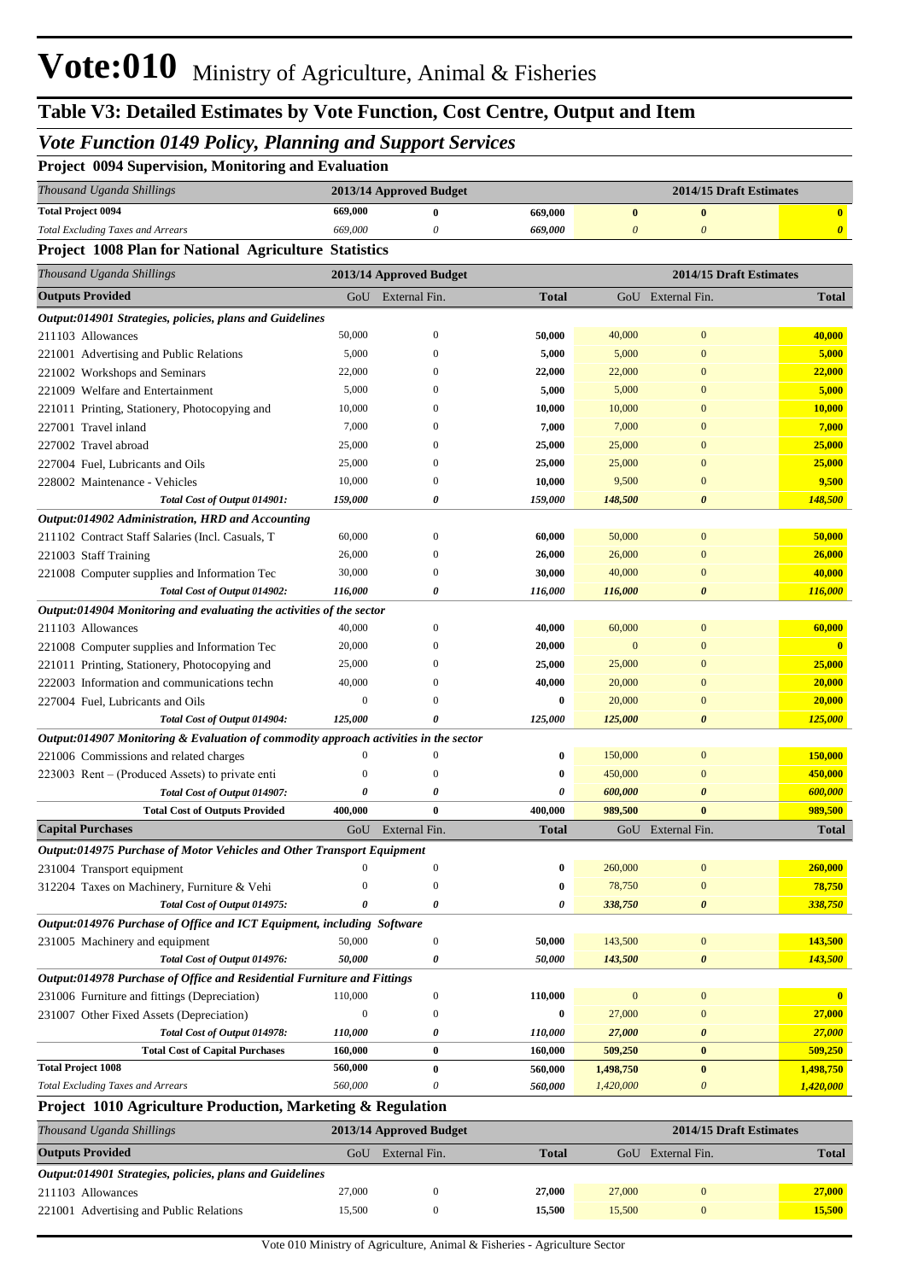### *Vote Function 0149 Policy, Planning and Support Services*

|  |  |  | Project 0094 Supervision, Monitoring and Evaluation |  |  |
|--|--|--|-----------------------------------------------------|--|--|
|--|--|--|-----------------------------------------------------|--|--|

| Thousand Uganda Shillings                                                            |                  | 2013/14 Approved Budget |                  |                       | 2014/15 Draft Estimates |                       |
|--------------------------------------------------------------------------------------|------------------|-------------------------|------------------|-----------------------|-------------------------|-----------------------|
| <b>Total Project 0094</b>                                                            | 669,000          | $\bf{0}$                | 669,000          | $\bf{0}$              | $\boldsymbol{0}$        | $\mathbf{0}$          |
| <b>Total Excluding Taxes and Arrears</b>                                             | 669,000          | 0                       | 669,000          | $\boldsymbol{\theta}$ | $\boldsymbol{\theta}$   | $\boldsymbol{\theta}$ |
| <b>Project 1008 Plan for National Agriculture Statistics</b>                         |                  |                         |                  |                       |                         |                       |
| Thousand Uganda Shillings                                                            |                  | 2013/14 Approved Budget |                  |                       | 2014/15 Draft Estimates |                       |
| <b>Outputs Provided</b>                                                              |                  | GoU External Fin.       | <b>Total</b>     |                       | GoU External Fin.       | <b>Total</b>          |
| Output:014901 Strategies, policies, plans and Guidelines                             |                  |                         |                  |                       |                         |                       |
| 211103 Allowances                                                                    | 50,000           | $\theta$                | 50,000           | 40,000                | $\boldsymbol{0}$        | 40,000                |
| 221001 Advertising and Public Relations                                              | 5,000            | $\theta$                | 5,000            | 5,000                 | $\boldsymbol{0}$        | 5,000                 |
| 221002 Workshops and Seminars                                                        | 22,000           | $\theta$                | 22,000           | 22,000                | $\overline{0}$          | 22,000                |
| 221009 Welfare and Entertainment                                                     | 5,000            | $\theta$                | 5,000            | 5,000                 | $\overline{0}$          | 5,000                 |
| 221011 Printing, Stationery, Photocopying and                                        | 10,000           | $\theta$                | 10,000           | 10,000                | $\overline{0}$          | 10,000                |
| 227001 Travel inland                                                                 | 7,000            | $\theta$                | 7,000            | 7,000                 | $\overline{0}$          | 7,000                 |
| 227002 Travel abroad                                                                 | 25,000           | $\theta$                | 25,000           | 25,000                | $\overline{0}$          | 25,000                |
| 227004 Fuel, Lubricants and Oils                                                     | 25,000           | $\theta$                | 25,000           | 25,000                | $\mathbf{0}$            | 25,000                |
| 228002 Maintenance - Vehicles                                                        | 10,000           | $\theta$                | 10,000           | 9,500                 | $\mathbf{0}$            | 9,500                 |
| Total Cost of Output 014901:                                                         | 159,000          | $\boldsymbol{\theta}$   | 159,000          | 148,500               | $\boldsymbol{\theta}$   | 148,500               |
| Output:014902 Administration, HRD and Accounting                                     |                  |                         |                  |                       |                         |                       |
| 211102 Contract Staff Salaries (Incl. Casuals, T                                     | 60,000           | $\boldsymbol{0}$        | 60,000           | 50,000                | $\mathbf{0}$            | 50,000                |
| 221003 Staff Training                                                                | 26,000           | $\overline{0}$          | 26,000           | 26,000                | $\boldsymbol{0}$        | 26,000                |
| 221008 Computer supplies and Information Tec                                         | 30,000           | $\theta$                | 30,000           | 40,000                | $\overline{0}$          | 40,000                |
| Total Cost of Output 014902:                                                         | 116,000          | 0                       | 116,000          | 116,000               | $\boldsymbol{\theta}$   | 116,000               |
| Output:014904 Monitoring and evaluating the activities of the sector                 |                  |                         |                  |                       |                         |                       |
| 211103 Allowances                                                                    | 40,000           | $\overline{0}$          | 40,000           | 60,000                | $\boldsymbol{0}$        | 60,000                |
| 221008 Computer supplies and Information Tec                                         | 20,000           | $\Omega$                | 20,000           | $\mathbf{0}$          | $\overline{0}$          | $\mathbf{0}$          |
| 221011 Printing, Stationery, Photocopying and                                        | 25,000           | $\theta$                | 25,000           | 25,000                | $\overline{0}$          | 25,000                |
| 222003 Information and communications techn                                          | 40,000           | $\theta$                | 40,000           | 20,000                | $\boldsymbol{0}$        | 20,000                |
| 227004 Fuel, Lubricants and Oils                                                     | $\boldsymbol{0}$ | $\Omega$                | $\bf{0}$         | 20,000                | $\mathbf{0}$            | 20,000                |
| Total Cost of Output 014904:                                                         | 125,000          | O                       | 125,000          | 125,000               | $\boldsymbol{\theta}$   | 125,000               |
| Output:014907 Monitoring & Evaluation of commodity approach activities in the sector |                  |                         |                  |                       |                         |                       |
| 221006 Commissions and related charges                                               | $\boldsymbol{0}$ | $\boldsymbol{0}$        | $\bf{0}$         | 150,000               | $\boldsymbol{0}$        | 150,000               |
| 223003 Rent – (Produced Assets) to private enti                                      | $\Omega$         | $\overline{0}$          | $\bf{0}$         | 450,000               | $\overline{0}$          | 450,000               |
| Total Cost of Output 014907:                                                         | 0                | 0                       | 0                | 600,000               | $\boldsymbol{\theta}$   | 600,000               |
| <b>Total Cost of Outputs Provided</b>                                                | 400,000          | $\bf{0}$                | 400,000          | 989,500               | $\bf{0}$                | 989,500               |
| <b>Capital Purchases</b>                                                             | GoU              | External Fin.           | <b>Total</b>     |                       | GoU External Fin.       | <b>Total</b>          |
| <b>Output:014975 Purchase of Motor Vehicles and Other Transport Equipment</b>        |                  |                         |                  |                       |                         |                       |
| 231004 Transport equipment                                                           | $\boldsymbol{0}$ | $\boldsymbol{0}$        | $\boldsymbol{0}$ | 260,000               | $\boldsymbol{0}$        | 260,000               |
| 312204 Taxes on Machinery, Furniture & Vehi                                          | 0                | $\mathbf{0}$            | $\bf{0}$         | 78,750                | $\mathbf{0}$            | 78,750                |
| Total Cost of Output 014975:                                                         | 0                | 0                       | 0                | 338,750               | $\pmb{\theta}$          | 338,750               |
| Output:014976 Purchase of Office and ICT Equipment, including Software               |                  |                         |                  |                       |                         |                       |
| 231005 Machinery and equipment                                                       | 50,000           | $\boldsymbol{0}$        | 50,000           | 143,500               | $\boldsymbol{0}$        | 143,500               |
| Total Cost of Output 014976:                                                         | 50,000           | 0                       | 50,000           | 143,500               | 0                       | 143,500               |
| Output:014978 Purchase of Office and Residential Furniture and Fittings              |                  |                         |                  |                       |                         |                       |
| 231006 Furniture and fittings (Depreciation)                                         | 110,000          | $\boldsymbol{0}$        | 110,000          | $\mathbf{0}$          | $\boldsymbol{0}$        | $\mathbf{0}$          |
| 231007 Other Fixed Assets (Depreciation)                                             | $\boldsymbol{0}$ | $\boldsymbol{0}$        | $\bf{0}$         | 27,000                | $\boldsymbol{0}$        | 27,000                |
| Total Cost of Output 014978:                                                         | 110,000          | 0                       | 110,000          | 27,000                | 0                       | 27,000                |
| <b>Total Cost of Capital Purchases</b>                                               | 160,000          | $\bf{0}$                | 160,000          | 509,250               | $\bf{0}$                | 509,250               |
| <b>Total Project 1008</b>                                                            | 560,000          | $\bf{0}$                | 560,000          | 1,498,750             | $\bf{0}$                | 1,498,750             |
| <b>Total Excluding Taxes and Arrears</b>                                             | 560,000          | 0                       | 560,000          | 1,420,000             | $\boldsymbol{\theta}$   | 1,420,000             |
| Project 1010 Agriculture Production, Marketing & Regulation                          |                  |                         |                  |                       |                         |                       |
|                                                                                      |                  |                         |                  |                       |                         |                       |
| Thousand Uganda Shillings                                                            |                  | 2013/14 Annroved Budget |                  |                       | 2014/15 Draft Estimates |                       |

| Thousand Uganda Shillings                                | 2013/14 Approved Budget |               |              | 2014/15 Draft Estimates |               |              |
|----------------------------------------------------------|-------------------------|---------------|--------------|-------------------------|---------------|--------------|
| <b>Outputs Provided</b>                                  | GoU                     | External Fin. | <b>Total</b> | GoU                     | External Fin. | <b>Total</b> |
| Output:014901 Strategies, policies, plans and Guidelines |                         |               |              |                         |               |              |
| 211103 Allowances                                        | 27,000                  |               | 27,000       | 27,000                  |               | 27,000       |
| 221001 Advertising and Public Relations                  | 15,500                  |               | 15.500       | 15,500                  |               | 15,500       |
|                                                          |                         |               |              |                         |               |              |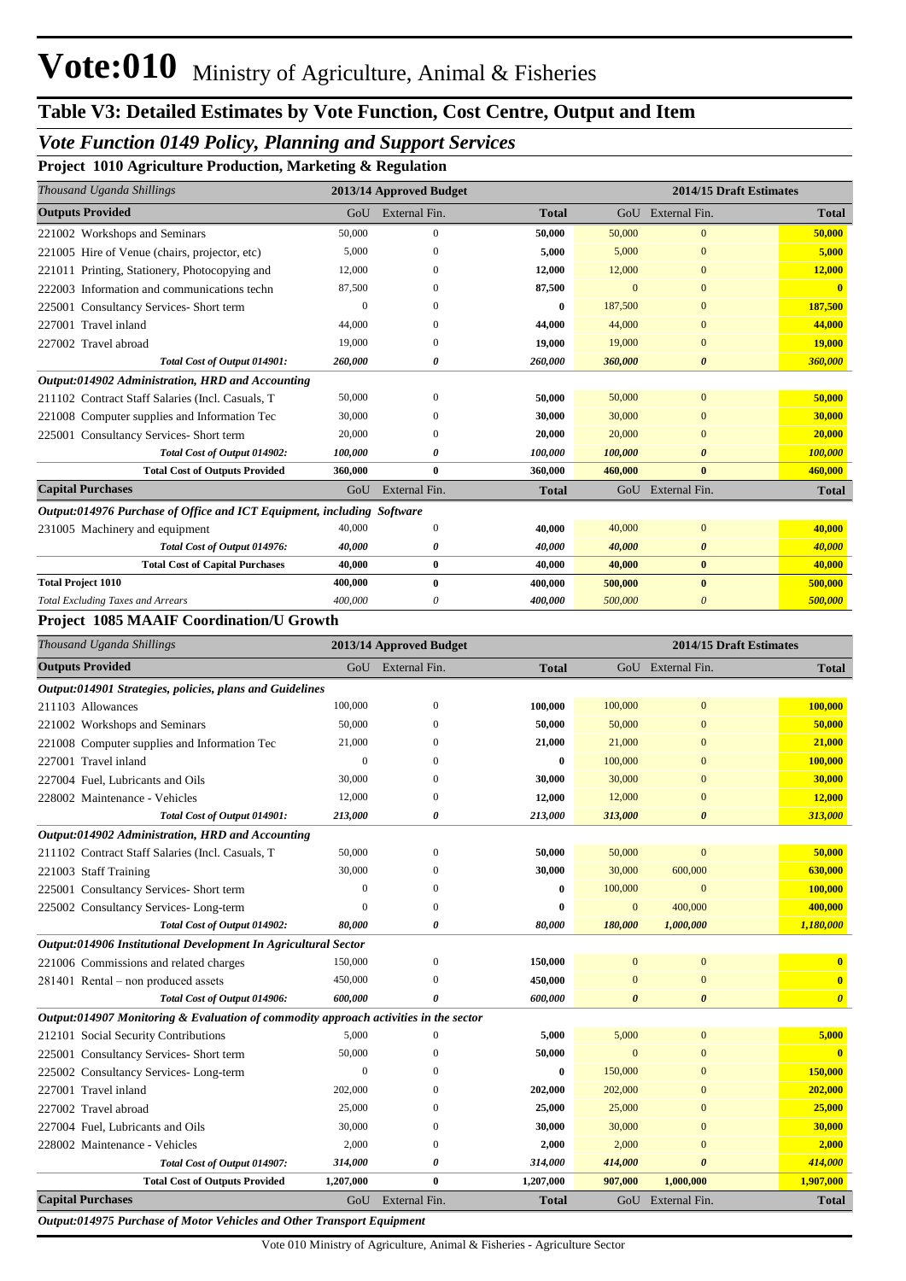#### *Vote Function 0149 Policy, Planning and Support Services*

**Project 1010 Agriculture Production, Marketing & Regulation**

| GoU      | External Fin. | <b>Total</b>                                                                                      |          |                       | <b>Total</b>                                                      |
|----------|---------------|---------------------------------------------------------------------------------------------------|----------|-----------------------|-------------------------------------------------------------------|
| 50,000   | $\mathbf{0}$  | 50,000                                                                                            | 50,000   | $\mathbf{0}$          | 50,000                                                            |
| 5,000    | 0             | 5,000                                                                                             | 5,000    | $\Omega$              | 5,000                                                             |
| 12,000   | 0             | 12,000                                                                                            | 12,000   | $\mathbf{0}$          | 12,000                                                            |
| 87,500   | 0             | 87,500                                                                                            | $\Omega$ | $\Omega$              | $\mathbf{0}$                                                      |
| $\theta$ | 0             | 0                                                                                                 | 187,500  | $\mathbf{0}$          | 187,500                                                           |
| 44,000   | 0             | 44,000                                                                                            | 44,000   | $\Omega$              | 44,000                                                            |
| 19,000   | $\Omega$      | 19,000                                                                                            | 19,000   | $\mathbf{0}$          | 19,000                                                            |
| 260,000  | 0             | 260,000                                                                                           | 360,000  | $\boldsymbol{\theta}$ | 360,000                                                           |
|          |               |                                                                                                   |          |                       |                                                                   |
| 50,000   | $\Omega$      | 50,000                                                                                            | 50,000   | $\Omega$              | 50,000                                                            |
| 30,000   |               | 30,000                                                                                            | 30,000   | $\Omega$              | 30,000                                                            |
| 20,000   | 0             | 20,000                                                                                            | 20,000   | $\theta$              | 20,000                                                            |
| 100,000  | 0             | 100,000                                                                                           | 100,000  | $\boldsymbol{\theta}$ | 100,000                                                           |
| 360,000  | $\bf{0}$      | 360,000                                                                                           | 460,000  | $\bf{0}$              | 460,000                                                           |
| GoU      | External Fin. | <b>Total</b>                                                                                      |          |                       | <b>Total</b>                                                      |
|          |               |                                                                                                   |          |                       |                                                                   |
| 40,000   | $\mathbf{0}$  | 40,000                                                                                            | 40,000   | $\mathbf{0}$          | 40,000                                                            |
| 40,000   | 0             | 40,000                                                                                            | 40,000   | $\boldsymbol{\theta}$ | 40,000                                                            |
| 40,000   | $\bf{0}$      | 40,000                                                                                            | 40,000   | $\bf{0}$              | 40,000                                                            |
| 400,000  | $\mathbf{0}$  | 400,000                                                                                           | 500,000  | $\mathbf{0}$          | 500,000                                                           |
| 400,000  | 0             | 400,000                                                                                           | 500,000  | 0                     | 500,000                                                           |
|          |               | 2013/14 Approved Budget<br>Output:014976 Purchase of Office and ICT Equipment, including Software |          |                       | 2014/15 Draft Estimates<br>GoU External Fin.<br>GoU External Fin. |

#### **Project 1085 MAAIF Coordination/U Growth**

| Thousand Uganda Shillings                                                            |                | 2013/14 Approved Budget |              |                |                       | 2014/15 Draft Estimates |
|--------------------------------------------------------------------------------------|----------------|-------------------------|--------------|----------------|-----------------------|-------------------------|
| <b>Outputs Provided</b>                                                              |                | GoU External Fin.       | <b>Total</b> |                | GoU External Fin.     | <b>Total</b>            |
| Output:014901 Strategies, policies, plans and Guidelines                             |                |                         |              |                |                       |                         |
| 211103 Allowances                                                                    | 100,000        | $\mathbf{0}$            | 100,000      | 100,000        | $\overline{0}$        | 100,000                 |
| 221002 Workshops and Seminars                                                        | 50,000         | $\Omega$                | 50,000       | 50,000         | $\overline{0}$        | 50,000                  |
| 221008 Computer supplies and Information Tec                                         | 21,000         | $\mathbf{0}$            | 21,000       | 21,000         | $\overline{0}$        | 21,000                  |
| 227001 Travel inland                                                                 | $\overline{0}$ | $\Omega$                | $\bf{0}$     | 100,000        | $\mathbf{0}$          | 100,000                 |
| 227004 Fuel. Lubricants and Oils                                                     | 30,000         | $\Omega$                | 30,000       | 30,000         | $\overline{0}$        | 30,000                  |
| 228002 Maintenance - Vehicles                                                        | 12,000         | $\mathbf{0}$            | 12,000       | 12,000         | $\overline{0}$        | 12,000                  |
| Total Cost of Output 014901:                                                         | 213,000        | $\boldsymbol{\theta}$   | 213,000      | 313,000        | $\boldsymbol{\theta}$ | 313,000                 |
| Output:014902 Administration, HRD and Accounting                                     |                |                         |              |                |                       |                         |
| 211102 Contract Staff Salaries (Incl. Casuals, T                                     | 50,000         | $\theta$                | 50,000       | 50,000         | $\mathbf{0}$          | 50,000                  |
| 221003 Staff Training                                                                | 30,000         | $\Omega$                | 30,000       | 30,000         | 600,000               | 630,000                 |
| 225001 Consultancy Services- Short term                                              | $\overline{0}$ | $\Omega$                | $\bf{0}$     | 100,000        | $\overline{0}$        | 100,000                 |
| 225002 Consultancy Services-Long-term                                                | $\Omega$       | $\Omega$                | $\bf{0}$     | $\overline{0}$ | 400,000               | 400,000                 |
| Total Cost of Output 014902:                                                         | 80,000         | 0                       | 80,000       | 180,000        | 1,000,000             | 1,180,000               |
| Output:014906 Institutional Development In Agricultural Sector                       |                |                         |              |                |                       |                         |
| 221006 Commissions and related charges                                               | 150,000        | $\mathbf{0}$            | 150,000      | $\bf{0}$       | $\mathbf{0}$          | $\bf{0}$                |
| 281401 Rental – non produced assets                                                  | 450,000        | $\Omega$                | 450,000      | $\overline{0}$ | $\overline{0}$        | $\overline{\mathbf{0}}$ |
| Total Cost of Output 014906:                                                         | 600,000        | 0                       | 600,000      | 0              | $\boldsymbol{\theta}$ | $\boldsymbol{\theta}$   |
| Output:014907 Monitoring & Evaluation of commodity approach activities in the sector |                |                         |              |                |                       |                         |
| 212101 Social Security Contributions                                                 | 5,000          | $\Omega$                | 5,000        | 5,000          | $\mathbf{0}$          | 5,000                   |
| 225001 Consultancy Services- Short term                                              | 50,000         | $\Omega$                | 50,000       | $\Omega$       | $\overline{0}$        | $\mathbf{0}$            |
| 225002 Consultancy Services-Long-term                                                | $\overline{0}$ | $\Omega$                | $\bf{0}$     | 150,000        | $\overline{0}$        | 150,000                 |
| 227001 Travel inland                                                                 | 202,000        | $\mathbf{0}$            | 202,000      | 202,000        | $\mathbf{0}$          | 202,000                 |
| 227002 Travel abroad                                                                 | 25,000         | $\Omega$                | 25,000       | 25,000         | $\mathbf{0}$          | 25,000                  |
| 227004 Fuel, Lubricants and Oils                                                     | 30,000         | $\Omega$                | 30,000       | 30,000         | $\Omega$              | 30,000                  |
| 228002 Maintenance - Vehicles                                                        | 2,000          | $\Omega$                | 2,000        | 2,000          | $\overline{0}$        | 2,000                   |
| Total Cost of Output 014907:                                                         | 314,000        | 0                       | 314,000      | 414,000        | $\boldsymbol{\theta}$ | 414,000                 |
| <b>Total Cost of Outputs Provided</b>                                                | 1,207,000      | $\bf{0}$                | 1,207,000    | 907,000        | 1,000,000             | 1,907,000               |
| <b>Capital Purchases</b>                                                             | GoU            | External Fin.           | <b>Total</b> | $G_{O}U$       | External Fin.         | <b>Total</b>            |

*Output:014975 Purchase of Motor Vehicles and Other Transport Equipment*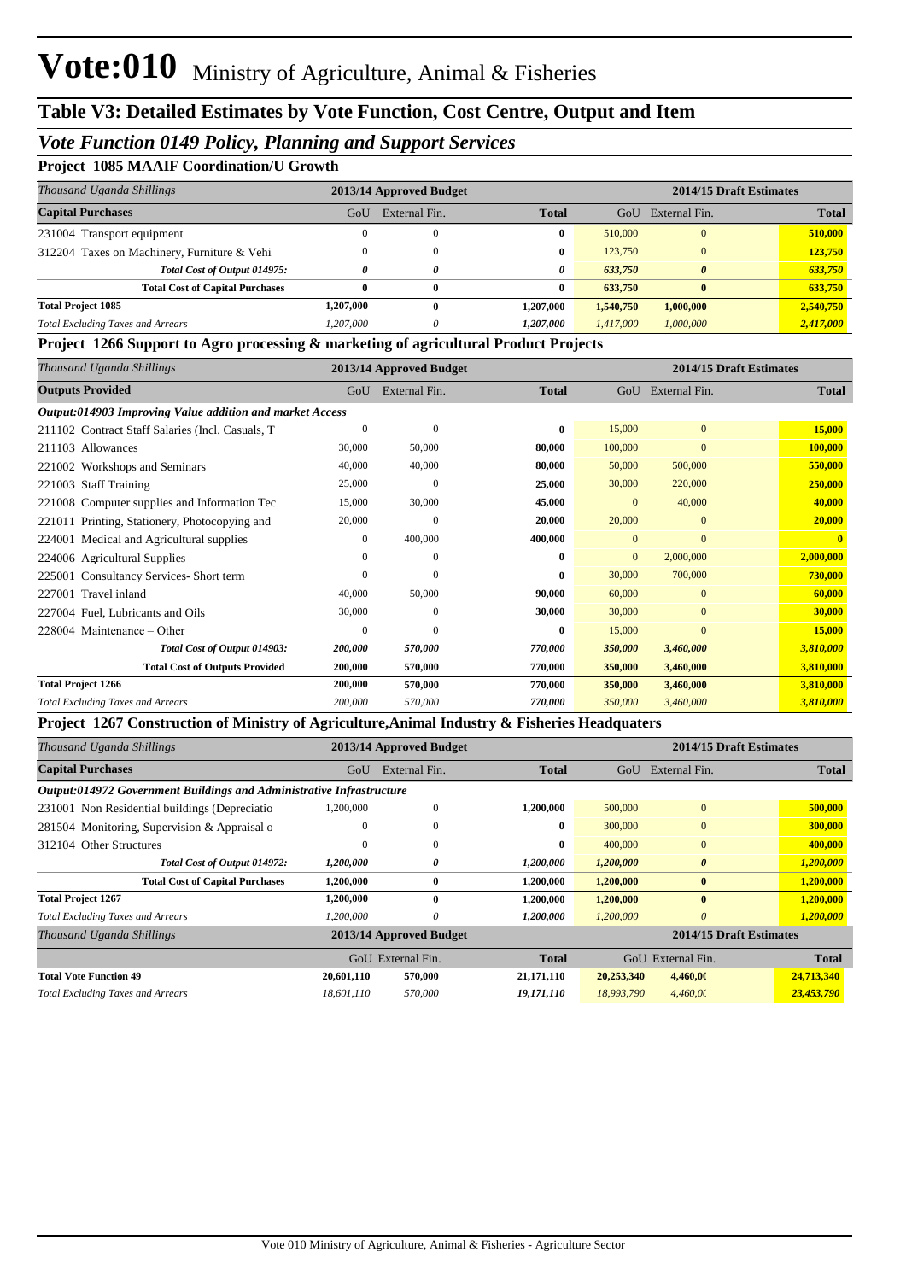#### *Vote Function 0149 Policy, Planning and Support Services*

#### **Project 1085 MAAIF Coordination/U Growth**

| Thousand Uganda Shillings                   | 2013/14 Approved Budget |               |              |           | 2014/15 Draft Estimates |              |
|---------------------------------------------|-------------------------|---------------|--------------|-----------|-------------------------|--------------|
| <b>Capital Purchases</b>                    | GoU                     | External Fin. | <b>Total</b> | GoU       | External Fin.           | <b>Total</b> |
| 231004 Transport equipment                  |                         |               | 0            | 510,000   | $\Omega$                | 510,000      |
| 312204 Taxes on Machinery, Furniture & Vehi |                         |               | 0            | 123,750   | $\Omega$                | 123,750      |
| Total Cost of Output 014975:                |                         | 0             | 0            | 633.750   | $\theta$                | 633,750      |
| <b>Total Cost of Capital Purchases</b>      |                         | 0             | 0            | 633,750   | $\bf{0}$                | 633,750      |
| <b>Total Project 1085</b>                   | <b>1.207.000</b>        | 0             | 1.207.000    | 1,540,750 | 1,000,000               | 2,540,750    |
| <b>Total Excluding Taxes and Arrears</b>    | 1,207,000               | 0             | 1,207,000    | 1,417,000 | 1,000,000               | 2,417,000    |

#### **Project 1266 Support to Agro processing & marketing of agricultural Product Projects**

| Thousand Uganda Shillings                                | 2013/14 Approved Budget |                |              |                | 2014/15 Draft Estimates |              |
|----------------------------------------------------------|-------------------------|----------------|--------------|----------------|-------------------------|--------------|
| <b>Outputs Provided</b>                                  | GoU                     | External Fin.  | <b>Total</b> | GoU            | External Fin.           | <b>Total</b> |
| Output:014903 Improving Value addition and market Access |                         |                |              |                |                         |              |
| 211102 Contract Staff Salaries (Incl. Casuals, T         | $\Omega$                | $\overline{0}$ | $\bf{0}$     | 15,000         | $\overline{0}$          | 15,000       |
| 211103 Allowances                                        | 30,000                  | 50,000         | 80,000       | 100,000        | $\mathbf{0}$            | 100,000      |
| 221002 Workshops and Seminars                            | 40,000                  | 40,000         | 80.000       | 50,000         | 500,000                 | 550,000      |
| <b>Staff Training</b><br>221003                          | 25,000                  | $\mathbf{0}$   | 25,000       | 30,000         | 220,000                 | 250,000      |
| 221008 Computer supplies and Information Tec             | 15,000                  | 30,000         | 45,000       | $\mathbf{0}$   | 40,000                  | 40,000       |
| 221011 Printing, Stationery, Photocopying and            | 20,000                  | $\mathbf{0}$   | 20,000       | 20,000         | $\mathbf{0}$            | 20,000       |
| 224001 Medical and Agricultural supplies                 | $\mathbf{0}$            | 400,000        | 400,000      | $\Omega$       | $\Omega$                |              |
| 224006 Agricultural Supplies                             | $\Omega$                | $\mathbf{0}$   | 0            | $\overline{0}$ | 2,000,000               | 2,000,000    |
| <b>Consultancy Services-Short term</b><br>225001         | $\Omega$                | $\Omega$       | 0            | 30,000         | 700,000                 | 730,000      |
| Travel inland<br>227001                                  | 40,000                  | 50,000         | 90,000       | 60,000         | $\mathbf{0}$            | 60,000       |
| 227004 Fuel, Lubricants and Oils                         | 30,000                  | $\mathbf{0}$   | 30,000       | 30,000         | $\mathbf{0}$            | 30,000       |
| 228004 Maintenance – Other                               | $\Omega$                | $\Omega$       | $\bf{0}$     | 15,000         | $\mathbf{0}$            | 15,000       |
| Total Cost of Output 014903:                             | 200,000                 | 570,000        | 770,000      | 350,000        | 3,460,000               | 3,810,000    |
| <b>Total Cost of Outputs Provided</b>                    | 200,000                 | 570,000        | 770,000      | 350,000        | 3,460,000               | 3,810,000    |
| <b>Total Project 1266</b>                                | 200,000                 | 570,000        | 770,000      | 350,000        | 3,460,000               | 3,810,000    |
| <b>Total Excluding Taxes and Arrears</b>                 | 200,000                 | 570,000        | 770,000      | 350,000        | 3,460,000               | 3,810,000    |

#### **Project 1267 Construction of Ministry of Agriculture,Animal Industry & Fisheries Headquaters**

| Thousand Uganda Shillings                                            | 2013/14 Approved Budget |                         |              | 2014/15 Draft Estimates |                |              |
|----------------------------------------------------------------------|-------------------------|-------------------------|--------------|-------------------------|----------------|--------------|
| <b>Capital Purchases</b>                                             | GoU                     | External Fin.           | <b>Total</b> | GoU                     | External Fin.  | Total        |
| Output:014972 Government Buildings and Administrative Infrastructure |                         |                         |              |                         |                |              |
| 231001 Non Residential buildings (Depreciatio                        | 1,200,000               | $\mathbf{0}$            | 1,200,000    | 500,000                 | $\overline{0}$ | 500,000      |
| 281504 Monitoring, Supervision & Appraisal o                         | $\theta$                | $\mathbf{0}$            | 0            | 300,000                 | $\mathbf{0}$   | 300,000      |
| 312104 Other Structures                                              | $\Omega$                | $\mathbf{0}$            | 0            | 400,000                 | $\mathbf{0}$   | 400,000      |
| Total Cost of Output 014972:                                         | <i>1,200,000</i>        | 0                       | 1,200,000    | 1,200,000               | 0              | 1,200,000    |
| <b>Total Cost of Capital Purchases</b>                               | 1,200,000               | $\bf{0}$                | 1,200,000    | 1,200,000               | $\bf{0}$       | 1,200,000    |
| <b>Total Project 1267</b>                                            | 1,200,000               | $\mathbf{0}$            | 1,200,000    | 1,200,000               | $\mathbf{0}$   | 1,200,000    |
| <b>Total Excluding Taxes and Arrears</b>                             | 1.200.000               | 0                       | 1,200,000    | 1,200,000               | $\theta$       | 1,200,000    |
| Thousand Uganda Shillings                                            |                         | 2013/14 Approved Budget |              | 2014/15 Draft Estimates |                |              |
|                                                                      | GoU                     | External Fin.           | <b>Total</b> | GoU                     | External Fin.  | <b>Total</b> |
| <b>Total Vote Function 49</b>                                        | 20,601,110              | 570,000                 | 21,171,110   | 20,253,340              | 4,460,00       | 24,713,340   |
| <b>Total Excluding Taxes and Arrears</b>                             | 18,601,110              | 570,000                 | 19,171,110   | 18,993,790              | 4,460,00       | 23,453,790   |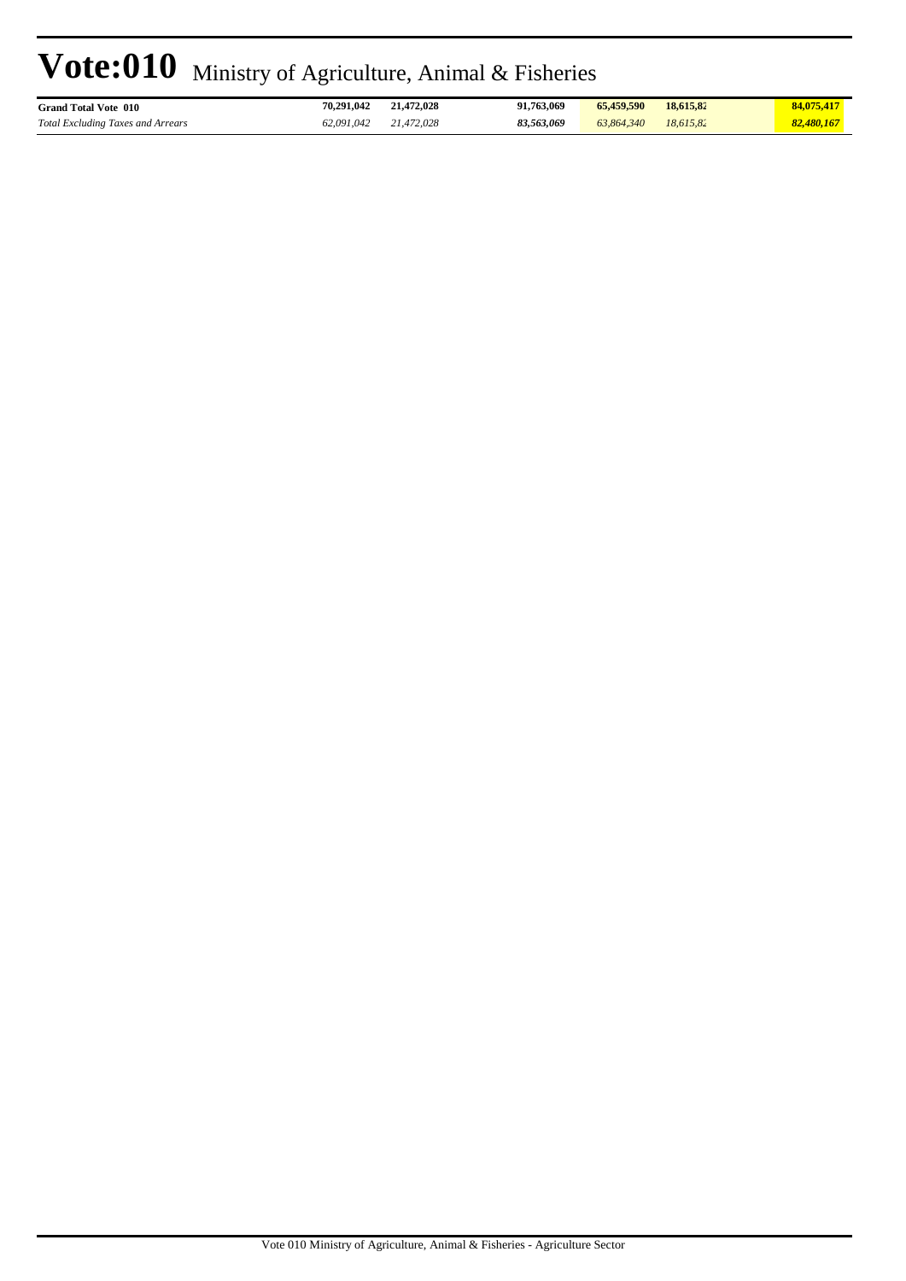| <b>Grand Total Vote 010</b>              | 70.291.042 | 21.472.028 | 91.763.069 | 65,459,590 | 18.615.82 | 84,075,417 |
|------------------------------------------|------------|------------|------------|------------|-----------|------------|
| <b>Total Excluding Taxes and Arrears</b> | 62.091.042 | 21.472.028 | 83,563,069 | 63,864,340 | 18.615.82 | 82,480,167 |